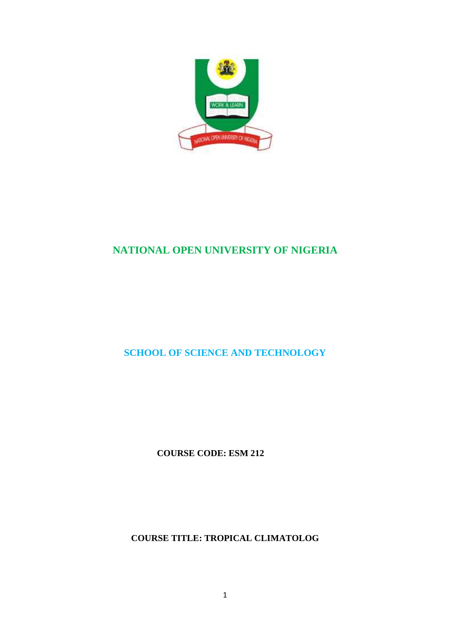

# **NATIONAL OPEN UNIVERSITY OF NIGERIA**

# **SCHOOL OF SCIENCE AND TECHNOLOGY**

**COURSE CODE: ESM 212** 

**COURSE TITLE: TROPICAL CLIMATOLOG**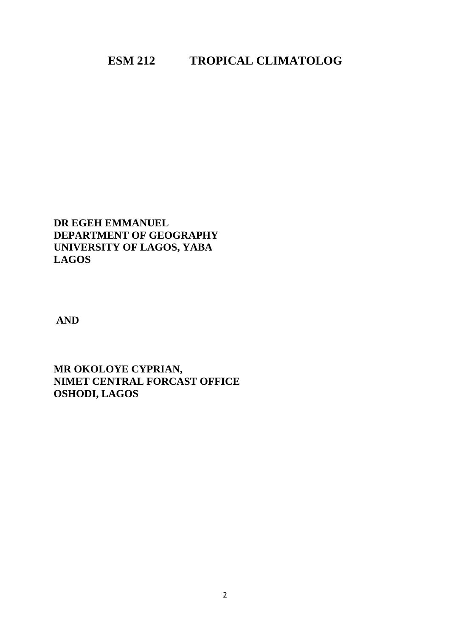# **ESM 212 TROPICAL CLIMATOLOG**

# **DR EGEH EMMANUEL DEPARTMENT OF GEOGRAPHY UNIVERSITY OF LAGOS, YABA LAGOS**

 **AND** 

**MR OKOLOYE CYPRIAN, NIMET CENTRAL FORCAST OFFICE OSHODI, LAGOS**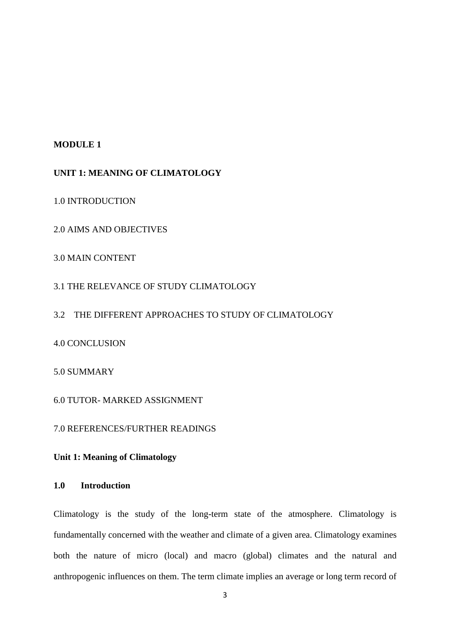## **MODULE 1**

#### **UNIT 1: MEANING OF CLIMATOLOGY**

1.0 INTRODUCTION

# 2.0 AIMS AND OBJECTIVES

## 3.0 MAIN CONTENT

## 3.1 THE RELEVANCE OF STUDY CLIMATOLOGY

## 3.2 THE DIFFERENT APPROACHES TO STUDY OF CLIMATOLOGY

4.0 CONCLUSION

# 5.0 SUMMARY

## 6.0 TUTOR- MARKED ASSIGNMENT

7.0 REFERENCES/FURTHER READINGS

## **Unit 1: Meaning of Climatology**

## **1.0 Introduction**

Climatology is the study of the long-term state of the atmosphere. Climatology is fundamentally concerned with the weather and climate of a given area. Climatology examines both the nature of micro (local) and macro (global) climates and the natural and anthropogenic influences on them. The term climate implies an average or long term record of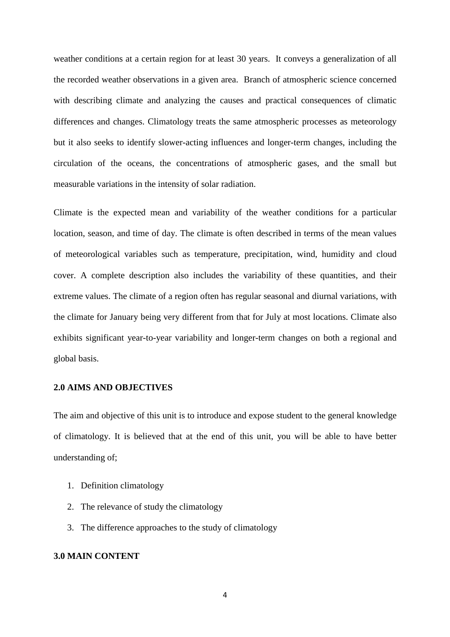weather conditions at a certain region for at least 30 years. It conveys a generalization of all the recorded weather observations in a given area. Branch of atmospheric science concerned with describing climate and analyzing the causes and practical consequences of climatic differences and changes. Climatology treats the same atmospheric processes as meteorology but it also seeks to identify slower-acting influences and longer-term changes, including the circulation of the oceans, the concentrations of atmospheric gases, and the small but measurable variations in the intensity of solar radiation.

Climate is the expected mean and variability of the weather conditions for a particular location, season, and time of day. The climate is often described in terms of the mean values of meteorological variables such as temperature, precipitation, wind, humidity and cloud cover. A complete description also includes the variability of these quantities, and their extreme values. The climate of a region often has regular seasonal and diurnal variations, with the climate for January being very different from that for July at most locations. Climate also exhibits significant year-to-year variability and longer-term changes on both a regional and global basis.

## **2.0 AIMS AND OBJECTIVES**

The aim and objective of this unit is to introduce and expose student to the general knowledge of climatology. It is believed that at the end of this unit, you will be able to have better understanding of;

- 1. Definition climatology
- 2. The relevance of study the climatology
- 3. The difference approaches to the study of climatology

#### **3.0 MAIN CONTENT**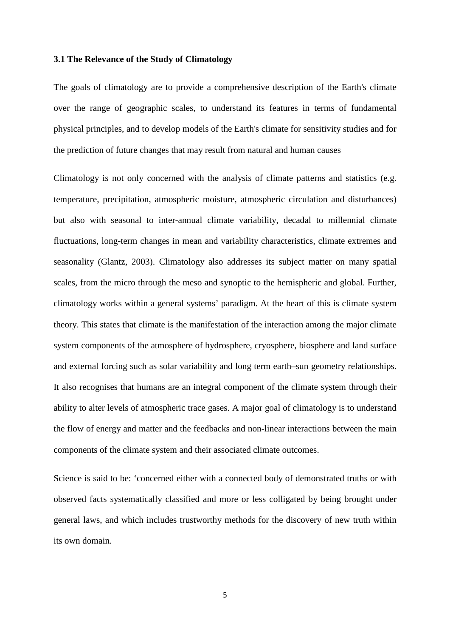#### **3.1 The Relevance of the Study of Climatology**

The goals of climatology are to provide a comprehensive description of the Earth's climate over the range of geographic scales, to understand its features in terms of fundamental physical principles, and to develop models of the Earth's climate for sensitivity studies and for the prediction of future changes that may result from natural and human causes

Climatology is not only concerned with the analysis of climate patterns and statistics (e.g. temperature, precipitation, atmospheric moisture, atmospheric circulation and disturbances) but also with seasonal to inter-annual climate variability, decadal to millennial climate fluctuations, long-term changes in mean and variability characteristics, climate extremes and seasonality (Glantz, 2003). Climatology also addresses its subject matter on many spatial scales, from the micro through the meso and synoptic to the hemispheric and global. Further, climatology works within a general systems' paradigm. At the heart of this is climate system theory. This states that climate is the manifestation of the interaction among the major climate system components of the atmosphere of hydrosphere, cryosphere, biosphere and land surface and external forcing such as solar variability and long term earth–sun geometry relationships. It also recognises that humans are an integral component of the climate system through their ability to alter levels of atmospheric trace gases. A major goal of climatology is to understand the flow of energy and matter and the feedbacks and non-linear interactions between the main components of the climate system and their associated climate outcomes.

Science is said to be: 'concerned either with a connected body of demonstrated truths or with observed facts systematically classified and more or less colligated by being brought under general laws, and which includes trustworthy methods for the discovery of new truth within its own domain.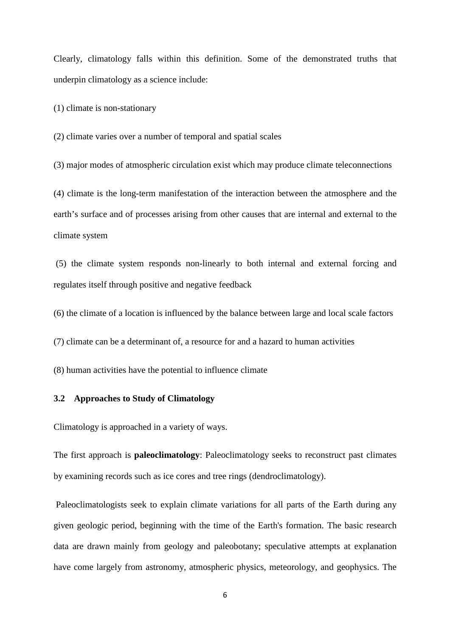Clearly, climatology falls within this definition. Some of the demonstrated truths that underpin climatology as a science include:

(1) climate is non-stationary

(2) climate varies over a number of temporal and spatial scales

(3) major modes of atmospheric circulation exist which may produce climate teleconnections

(4) climate is the long-term manifestation of the interaction between the atmosphere and the earth's surface and of processes arising from other causes that are internal and external to the climate system

 (5) the climate system responds non-linearly to both internal and external forcing and regulates itself through positive and negative feedback

(6) the climate of a location is influenced by the balance between large and local scale factors

(7) climate can be a determinant of, a resource for and a hazard to human activities

(8) human activities have the potential to influence climate

#### **3.2 Approaches to Study of Climatology**

Climatology is approached in a variety of ways.

The first approach is **paleoclimatology**: Paleoclimatology seeks to reconstruct past climates by examining records such as ice cores and tree rings (dendroclimatology).

 Paleoclimatologists seek to explain climate variations for all parts of the Earth during any given geologic period, beginning with the time of the Earth's formation. The basic research data are drawn mainly from geology and paleobotany; speculative attempts at explanation have come largely from astronomy, atmospheric physics, meteorology, and geophysics. The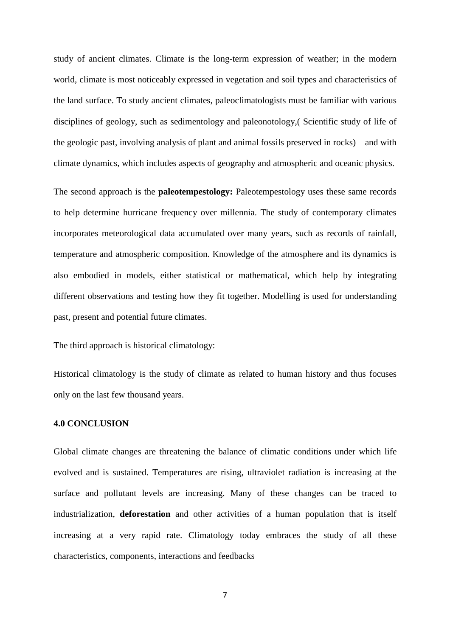study of ancient climates. Climate is the long-term expression of weather; in the modern world, climate is most noticeably expressed in vegetation and soil types and characteristics of the land surface. To study ancient climates, paleoclimatologists must be familiar with various disciplines of geology, such as sedimentology and paleonotology,( Scientific study of life of the geologic past, involving analysis of plant and animal fossils preserved in rocks) and with climate dynamics, which includes aspects of geography and atmospheric and oceanic physics.

The second approach is the **paleotempestology:** Paleotempestology uses these same records to help determine hurricane frequency over millennia. The study of contemporary climates incorporates meteorological data accumulated over many years, such as records of rainfall, temperature and atmospheric composition. Knowledge of the atmosphere and its dynamics is also embodied in models, either statistical or mathematical, which help by integrating different observations and testing how they fit together. Modelling is used for understanding past, present and potential future climates.

The third approach is historical climatology:

Historical climatology is the study of climate as related to human history and thus focuses only on the last few thousand years.

#### **4.0 CONCLUSION**

Global climate changes are threatening the balance of climatic conditions under which life evolved and is sustained. Temperatures are rising, ultraviolet radiation is increasing at the surface and pollutant levels are increasing. Many of these changes can be traced to industrialization, **deforestation** and other activities of a human population that is itself increasing at a very rapid rate. Climatology today embraces the study of all these characteristics, components, interactions and feedbacks

7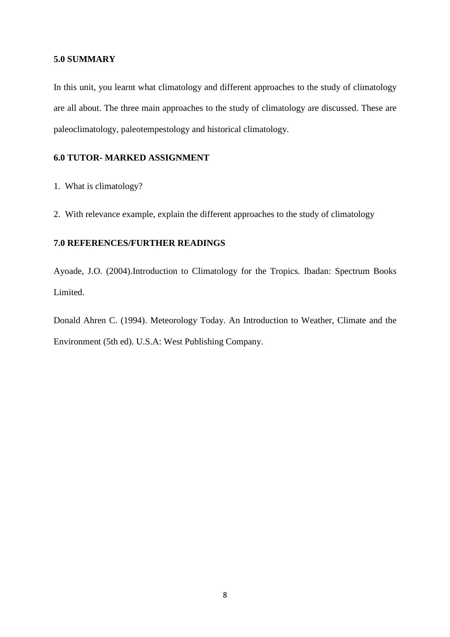## **5.0 SUMMARY**

In this unit, you learnt what climatology and different approaches to the study of climatology are all about. The three main approaches to the study of climatology are discussed. These are paleoclimatology, paleotempestology and historical climatology.

# **6.0 TUTOR- MARKED ASSIGNMENT**

1. What is climatology?

2. With relevance example, explain the different approaches to the study of climatology

## **7.0 REFERENCES/FURTHER READINGS**

Ayoade, J.O. (2004).Introduction to Climatology for the Tropics. Ibadan: Spectrum Books Limited.

Donald Ahren C. (1994). Meteorology Today. An Introduction to Weather, Climate and the Environment (5th ed). U.S.A: West Publishing Company.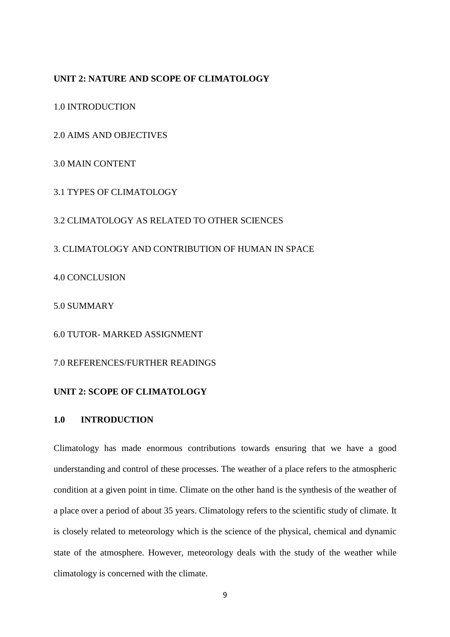## **UNIT 2: NATURE AND SCOPE OF CLIMATOLOGY**

1.0 INTRODUCTION

2.0 AIMS AND OBJECTIVES

3.0 MAIN CONTENT

3.1 TYPES OF CLIMATOLOGY

3.2 CLIMATOLOGY AS RELATED TO OTHER SCIENCES

3. CLIMATOLOGY AND CONTRIBUTION OF HUMAN IN SPACE

4.0 CONCLUSION

5.0 SUMMARY

6.0 TUTOR- MARKED ASSIGNMENT

7.0 REFERENCES/FURTHER READINGS

## **UNIT 2: SCOPE OF CLIMATOLOGY**

## **1.0 INTRODUCTION**

Climatology has made enormous contributions towards ensuring that we have a good understanding and control of these processes. The weather of a place refers to the atmospheric condition at a given point in time. Climate on the other hand is the synthesis of the weather of a place over a period of about 35 years. Climatology refers to the scientific study of climate. It is closely related to meteorology which is the science of the physical, chemical and dynamic state of the atmosphere. However, meteorology deals with the study of the weather while climatology is concerned with the climate.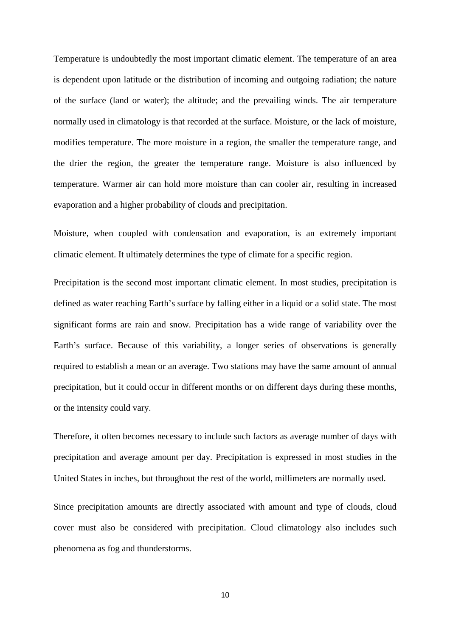Temperature is undoubtedly the most important climatic element. The temperature of an area is dependent upon latitude or the distribution of incoming and outgoing radiation; the nature of the surface (land or water); the altitude; and the prevailing winds. The air temperature normally used in climatology is that recorded at the surface. Moisture, or the lack of moisture, modifies temperature. The more moisture in a region, the smaller the temperature range, and the drier the region, the greater the temperature range. Moisture is also influenced by temperature. Warmer air can hold more moisture than can cooler air, resulting in increased evaporation and a higher probability of clouds and precipitation.

Moisture, when coupled with condensation and evaporation, is an extremely important climatic element. It ultimately determines the type of climate for a specific region.

Precipitation is the second most important climatic element. In most studies, precipitation is defined as water reaching Earth's surface by falling either in a liquid or a solid state. The most significant forms are rain and snow. Precipitation has a wide range of variability over the Earth's surface. Because of this variability, a longer series of observations is generally required to establish a mean or an average. Two stations may have the same amount of annual precipitation, but it could occur in different months or on different days during these months, or the intensity could vary.

Therefore, it often becomes necessary to include such factors as average number of days with precipitation and average amount per day. Precipitation is expressed in most studies in the United States in inches, but throughout the rest of the world, millimeters are normally used.

Since precipitation amounts are directly associated with amount and type of clouds, cloud cover must also be considered with precipitation. Cloud climatology also includes such phenomena as fog and thunderstorms.

10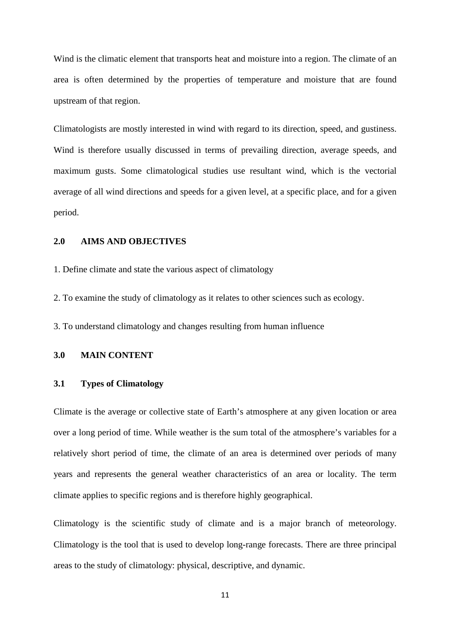Wind is the climatic element that transports heat and moisture into a region. The climate of an area is often determined by the properties of temperature and moisture that are found upstream of that region.

Climatologists are mostly interested in wind with regard to its direction, speed, and gustiness. Wind is therefore usually discussed in terms of prevailing direction, average speeds, and maximum gusts. Some climatological studies use resultant wind, which is the vectorial average of all wind directions and speeds for a given level, at a specific place, and for a given period.

## **2.0 AIMS AND OBJECTIVES**

1. Define climate and state the various aspect of climatology

2. To examine the study of climatology as it relates to other sciences such as ecology.

3. To understand climatology and changes resulting from human influence

## **3.0 MAIN CONTENT**

#### **3.1 Types of Climatology**

Climate is the average or collective state of Earth's atmosphere at any given location or area over a long period of time. While weather is the sum total of the atmosphere's variables for a relatively short period of time, the climate of an area is determined over periods of many years and represents the general weather characteristics of an area or locality. The term climate applies to specific regions and is therefore highly geographical.

Climatology is the scientific study of climate and is a major branch of meteorology. Climatology is the tool that is used to develop long-range forecasts. There are three principal areas to the study of climatology: physical, descriptive, and dynamic.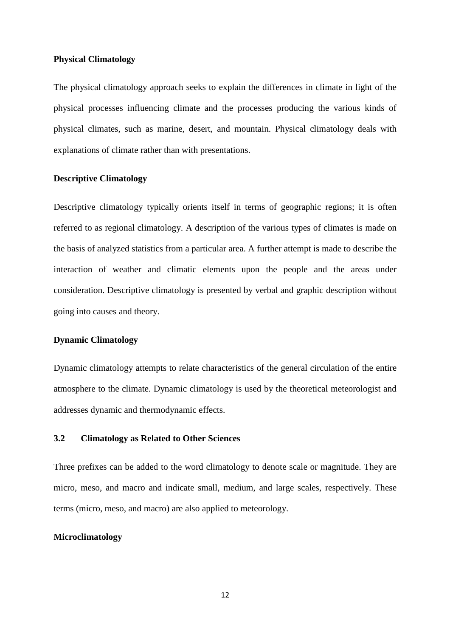#### **Physical Climatology**

The physical climatology approach seeks to explain the differences in climate in light of the physical processes influencing climate and the processes producing the various kinds of physical climates, such as marine, desert, and mountain. Physical climatology deals with explanations of climate rather than with presentations.

#### **Descriptive Climatology**

Descriptive climatology typically orients itself in terms of geographic regions; it is often referred to as regional climatology. A description of the various types of climates is made on the basis of analyzed statistics from a particular area. A further attempt is made to describe the interaction of weather and climatic elements upon the people and the areas under consideration. Descriptive climatology is presented by verbal and graphic description without going into causes and theory.

#### **Dynamic Climatology**

Dynamic climatology attempts to relate characteristics of the general circulation of the entire atmosphere to the climate. Dynamic climatology is used by the theoretical meteorologist and addresses dynamic and thermodynamic effects.

#### **3.2 Climatology as Related to Other Sciences**

Three prefixes can be added to the word climatology to denote scale or magnitude. They are micro, meso, and macro and indicate small, medium, and large scales, respectively. These terms (micro, meso, and macro) are also applied to meteorology.

#### **Microclimatology**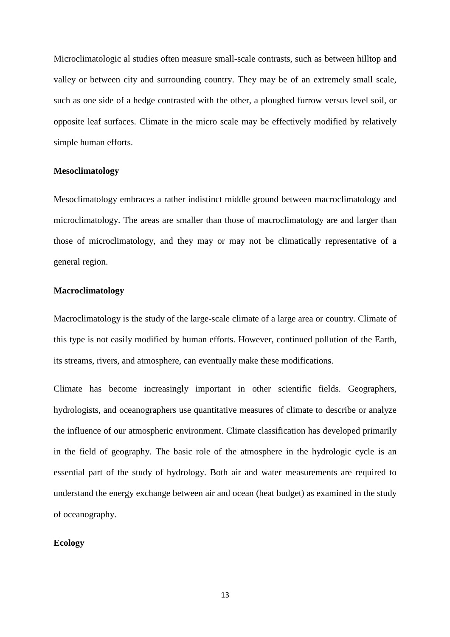Microclimatologic al studies often measure small-scale contrasts, such as between hilltop and valley or between city and surrounding country. They may be of an extremely small scale, such as one side of a hedge contrasted with the other, a ploughed furrow versus level soil, or opposite leaf surfaces. Climate in the micro scale may be effectively modified by relatively simple human efforts.

#### **Mesoclimatology**

Mesoclimatology embraces a rather indistinct middle ground between macroclimatology and microclimatology. The areas are smaller than those of macroclimatology are and larger than those of microclimatology, and they may or may not be climatically representative of a general region.

#### **Macroclimatology**

Macroclimatology is the study of the large-scale climate of a large area or country. Climate of this type is not easily modified by human efforts. However, continued pollution of the Earth, its streams, rivers, and atmosphere, can eventually make these modifications.

Climate has become increasingly important in other scientific fields. Geographers, hydrologists, and oceanographers use quantitative measures of climate to describe or analyze the influence of our atmospheric environment. Climate classification has developed primarily in the field of geography. The basic role of the atmosphere in the hydrologic cycle is an essential part of the study of hydrology. Both air and water measurements are required to understand the energy exchange between air and ocean (heat budget) as examined in the study of oceanography.

#### **Ecology**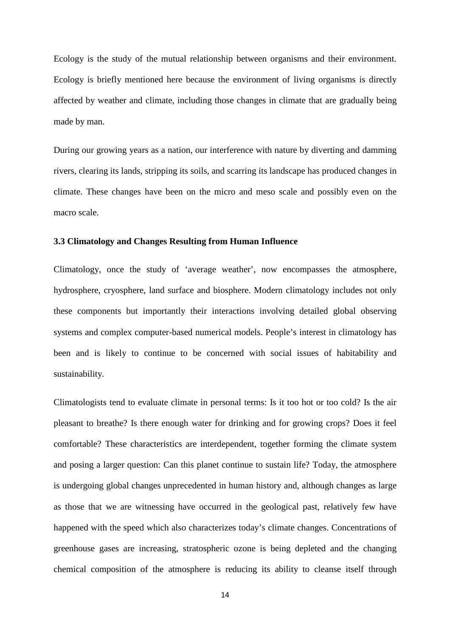Ecology is the study of the mutual relationship between organisms and their environment. Ecology is briefly mentioned here because the environment of living organisms is directly affected by weather and climate, including those changes in climate that are gradually being made by man.

During our growing years as a nation, our interference with nature by diverting and damming rivers, clearing its lands, stripping its soils, and scarring its landscape has produced changes in climate. These changes have been on the micro and meso scale and possibly even on the macro scale.

#### **3.3 Climatology and Changes Resulting from Human Influence**

Climatology, once the study of 'average weather', now encompasses the atmosphere, hydrosphere, cryosphere, land surface and biosphere. Modern climatology includes not only these components but importantly their interactions involving detailed global observing systems and complex computer-based numerical models. People's interest in climatology has been and is likely to continue to be concerned with social issues of habitability and sustainability.

Climatologists tend to evaluate climate in personal terms: Is it too hot or too cold? Is the air pleasant to breathe? Is there enough water for drinking and for growing crops? Does it feel comfortable? These characteristics are interdependent, together forming the climate system and posing a larger question: Can this planet continue to sustain life? Today, the atmosphere is undergoing global changes unprecedented in human history and, although changes as large as those that we are witnessing have occurred in the geological past, relatively few have happened with the speed which also characterizes today's climate changes. Concentrations of greenhouse gases are increasing, stratospheric ozone is being depleted and the changing chemical composition of the atmosphere is reducing its ability to cleanse itself through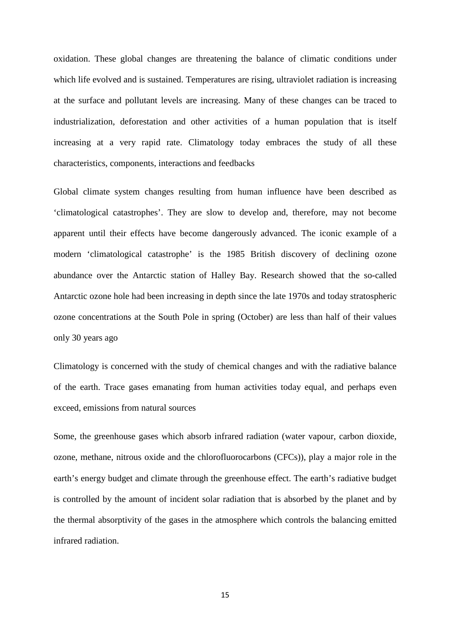oxidation. These global changes are threatening the balance of climatic conditions under which life evolved and is sustained. Temperatures are rising, ultraviolet radiation is increasing at the surface and pollutant levels are increasing. Many of these changes can be traced to industrialization, deforestation and other activities of a human population that is itself increasing at a very rapid rate. Climatology today embraces the study of all these characteristics, components, interactions and feedbacks

Global climate system changes resulting from human influence have been described as 'climatological catastrophes'. They are slow to develop and, therefore, may not become apparent until their effects have become dangerously advanced. The iconic example of a modern 'climatological catastrophe' is the 1985 British discovery of declining ozone abundance over the Antarctic station of Halley Bay. Research showed that the so-called Antarctic ozone hole had been increasing in depth since the late 1970s and today stratospheric ozone concentrations at the South Pole in spring (October) are less than half of their values only 30 years ago

Climatology is concerned with the study of chemical changes and with the radiative balance of the earth. Trace gases emanating from human activities today equal, and perhaps even exceed, emissions from natural sources

Some, the greenhouse gases which absorb infrared radiation (water vapour, carbon dioxide, ozone, methane, nitrous oxide and the chlorofluorocarbons (CFCs)), play a major role in the earth's energy budget and climate through the greenhouse effect. The earth's radiative budget is controlled by the amount of incident solar radiation that is absorbed by the planet and by the thermal absorptivity of the gases in the atmosphere which controls the balancing emitted infrared radiation.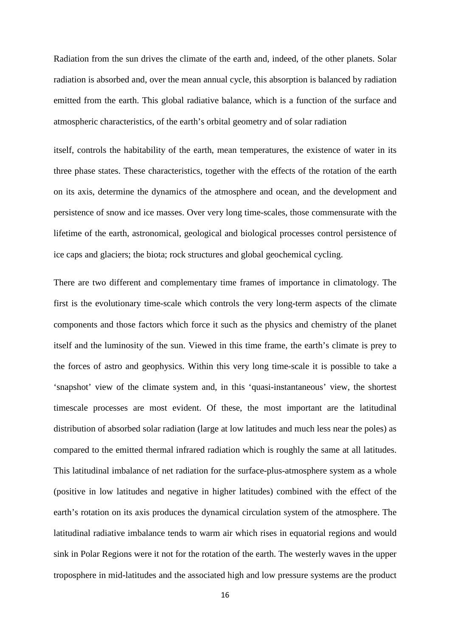Radiation from the sun drives the climate of the earth and, indeed, of the other planets. Solar radiation is absorbed and, over the mean annual cycle, this absorption is balanced by radiation emitted from the earth. This global radiative balance, which is a function of the surface and atmospheric characteristics, of the earth's orbital geometry and of solar radiation

itself, controls the habitability of the earth, mean temperatures, the existence of water in its three phase states. These characteristics, together with the effects of the rotation of the earth on its axis, determine the dynamics of the atmosphere and ocean, and the development and persistence of snow and ice masses. Over very long time-scales, those commensurate with the lifetime of the earth, astronomical, geological and biological processes control persistence of ice caps and glaciers; the biota; rock structures and global geochemical cycling.

There are two different and complementary time frames of importance in climatology. The first is the evolutionary time-scale which controls the very long-term aspects of the climate components and those factors which force it such as the physics and chemistry of the planet itself and the luminosity of the sun. Viewed in this time frame, the earth's climate is prey to the forces of astro and geophysics. Within this very long time-scale it is possible to take a 'snapshot' view of the climate system and, in this 'quasi-instantaneous' view, the shortest timescale processes are most evident. Of these, the most important are the latitudinal distribution of absorbed solar radiation (large at low latitudes and much less near the poles) as compared to the emitted thermal infrared radiation which is roughly the same at all latitudes. This latitudinal imbalance of net radiation for the surface-plus-atmosphere system as a whole (positive in low latitudes and negative in higher latitudes) combined with the effect of the earth's rotation on its axis produces the dynamical circulation system of the atmosphere. The latitudinal radiative imbalance tends to warm air which rises in equatorial regions and would sink in Polar Regions were it not for the rotation of the earth. The westerly waves in the upper troposphere in mid-latitudes and the associated high and low pressure systems are the product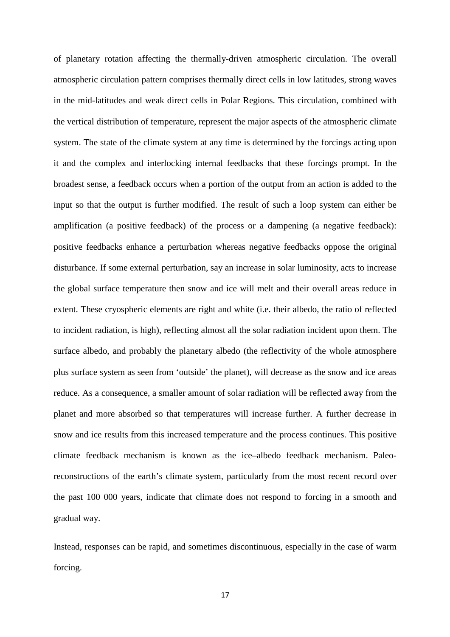of planetary rotation affecting the thermally-driven atmospheric circulation. The overall atmospheric circulation pattern comprises thermally direct cells in low latitudes, strong waves in the mid-latitudes and weak direct cells in Polar Regions. This circulation, combined with the vertical distribution of temperature, represent the major aspects of the atmospheric climate system. The state of the climate system at any time is determined by the forcings acting upon it and the complex and interlocking internal feedbacks that these forcings prompt. In the broadest sense, a feedback occurs when a portion of the output from an action is added to the input so that the output is further modified. The result of such a loop system can either be amplification (a positive feedback) of the process or a dampening (a negative feedback): positive feedbacks enhance a perturbation whereas negative feedbacks oppose the original disturbance. If some external perturbation, say an increase in solar luminosity, acts to increase the global surface temperature then snow and ice will melt and their overall areas reduce in extent. These cryospheric elements are right and white (i.e. their albedo, the ratio of reflected to incident radiation, is high), reflecting almost all the solar radiation incident upon them. The surface albedo, and probably the planetary albedo (the reflectivity of the whole atmosphere plus surface system as seen from 'outside' the planet), will decrease as the snow and ice areas reduce. As a consequence, a smaller amount of solar radiation will be reflected away from the planet and more absorbed so that temperatures will increase further. A further decrease in snow and ice results from this increased temperature and the process continues. This positive climate feedback mechanism is known as the ice–albedo feedback mechanism. Paleoreconstructions of the earth's climate system, particularly from the most recent record over the past 100 000 years, indicate that climate does not respond to forcing in a smooth and gradual way.

Instead, responses can be rapid, and sometimes discontinuous, especially in the case of warm forcing.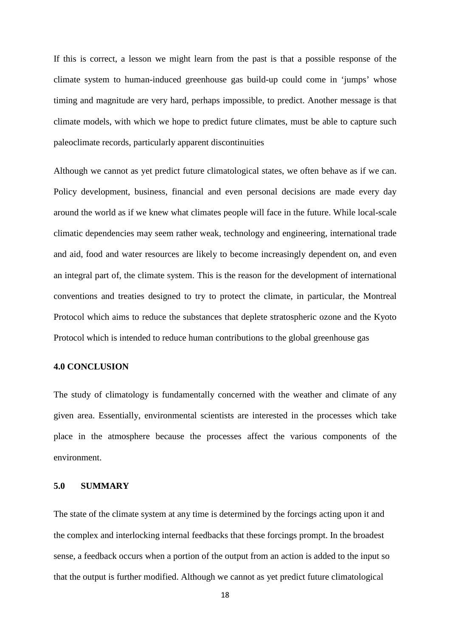If this is correct, a lesson we might learn from the past is that a possible response of the climate system to human-induced greenhouse gas build-up could come in 'jumps' whose timing and magnitude are very hard, perhaps impossible, to predict. Another message is that climate models, with which we hope to predict future climates, must be able to capture such paleoclimate records, particularly apparent discontinuities

Although we cannot as yet predict future climatological states, we often behave as if we can. Policy development, business, financial and even personal decisions are made every day around the world as if we knew what climates people will face in the future. While local-scale climatic dependencies may seem rather weak, technology and engineering, international trade and aid, food and water resources are likely to become increasingly dependent on, and even an integral part of, the climate system. This is the reason for the development of international conventions and treaties designed to try to protect the climate, in particular, the Montreal Protocol which aims to reduce the substances that deplete stratospheric ozone and the Kyoto Protocol which is intended to reduce human contributions to the global greenhouse gas

#### **4.0 CONCLUSION**

The study of climatology is fundamentally concerned with the weather and climate of any given area. Essentially, environmental scientists are interested in the processes which take place in the atmosphere because the processes affect the various components of the environment.

#### **5.0 SUMMARY**

The state of the climate system at any time is determined by the forcings acting upon it and the complex and interlocking internal feedbacks that these forcings prompt. In the broadest sense, a feedback occurs when a portion of the output from an action is added to the input so that the output is further modified. Although we cannot as yet predict future climatological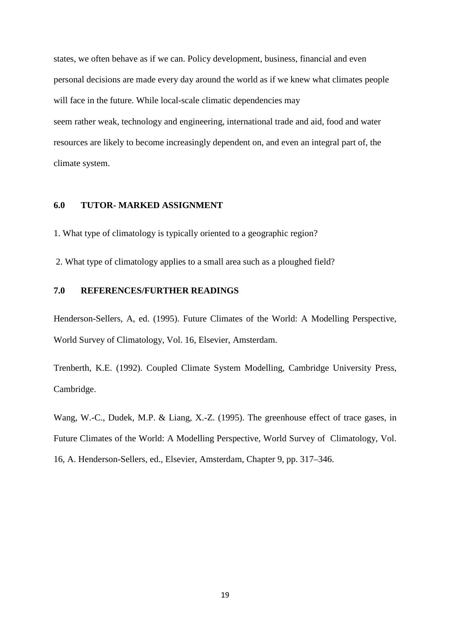states, we often behave as if we can. Policy development, business, financial and even personal decisions are made every day around the world as if we knew what climates people will face in the future. While local-scale climatic dependencies may seem rather weak, technology and engineering, international trade and aid, food and water resources are likely to become increasingly dependent on, and even an integral part of, the climate system.

## **6.0 TUTOR- MARKED ASSIGNMENT**

1. What type of climatology is typically oriented to a geographic region?

2. What type of climatology applies to a small area such as a ploughed field?

## **7.0 REFERENCES/FURTHER READINGS**

Henderson-Sellers, A, ed. (1995). Future Climates of the World: A Modelling Perspective, World Survey of Climatology, Vol. 16, Elsevier, Amsterdam.

Trenberth, K.E. (1992). Coupled Climate System Modelling, Cambridge University Press, Cambridge.

Wang, W.-C., Dudek, M.P. & Liang, X.-Z. (1995). The greenhouse effect of trace gases, in Future Climates of the World: A Modelling Perspective, World Survey of Climatology, Vol. 16, A. Henderson-Sellers, ed., Elsevier, Amsterdam, Chapter 9, pp. 317–346.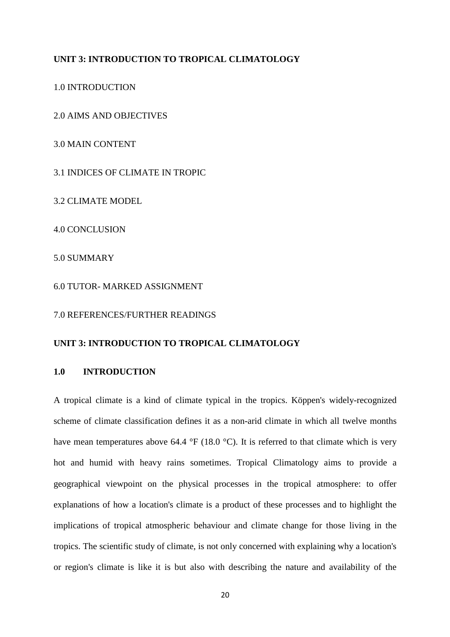## **UNIT 3: INTRODUCTION TO TROPICAL CLIMATOLOGY**

1.0 INTRODUCTION

2.0 AIMS AND OBJECTIVES

3.0 MAIN CONTENT

3.1 INDICES OF CLIMATE IN TROPIC

3.2 CLIMATE MODEL

4.0 CONCLUSION

5.0 SUMMARY

6.0 TUTOR- MARKED ASSIGNMENT

7.0 REFERENCES/FURTHER READINGS

# **UNIT 3: INTRODUCTION TO TROPICAL CLIMATOLOGY**

## **1.0 INTRODUCTION**

A tropical climate is a kind of climate typical in the tropics. Köppen's widely-recognized scheme of climate classification defines it as a non-arid climate in which all twelve months have mean temperatures above 64.4 °F (18.0 °C). It is referred to that climate which is very hot and humid with heavy rains sometimes. Tropical Climatology aims to provide a geographical viewpoint on the physical processes in the tropical atmosphere: to offer explanations of how a location's climate is a product of these processes and to highlight the implications of tropical atmospheric behaviour and climate change for those living in the tropics. The scientific study of climate, is not only concerned with explaining why a location's or region's climate is like it is but also with describing the nature and availability of the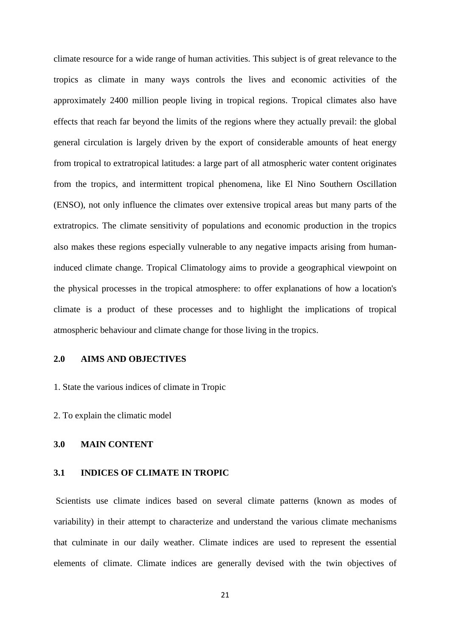climate resource for a wide range of human activities. This subject is of great relevance to the tropics as climate in many ways controls the lives and economic activities of the approximately 2400 million people living in tropical regions. Tropical climates also have effects that reach far beyond the limits of the regions where they actually prevail: the global general circulation is largely driven by the export of considerable amounts of heat energy from tropical to extratropical latitudes: a large part of all atmospheric water content originates from the tropics, and intermittent tropical phenomena, like El Nino Southern Oscillation (ENSO), not only influence the climates over extensive tropical areas but many parts of the extratropics. The climate sensitivity of populations and economic production in the tropics also makes these regions especially vulnerable to any negative impacts arising from humaninduced climate change. Tropical Climatology aims to provide a geographical viewpoint on the physical processes in the tropical atmosphere: to offer explanations of how a location's climate is a product of these processes and to highlight the implications of tropical atmospheric behaviour and climate change for those living in the tropics.

#### **2.0 AIMS AND OBJECTIVES**

1. State the various indices of climate in Tropic

2. To explain the climatic model

## **3.0 MAIN CONTENT**

#### **3.1 INDICES OF CLIMATE IN TROPIC**

 Scientists use climate indices based on several climate patterns (known as modes of variability) in their attempt to characterize and understand the various climate mechanisms that culminate in our daily weather. Climate indices are used to represent the essential elements of climate. Climate indices are generally devised with the twin objectives of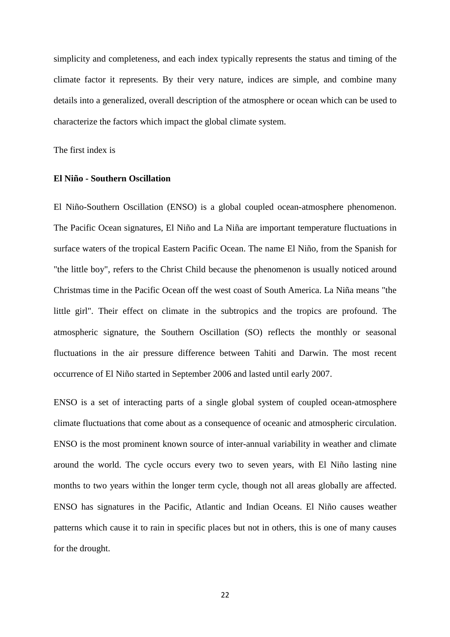simplicity and completeness, and each index typically represents the status and timing of the climate factor it represents. By their very nature, indices are simple, and combine many details into a generalized, overall description of the atmosphere or ocean which can be used to characterize the factors which impact the global climate system.

The first index is

## **El Niño - Southern Oscillation**

El Niño-Southern Oscillation (ENSO) is a global coupled ocean-atmosphere phenomenon. The Pacific Ocean signatures, El Niño and La Niña are important temperature fluctuations in surface waters of the tropical Eastern Pacific Ocean. The name El Niño, from the Spanish for "the little boy", refers to the Christ Child because the phenomenon is usually noticed around Christmas time in the Pacific Ocean off the west coast of South America. La Niña means "the little girl". Their effect on climate in the subtropics and the tropics are profound. The atmospheric signature, the Southern Oscillation (SO) reflects the monthly or seasonal fluctuations in the air pressure difference between Tahiti and Darwin. The most recent occurrence of El Niño started in September 2006 and lasted until early 2007.

ENSO is a set of interacting parts of a single global system of coupled ocean-atmosphere climate fluctuations that come about as a consequence of oceanic and atmospheric circulation. ENSO is the most prominent known source of inter-annual variability in weather and climate around the world. The cycle occurs every two to seven years, with El Niño lasting nine months to two years within the longer term cycle, though not all areas globally are affected. ENSO has signatures in the Pacific, Atlantic and Indian Oceans. El Niño causes weather patterns which cause it to rain in specific places but not in others, this is one of many causes for the drought.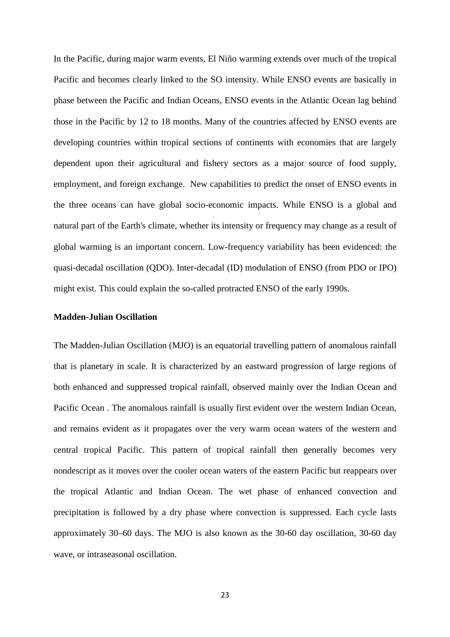In the Pacific, during major warm events, El Niño warming extends over much of the tropical Pacific and becomes clearly linked to the SO intensity. While ENSO events are basically in phase between the Pacific and Indian Oceans, ENSO events in the Atlantic Ocean lag behind those in the Pacific by 12 to 18 months. Many of the countries affected by ENSO events are developing countries within tropical sections of continents with economies that are largely dependent upon their agricultural and fishery sectors as a major source of food supply, employment, and foreign exchange. New capabilities to predict the onset of ENSO events in the three oceans can have global socio-economic impacts. While ENSO is a global and natural part of the Earth's climate, whether its intensity or frequency may change as a result of global warming is an important concern. Low-frequency variability has been evidenced: the quasi-decadal oscillation (QDO). Inter-decadal (ID) modulation of ENSO (from PDO or IPO) might exist. This could explain the so-called protracted ENSO of the early 1990s.

#### **Madden-Julian Oscillation**

The Madden-Julian Oscillation (MJO) is an equatorial travelling pattern of anomalous rainfall that is planetary in scale. It is characterized by an eastward progression of large regions of both enhanced and suppressed tropical rainfall, observed mainly over the Indian Ocean and Pacific Ocean . The anomalous rainfall is usually first evident over the western Indian Ocean, and remains evident as it propagates over the very warm ocean waters of the western and central tropical Pacific. This pattern of tropical rainfall then generally becomes very nondescript as it moves over the cooler ocean waters of the eastern Pacific but reappears over the tropical Atlantic and Indian Ocean. The wet phase of enhanced convection and precipitation is followed by a dry phase where convection is suppressed. Each cycle lasts approximately 30–60 days. The MJO is also known as the 30-60 day oscillation, 30-60 day wave, or intraseasonal oscillation.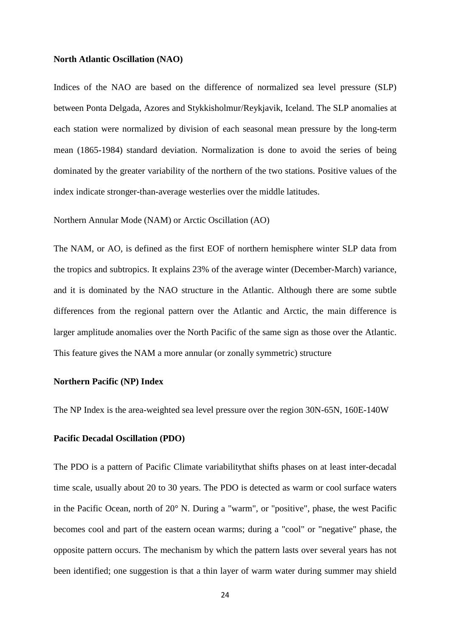#### **North Atlantic Oscillation (NAO)**

Indices of the NAO are based on the difference of normalized sea level pressure (SLP) between Ponta Delgada, Azores and Stykkisholmur/Reykjavik, Iceland. The SLP anomalies at each station were normalized by division of each seasonal mean pressure by the long-term mean (1865-1984) standard deviation. Normalization is done to avoid the series of being dominated by the greater variability of the northern of the two stations. Positive values of the index indicate stronger-than-average westerlies over the middle latitudes.

Northern Annular Mode (NAM) or Arctic Oscillation (AO)

The NAM, or AO, is defined as the first EOF of northern hemisphere winter SLP data from the tropics and subtropics. It explains 23% of the average winter (December-March) variance, and it is dominated by the NAO structure in the Atlantic. Although there are some subtle differences from the regional pattern over the Atlantic and Arctic, the main difference is larger amplitude anomalies over the North Pacific of the same sign as those over the Atlantic. This feature gives the NAM a more annular (or zonally symmetric) structure

#### **Northern Pacific (NP) Index**

The NP Index is the area-weighted sea level pressure over the region 30N-65N, 160E-140W

#### **Pacific Decadal Oscillation (PDO)**

The PDO is a pattern of Pacific Climate variabilitythat shifts phases on at least inter-decadal time scale, usually about 20 to 30 years. The PDO is detected as warm or cool surface waters in the Pacific Ocean, north of 20° N. During a "warm", or "positive", phase, the west Pacific becomes cool and part of the eastern ocean warms; during a "cool" or "negative" phase, the opposite pattern occurs. The mechanism by which the pattern lasts over several years has not been identified; one suggestion is that a thin layer of warm water during summer may shield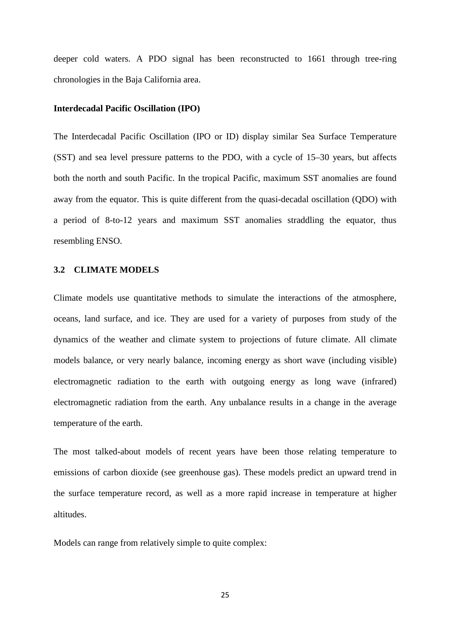deeper cold waters. A PDO signal has been reconstructed to 1661 through tree-ring chronologies in the Baja California area.

#### **Interdecadal Pacific Oscillation (IPO)**

The Interdecadal Pacific Oscillation (IPO or ID) display similar Sea Surface Temperature (SST) and sea level pressure patterns to the PDO, with a cycle of 15–30 years, but affects both the north and south Pacific. In the tropical Pacific, maximum SST anomalies are found away from the equator. This is quite different from the quasi-decadal oscillation (QDO) with a period of 8-to-12 years and maximum SST anomalies straddling the equator, thus resembling ENSO.

#### **3.2 CLIMATE MODELS**

Climate models use quantitative methods to simulate the interactions of the atmosphere, oceans, land surface, and ice. They are used for a variety of purposes from study of the dynamics of the weather and climate system to projections of future climate. All climate models balance, or very nearly balance, incoming energy as short wave (including visible) electromagnetic radiation to the earth with outgoing energy as long wave (infrared) electromagnetic radiation from the earth. Any unbalance results in a change in the average temperature of the earth.

The most talked-about models of recent years have been those relating temperature to emissions of carbon dioxide (see greenhouse gas). These models predict an upward trend in the surface temperature record, as well as a more rapid increase in temperature at higher altitudes.

Models can range from relatively simple to quite complex: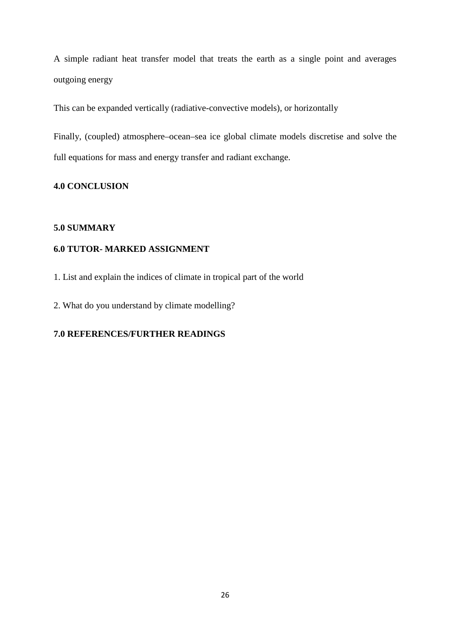A simple radiant heat transfer model that treats the earth as a single point and averages outgoing energy

This can be expanded vertically (radiative-convective models), or horizontally

Finally, (coupled) atmosphere–ocean–sea ice global climate models discretise and solve the full equations for mass and energy transfer and radiant exchange.

# **4.0 CONCLUSION**

# **5.0 SUMMARY**

# **6.0 TUTOR- MARKED ASSIGNMENT**

1. List and explain the indices of climate in tropical part of the world

2. What do you understand by climate modelling?

# **7.0 REFERENCES/FURTHER READINGS**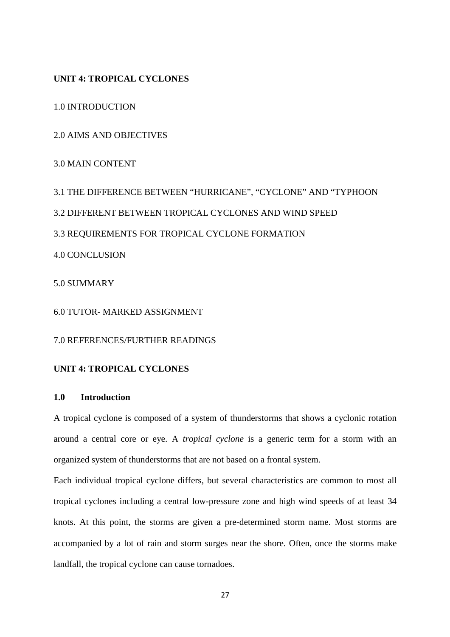## **UNIT 4: TROPICAL CYCLONES**

1.0 INTRODUCTION

## 2.0 AIMS AND OBJECTIVES

3.0 MAIN CONTENT

3.1 THE DIFFERENCE BETWEEN "HURRICANE", "CYCLONE" AND "TYPHOON

3.2 DIFFERENT BETWEEN TROPICAL CYCLONES AND WIND SPEED

3.3 REQUIREMENTS FOR TROPICAL CYCLONE FORMATION

4.0 CONCLUSION

## 5.0 SUMMARY

6.0 TUTOR- MARKED ASSIGNMENT

7.0 REFERENCES/FURTHER READINGS

# **UNIT 4: TROPICAL CYCLONES**

## **1.0 Introduction**

A tropical cyclone is composed of a system of thunderstorms that shows a cyclonic rotation around a central core or eye. A *tropical cyclone* is a generic term for a storm with an organized system of thunderstorms that are not based on a frontal system.

Each individual tropical cyclone differs, but several characteristics are common to most all tropical cyclones including a central low-pressure zone and high wind speeds of at least 34 knots. At this point, the storms are given a pre-determined storm name. Most storms are accompanied by a lot of rain and storm surges near the shore. Often, once the storms make landfall, the tropical cyclone can cause tornadoes.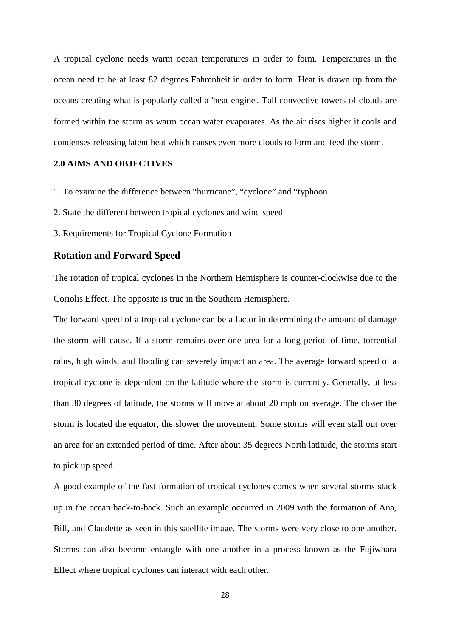A tropical cyclone needs warm ocean temperatures in order to form. Temperatures in the ocean need to be at least 82 degrees Fahrenheit in order to form. Heat is drawn up from the oceans creating what is popularly called a 'heat engine'. Tall convective towers of clouds are formed within the storm as warm ocean water evaporates. As the air rises higher it cools and condenses releasing latent heat which causes even more clouds to form and feed the storm.

## **2.0 AIMS AND OBJECTIVES**

- 1. To examine the difference between "hurricane", "cyclone" and "typhoon
- 2. State the different between tropical cyclones and wind speed
- 3. Requirements for Tropical Cyclone Formation

#### **Rotation and Forward Speed**

The rotation of tropical cyclones in the Northern Hemisphere is counter-clockwise due to the Coriolis Effect. The opposite is true in the Southern Hemisphere.

The forward speed of a tropical cyclone can be a factor in determining the amount of damage the storm will cause. If a storm remains over one area for a long period of time, torrential rains, high winds, and flooding can severely impact an area. The average forward speed of a tropical cyclone is dependent on the latitude where the storm is currently. Generally, at less than 30 degrees of latitude, the storms will move at about 20 mph on average. The closer the storm is located the equator, the slower the movement. Some storms will even stall out over an area for an extended period of time. After about 35 degrees North latitude, the storms start to pick up speed.

A good example of the fast formation of tropical cyclones comes when several storms stack up in the ocean back-to-back. Such an example occurred in 2009 with the formation of Ana, Bill, and Claudette as seen in this satellite image. The storms were very close to one another. Storms can also become entangle with one another in a process known as the Fujiwhara Effect where tropical cyclones can interact with each other.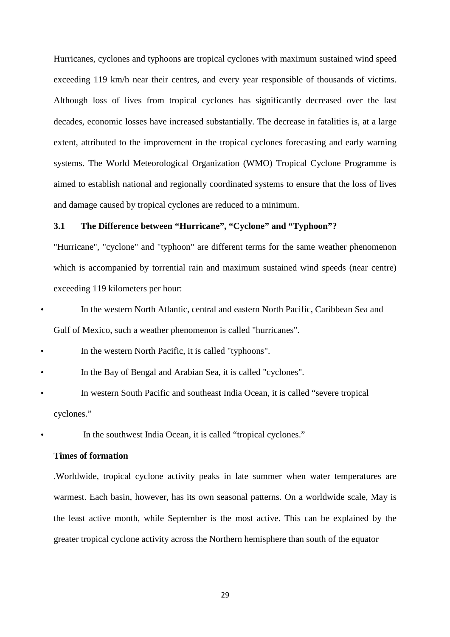Hurricanes, cyclones and typhoons are tropical cyclones with maximum sustained wind speed exceeding 119 km/h near their centres, and every year responsible of thousands of victims. Although loss of lives from tropical cyclones has significantly decreased over the last decades, economic losses have increased substantially. The decrease in fatalities is, at a large extent, attributed to the improvement in the tropical cyclones forecasting and early warning systems. The World Meteorological Organization (WMO) Tropical Cyclone Programme is aimed to establish national and regionally coordinated systems to ensure that the loss of lives and damage caused by tropical cyclones are reduced to a minimum.

## **3.1 The Difference between "Hurricane", "Cyclone" and "Typhoon"?**

"Hurricane", "cyclone" and "typhoon" are different terms for the same weather phenomenon which is accompanied by torrential rain and maximum sustained wind speeds (near centre) exceeding 119 kilometers per hour:

- In the western North Atlantic, central and eastern North Pacific, Caribbean Sea and Gulf of Mexico, such a weather phenomenon is called "hurricanes".
- In the western North Pacific, it is called "typhoons".
- In the Bay of Bengal and Arabian Sea, it is called "cyclones".
- In western South Pacific and southeast India Ocean, it is called "severe tropical cyclones."
	- In the southwest India Ocean, it is called "tropical cyclones."

#### **Times of formation**

.Worldwide, tropical cyclone activity peaks in late summer when water temperatures are warmest. Each basin, however, has its own seasonal patterns. On a worldwide scale, May is the least active month, while September is the most active. This can be explained by the greater tropical cyclone activity across the Northern hemisphere than south of the equator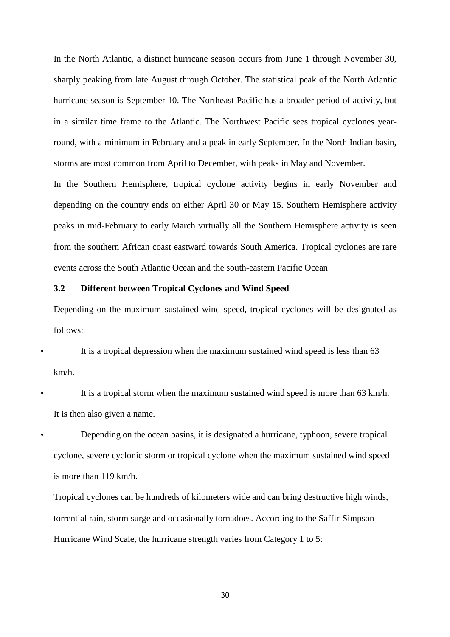In the North Atlantic, a distinct hurricane season occurs from June 1 through November 30, sharply peaking from late August through October. The statistical peak of the North Atlantic hurricane season is September 10. The Northeast Pacific has a broader period of activity, but in a similar time frame to the Atlantic. The Northwest Pacific sees tropical cyclones yearround, with a minimum in February and a peak in early September. In the North Indian basin, storms are most common from April to December, with peaks in May and November.

In the Southern Hemisphere, tropical cyclone activity begins in early November and depending on the country ends on either April 30 or May 15. Southern Hemisphere activity peaks in mid-February to early March virtually all the Southern Hemisphere activity is seen from the southern African coast eastward towards South America. Tropical cyclones are rare events across the South Atlantic Ocean and the south-eastern Pacific Ocean

#### **3.2 Different between Tropical Cyclones and Wind Speed**

Depending on the maximum sustained wind speed, tropical cyclones will be designated as follows:

It is a tropical depression when the maximum sustained wind speed is less than 63 km/h.

It is a tropical storm when the maximum sustained wind speed is more than 63 km/h. It is then also given a name.

• Depending on the ocean basins, it is designated a hurricane, typhoon, severe tropical cyclone, severe cyclonic storm or tropical cyclone when the maximum sustained wind speed is more than 119 km/h.

Tropical cyclones can be hundreds of kilometers wide and can bring destructive high winds, torrential rain, storm surge and occasionally tornadoes. According to the Saffir-Simpson Hurricane Wind Scale, the hurricane strength varies from Category 1 to 5:

30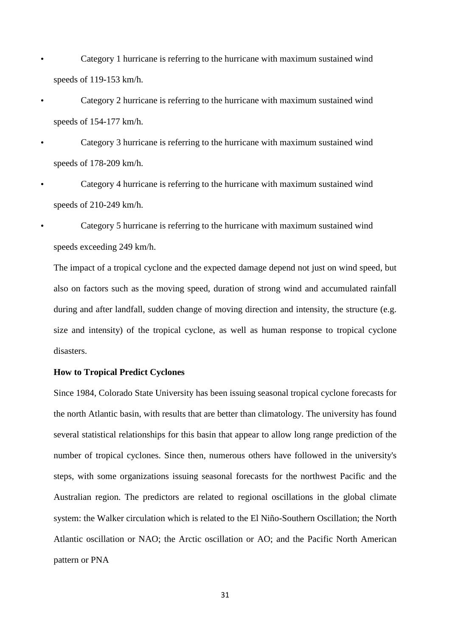- Category 1 hurricane is referring to the hurricane with maximum sustained wind speeds of 119-153 km/h.
- Category 2 hurricane is referring to the hurricane with maximum sustained wind speeds of 154-177 km/h.
- Category 3 hurricane is referring to the hurricane with maximum sustained wind speeds of 178-209 km/h.
- Category 4 hurricane is referring to the hurricane with maximum sustained wind speeds of 210-249 km/h.
- Category 5 hurricane is referring to the hurricane with maximum sustained wind speeds exceeding 249 km/h.

The impact of a tropical cyclone and the expected damage depend not just on wind speed, but also on factors such as the moving speed, duration of strong wind and accumulated rainfall during and after landfall, sudden change of moving direction and intensity, the structure (e.g. size and intensity) of the tropical cyclone, as well as human response to tropical cyclone disasters.

#### **How to Tropical Predict Cyclones**

Since 1984, Colorado State University has been issuing seasonal tropical cyclone forecasts for the north Atlantic basin, with results that are better than climatology. The university has found several statistical relationships for this basin that appear to allow long range prediction of the number of tropical cyclones. Since then, numerous others have followed in the university's steps, with some organizations issuing seasonal forecasts for the northwest Pacific and the Australian region. The predictors are related to regional oscillations in the global climate system: the Walker circulation which is related to the El Niño-Southern Oscillation; the North Atlantic oscillation or NAO; the Arctic oscillation or AO; and the Pacific North American pattern or PNA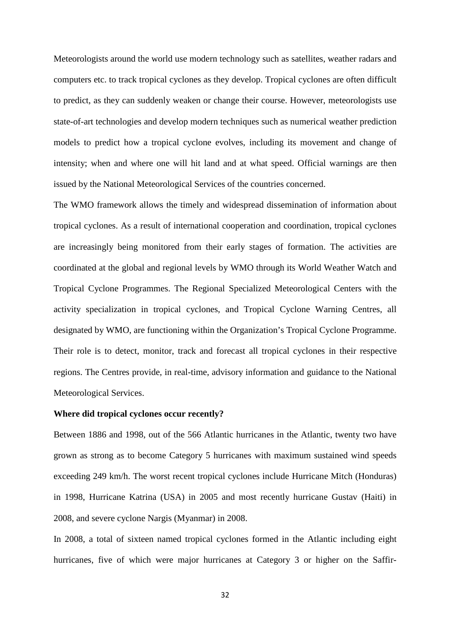Meteorologists around the world use modern technology such as satellites, weather radars and computers etc. to track tropical cyclones as they develop. Tropical cyclones are often difficult to predict, as they can suddenly weaken or change their course. However, meteorologists use state-of-art technologies and develop modern techniques such as numerical weather prediction models to predict how a tropical cyclone evolves, including its movement and change of intensity; when and where one will hit land and at what speed. Official warnings are then issued by the National Meteorological Services of the countries concerned.

The WMO framework allows the timely and widespread dissemination of information about tropical cyclones. As a result of international cooperation and coordination, tropical cyclones are increasingly being monitored from their early stages of formation. The activities are coordinated at the global and regional levels by WMO through its World Weather Watch and Tropical Cyclone Programmes. The Regional Specialized Meteorological Centers with the activity specialization in tropical cyclones, and Tropical Cyclone Warning Centres, all designated by WMO, are functioning within the Organization's Tropical Cyclone Programme. Their role is to detect, monitor, track and forecast all tropical cyclones in their respective regions. The Centres provide, in real-time, advisory information and guidance to the National Meteorological Services.

#### **Where did tropical cyclones occur recently?**

Between 1886 and 1998, out of the 566 Atlantic hurricanes in the Atlantic, twenty two have grown as strong as to become Category 5 hurricanes with maximum sustained wind speeds exceeding 249 km/h. The worst recent tropical cyclones include Hurricane Mitch (Honduras) in 1998, Hurricane Katrina (USA) in 2005 and most recently hurricane Gustav (Haiti) in 2008, and severe cyclone Nargis (Myanmar) in 2008.

In 2008, a total of sixteen named tropical cyclones formed in the Atlantic including eight hurricanes, five of which were major hurricanes at Category 3 or higher on the Saffir-

32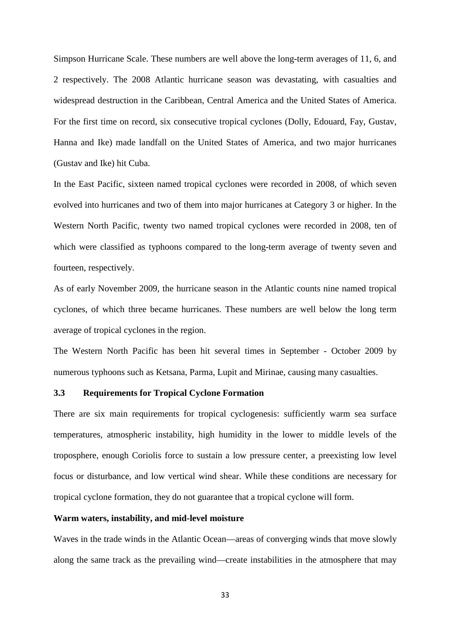Simpson Hurricane Scale. These numbers are well above the long-term averages of 11, 6, and 2 respectively. The 2008 Atlantic hurricane season was devastating, with casualties and widespread destruction in the Caribbean, Central America and the United States of America. For the first time on record, six consecutive tropical cyclones (Dolly, Edouard, Fay, Gustav, Hanna and Ike) made landfall on the United States of America, and two major hurricanes (Gustav and Ike) hit Cuba.

In the East Pacific, sixteen named tropical cyclones were recorded in 2008, of which seven evolved into hurricanes and two of them into major hurricanes at Category 3 or higher. In the Western North Pacific, twenty two named tropical cyclones were recorded in 2008, ten of which were classified as typhoons compared to the long-term average of twenty seven and fourteen, respectively.

As of early November 2009, the hurricane season in the Atlantic counts nine named tropical cyclones, of which three became hurricanes. These numbers are well below the long term average of tropical cyclones in the region.

The Western North Pacific has been hit several times in September - October 2009 by numerous typhoons such as Ketsana, Parma, Lupit and Mirinae, causing many casualties.

## **3.3 Requirements for Tropical Cyclone Formation**

There are six main requirements for tropical cyclogenesis: sufficiently warm sea surface temperatures, atmospheric instability, high humidity in the lower to middle levels of the troposphere, enough Coriolis force to sustain a low pressure center, a preexisting low level focus or disturbance, and low vertical wind shear. While these conditions are necessary for tropical cyclone formation, they do not guarantee that a tropical cyclone will form.

#### **Warm waters, instability, and mid-level moisture**

Waves in the trade winds in the Atlantic Ocean—areas of converging winds that move slowly along the same track as the prevailing wind—create instabilities in the atmosphere that may

33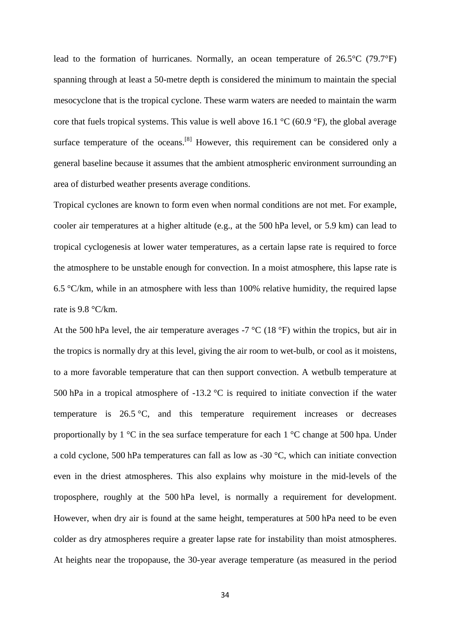lead to the formation of hurricanes. Normally, an ocean temperature of 26.5°C (79.7°F) spanning through at least a 50-metre depth is considered the minimum to maintain the special mesocyclone that is the tropical cyclone. These warm waters are needed to maintain the warm core that fuels tropical systems. This value is well above 16.1  $\degree$ C (60.9  $\degree$ F), the global average surface temperature of the oceans.<sup>[8]</sup> However, this requirement can be considered only a general baseline because it assumes that the ambient atmospheric environment surrounding an area of disturbed weather presents average conditions.

Tropical cyclones are known to form even when normal conditions are not met. For example, cooler air temperatures at a higher altitude (e.g., at the 500 hPa level, or 5.9 km) can lead to tropical cyclogenesis at lower water temperatures, as a certain lapse rate is required to force the atmosphere to be unstable enough for convection. In a moist atmosphere, this lapse rate is 6.5 °C/km, while in an atmosphere with less than 100% relative humidity, the required lapse rate is 9.8 °C/km.

At the 500 hPa level, the air temperature averages -7  $\rm{^{\circ}C}$  (18  $\rm{^{\circ}F}$ ) within the tropics, but air in the tropics is normally dry at this level, giving the air room to wet-bulb, or cool as it moistens, to a more favorable temperature that can then support convection. A wetbulb temperature at 500 hPa in a tropical atmosphere of  $-13.2 \text{ °C}$  is required to initiate convection if the water temperature is 26.5 °C, and this temperature requirement increases or decreases proportionally by 1 °C in the sea surface temperature for each 1 °C change at 500 hpa. Under a cold cyclone, 500 hPa temperatures can fall as low as -30 °C, which can initiate convection even in the driest atmospheres. This also explains why moisture in the mid-levels of the troposphere, roughly at the 500 hPa level, is normally a requirement for development. However, when dry air is found at the same height, temperatures at 500 hPa need to be even colder as dry atmospheres require a greater lapse rate for instability than moist atmospheres. At heights near the tropopause, the 30-year average temperature (as measured in the period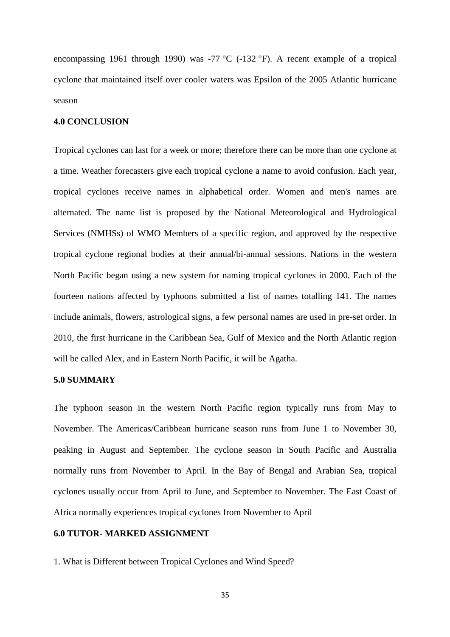encompassing 1961 through 1990) was -77 °C (-132 °F). A recent example of a tropical cyclone that maintained itself over cooler waters was Epsilon of the 2005 Atlantic hurricane season

#### **4.0 CONCLUSION**

Tropical cyclones can last for a week or more; therefore there can be more than one cyclone at a time. Weather forecasters give each tropical cyclone a name to avoid confusion. Each year, tropical cyclones receive names in alphabetical order. Women and men's names are alternated. The name list is proposed by the National Meteorological and Hydrological Services (NMHSs) of WMO Members of a specific region, and approved by the respective tropical cyclone regional bodies at their annual/bi-annual sessions. Nations in the western North Pacific began using a new system for naming tropical cyclones in 2000. Each of the fourteen nations affected by typhoons submitted a list of names totalling 141. The names include animals, flowers, astrological signs, a few personal names are used in pre-set order. In 2010, the first hurricane in the Caribbean Sea, Gulf of Mexico and the North Atlantic region will be called Alex, and in Eastern North Pacific, it will be Agatha.

#### **5.0 SUMMARY**

The typhoon season in the western North Pacific region typically runs from May to November. The Americas/Caribbean hurricane season runs from June 1 to November 30, peaking in August and September. The cyclone season in South Pacific and Australia normally runs from November to April. In the Bay of Bengal and Arabian Sea, tropical cyclones usually occur from April to June, and September to November. The East Coast of Africa normally experiences tropical cyclones from November to April

## **6.0 TUTOR- MARKED ASSIGNMENT**

1. What is Different between Tropical Cyclones and Wind Speed?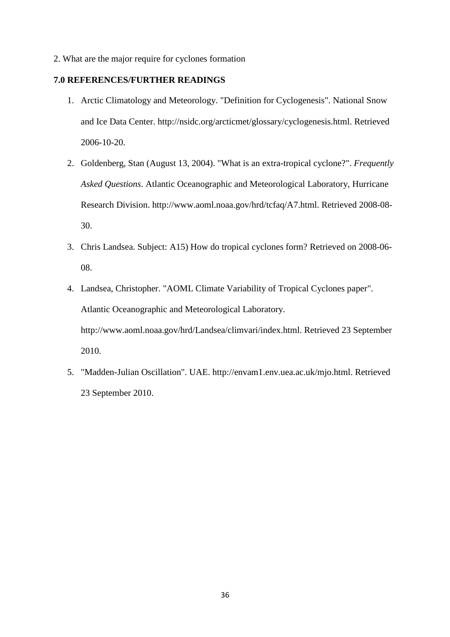2. What are the major require for cyclones formation

## **7.0 REFERENCES/FURTHER READINGS**

- 1. Arctic Climatology and Meteorology. "Definition for Cyclogenesis". National Snow and Ice Data Center. http://nsidc.org/arcticmet/glossary/cyclogenesis.html. Retrieved 2006-10-20.
- 2. Goldenberg, Stan (August 13, 2004). "What is an extra-tropical cyclone?". *Frequently Asked Questions*. Atlantic Oceanographic and Meteorological Laboratory, Hurricane Research Division. http://www.aoml.noaa.gov/hrd/tcfaq/A7.html. Retrieved 2008-08- 30.
- 3. Chris Landsea. Subject: A15) How do tropical cyclones form? Retrieved on 2008-06- 08.
- 4. Landsea, Christopher. "AOML Climate Variability of Tropical Cyclones paper". Atlantic Oceanographic and Meteorological Laboratory. http://www.aoml.noaa.gov/hrd/Landsea/climvari/index.html. Retrieved 23 September 2010.
- 5. "Madden-Julian Oscillation". UAE. http://envam1.env.uea.ac.uk/mjo.html. Retrieved 23 September 2010.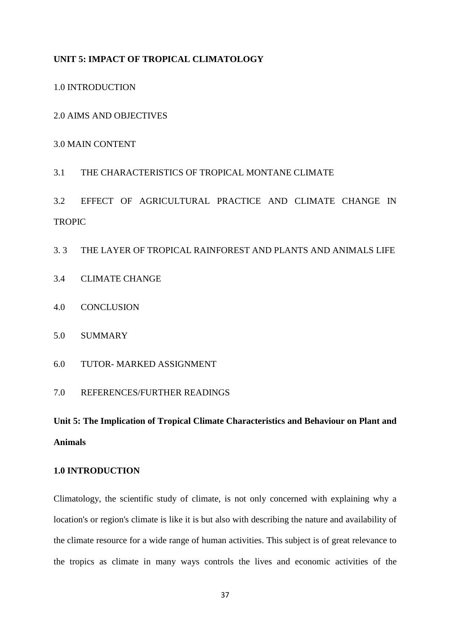# **UNIT 5: IMPACT OF TROPICAL CLIMATOLOGY**

1.0 INTRODUCTION

2.0 AIMS AND OBJECTIVES

3.0 MAIN CONTENT

3.1 THE CHARACTERISTICS OF TROPICAL MONTANE CLIMATE

3.2 EFFECT OF AGRICULTURAL PRACTICE AND CLIMATE CHANGE IN **TROPIC** 

- 3. 3 THE LAYER OF TROPICAL RAINFOREST AND PLANTS AND ANIMALS LIFE
- 3.4 CLIMATE CHANGE
- 4.0 CONCLUSION
- 5.0 SUMMARY
- 6.0 TUTOR- MARKED ASSIGNMENT
- 7.0 REFERENCES/FURTHER READINGS

**Unit 5: The Implication of Tropical Climate Characteristics and Behaviour on Plant and Animals** 

# **1.0 INTRODUCTION**

Climatology, the scientific study of climate, is not only concerned with explaining why a location's or region's climate is like it is but also with describing the nature and availability of the climate resource for a wide range of human activities. This subject is of great relevance to the tropics as climate in many ways controls the lives and economic activities of the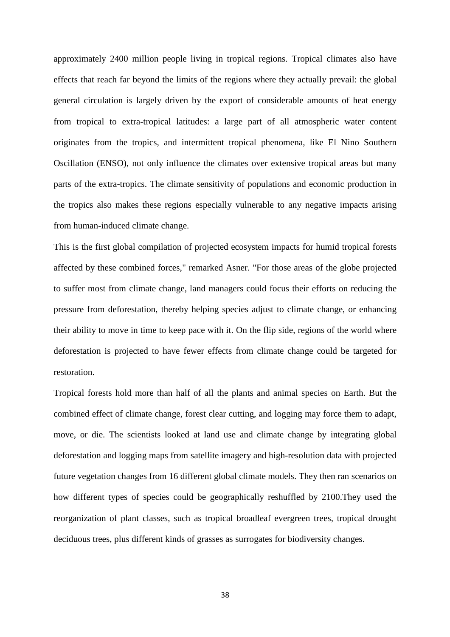approximately 2400 million people living in tropical regions. Tropical climates also have effects that reach far beyond the limits of the regions where they actually prevail: the global general circulation is largely driven by the export of considerable amounts of heat energy from tropical to extra-tropical latitudes: a large part of all atmospheric water content originates from the tropics, and intermittent tropical phenomena, like El Nino Southern Oscillation (ENSO), not only influence the climates over extensive tropical areas but many parts of the extra-tropics. The climate sensitivity of populations and economic production in the tropics also makes these regions especially vulnerable to any negative impacts arising from human-induced climate change.

This is the first global compilation of projected ecosystem impacts for humid tropical forests affected by these combined forces," remarked Asner. "For those areas of the globe projected to suffer most from climate change, land managers could focus their efforts on reducing the pressure from deforestation, thereby helping species adjust to climate change, or enhancing their ability to move in time to keep pace with it. On the flip side, regions of the world where deforestation is projected to have fewer effects from climate change could be targeted for restoration.

Tropical forests hold more than half of all the plants and animal species on Earth. But the combined effect of climate change, forest clear cutting, and logging may force them to adapt, move, or die. The scientists looked at land use and climate change by integrating global deforestation and logging maps from satellite imagery and high-resolution data with projected future vegetation changes from 16 different global climate models. They then ran scenarios on how different types of species could be geographically reshuffled by 2100.They used the reorganization of plant classes, such as tropical broadleaf evergreen trees, tropical drought deciduous trees, plus different kinds of grasses as surrogates for biodiversity changes.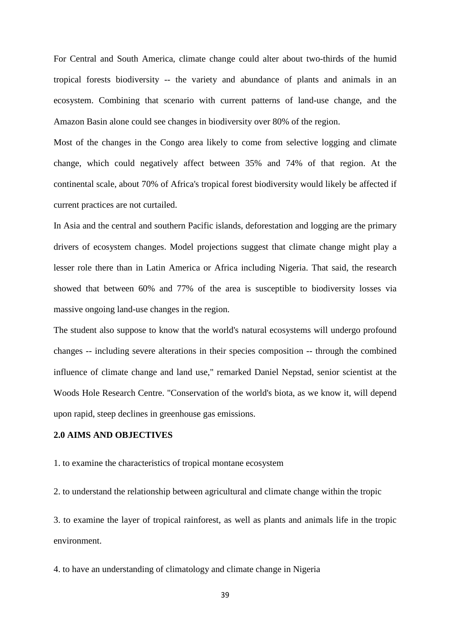For Central and South America, climate change could alter about two-thirds of the humid tropical forests biodiversity -- the variety and abundance of plants and animals in an ecosystem. Combining that scenario with current patterns of land-use change, and the Amazon Basin alone could see changes in biodiversity over 80% of the region.

Most of the changes in the Congo area likely to come from selective logging and climate change, which could negatively affect between 35% and 74% of that region. At the continental scale, about 70% of Africa's tropical forest biodiversity would likely be affected if current practices are not curtailed.

In Asia and the central and southern Pacific islands, deforestation and logging are the primary drivers of ecosystem changes. Model projections suggest that climate change might play a lesser role there than in Latin America or Africa including Nigeria. That said, the research showed that between 60% and 77% of the area is susceptible to biodiversity losses via massive ongoing land-use changes in the region.

The student also suppose to know that the world's natural ecosystems will undergo profound changes -- including severe alterations in their species composition -- through the combined influence of climate change and land use," remarked Daniel Nepstad, senior scientist at the Woods Hole Research Centre. "Conservation of the world's biota, as we know it, will depend upon rapid, steep declines in greenhouse gas emissions.

# **2.0 AIMS AND OBJECTIVES**

1. to examine the characteristics of tropical montane ecosystem

2. to understand the relationship between agricultural and climate change within the tropic

3. to examine the layer of tropical rainforest, as well as plants and animals life in the tropic environment.

4. to have an understanding of climatology and climate change in Nigeria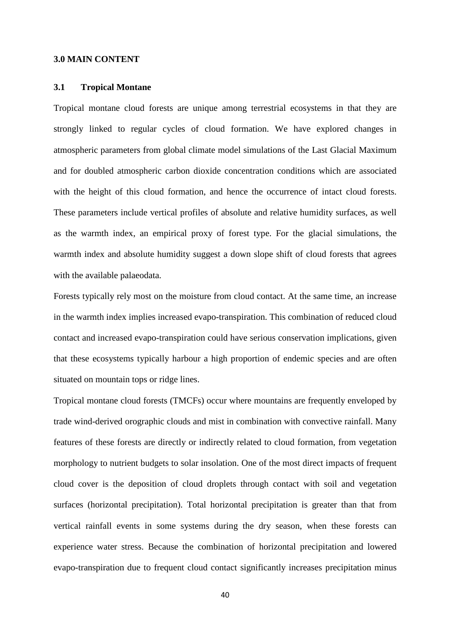#### **3.0 MAIN CONTENT**

#### **3.1 Tropical Montane**

Tropical montane cloud forests are unique among terrestrial ecosystems in that they are strongly linked to regular cycles of cloud formation. We have explored changes in atmospheric parameters from global climate model simulations of the Last Glacial Maximum and for doubled atmospheric carbon dioxide concentration conditions which are associated with the height of this cloud formation, and hence the occurrence of intact cloud forests. These parameters include vertical profiles of absolute and relative humidity surfaces, as well as the warmth index, an empirical proxy of forest type. For the glacial simulations, the warmth index and absolute humidity suggest a down slope shift of cloud forests that agrees with the available palaeodata.

Forests typically rely most on the moisture from cloud contact. At the same time, an increase in the warmth index implies increased evapo-transpiration. This combination of reduced cloud contact and increased evapo-transpiration could have serious conservation implications, given that these ecosystems typically harbour a high proportion of endemic species and are often situated on mountain tops or ridge lines.

Tropical montane cloud forests (TMCFs) occur where mountains are frequently enveloped by trade wind-derived orographic clouds and mist in combination with convective rainfall. Many features of these forests are directly or indirectly related to cloud formation, from vegetation morphology to nutrient budgets to solar insolation. One of the most direct impacts of frequent cloud cover is the deposition of cloud droplets through contact with soil and vegetation surfaces (horizontal precipitation). Total horizontal precipitation is greater than that from vertical rainfall events in some systems during the dry season, when these forests can experience water stress. Because the combination of horizontal precipitation and lowered evapo-transpiration due to frequent cloud contact significantly increases precipitation minus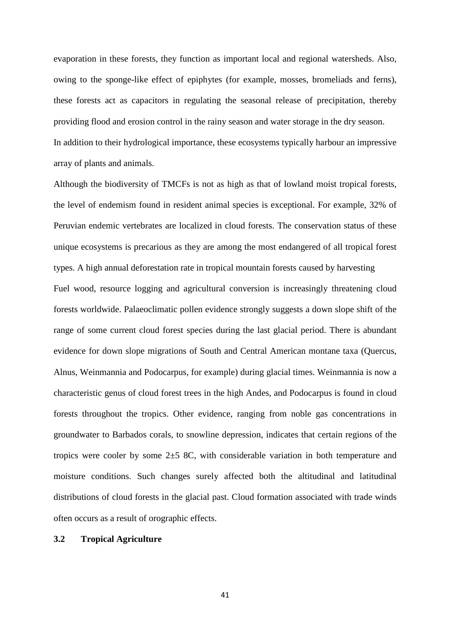evaporation in these forests, they function as important local and regional watersheds. Also, owing to the sponge-like effect of epiphytes (for example, mosses, bromeliads and ferns), these forests act as capacitors in regulating the seasonal release of precipitation, thereby providing flood and erosion control in the rainy season and water storage in the dry season. In addition to their hydrological importance, these ecosystems typically harbour an impressive array of plants and animals.

Although the biodiversity of TMCFs is not as high as that of lowland moist tropical forests, the level of endemism found in resident animal species is exceptional. For example, 32% of Peruvian endemic vertebrates are localized in cloud forests. The conservation status of these unique ecosystems is precarious as they are among the most endangered of all tropical forest types. A high annual deforestation rate in tropical mountain forests caused by harvesting

Fuel wood, resource logging and agricultural conversion is increasingly threatening cloud forests worldwide. Palaeoclimatic pollen evidence strongly suggests a down slope shift of the range of some current cloud forest species during the last glacial period. There is abundant evidence for down slope migrations of South and Central American montane taxa (Quercus, Alnus, Weinmannia and Podocarpus, for example) during glacial times. Weinmannia is now a characteristic genus of cloud forest trees in the high Andes, and Podocarpus is found in cloud forests throughout the tropics. Other evidence, ranging from noble gas concentrations in groundwater to Barbados corals, to snowline depression, indicates that certain regions of the tropics were cooler by some 2±5 8C, with considerable variation in both temperature and moisture conditions. Such changes surely affected both the altitudinal and latitudinal distributions of cloud forests in the glacial past. Cloud formation associated with trade winds often occurs as a result of orographic effects.

#### **3.2 Tropical Agriculture**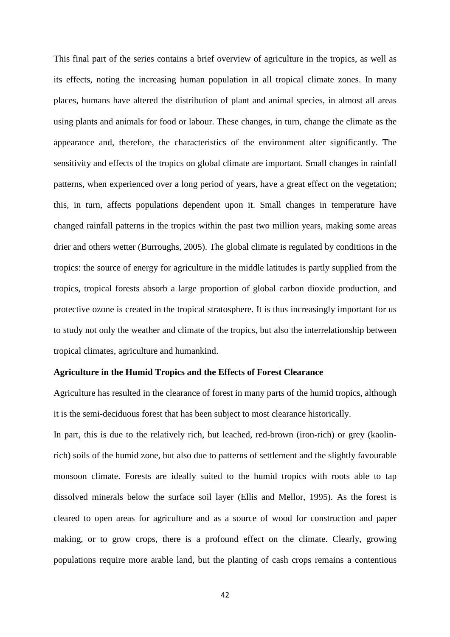This final part of the series contains a brief overview of agriculture in the tropics, as well as its effects, noting the increasing human population in all tropical climate zones. In many places, humans have altered the distribution of plant and animal species, in almost all areas using plants and animals for food or labour. These changes, in turn, change the climate as the appearance and, therefore, the characteristics of the environment alter significantly. The sensitivity and effects of the tropics on global climate are important. Small changes in rainfall patterns, when experienced over a long period of years, have a great effect on the vegetation; this, in turn, affects populations dependent upon it. Small changes in temperature have changed rainfall patterns in the tropics within the past two million years, making some areas drier and others wetter (Burroughs, 2005). The global climate is regulated by conditions in the tropics: the source of energy for agriculture in the middle latitudes is partly supplied from the tropics, tropical forests absorb a large proportion of global carbon dioxide production, and protective ozone is created in the tropical stratosphere. It is thus increasingly important for us to study not only the weather and climate of the tropics, but also the interrelationship between tropical climates, agriculture and humankind.

#### **Agriculture in the Humid Tropics and the Effects of Forest Clearance**

Agriculture has resulted in the clearance of forest in many parts of the humid tropics, although it is the semi-deciduous forest that has been subject to most clearance historically.

In part, this is due to the relatively rich, but leached, red-brown (iron-rich) or grey (kaolinrich) soils of the humid zone, but also due to patterns of settlement and the slightly favourable monsoon climate. Forests are ideally suited to the humid tropics with roots able to tap dissolved minerals below the surface soil layer (Ellis and Mellor, 1995). As the forest is cleared to open areas for agriculture and as a source of wood for construction and paper making, or to grow crops, there is a profound effect on the climate. Clearly, growing populations require more arable land, but the planting of cash crops remains a contentious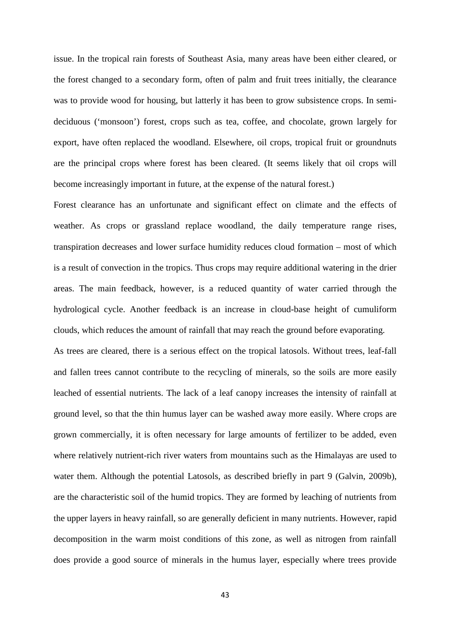issue. In the tropical rain forests of Southeast Asia, many areas have been either cleared, or the forest changed to a secondary form, often of palm and fruit trees initially, the clearance was to provide wood for housing, but latterly it has been to grow subsistence crops. In semideciduous ('monsoon') forest, crops such as tea, coffee, and chocolate, grown largely for export, have often replaced the woodland. Elsewhere, oil crops, tropical fruit or groundnuts are the principal crops where forest has been cleared. (It seems likely that oil crops will become increasingly important in future, at the expense of the natural forest.)

Forest clearance has an unfortunate and significant effect on climate and the effects of weather. As crops or grassland replace woodland, the daily temperature range rises, transpiration decreases and lower surface humidity reduces cloud formation – most of which is a result of convection in the tropics. Thus crops may require additional watering in the drier areas. The main feedback, however, is a reduced quantity of water carried through the hydrological cycle. Another feedback is an increase in cloud-base height of cumuliform clouds, which reduces the amount of rainfall that may reach the ground before evaporating.

As trees are cleared, there is a serious effect on the tropical latosols. Without trees, leaf-fall and fallen trees cannot contribute to the recycling of minerals, so the soils are more easily leached of essential nutrients. The lack of a leaf canopy increases the intensity of rainfall at ground level, so that the thin humus layer can be washed away more easily. Where crops are grown commercially, it is often necessary for large amounts of fertilizer to be added, even where relatively nutrient-rich river waters from mountains such as the Himalayas are used to water them. Although the potential Latosols, as described briefly in part 9 (Galvin, 2009b), are the characteristic soil of the humid tropics. They are formed by leaching of nutrients from the upper layers in heavy rainfall, so are generally deficient in many nutrients. However, rapid decomposition in the warm moist conditions of this zone, as well as nitrogen from rainfall does provide a good source of minerals in the humus layer, especially where trees provide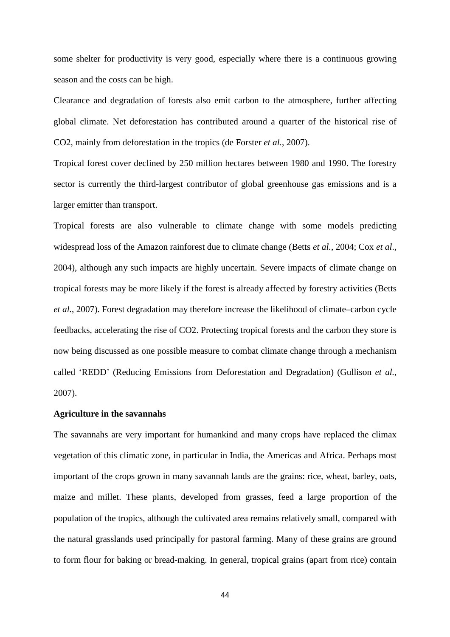some shelter for productivity is very good, especially where there is a continuous growing season and the costs can be high.

Clearance and degradation of forests also emit carbon to the atmosphere, further affecting global climate. Net deforestation has contributed around a quarter of the historical rise of CO2, mainly from deforestation in the tropics (de Forster *et al.*, 2007).

Tropical forest cover declined by 250 million hectares between 1980 and 1990. The forestry sector is currently the third-largest contributor of global greenhouse gas emissions and is a larger emitter than transport.

Tropical forests are also vulnerable to climate change with some models predicting widespread loss of the Amazon rainforest due to climate change (Betts *et al.*, 2004; Cox *et al*., 2004), although any such impacts are highly uncertain. Severe impacts of climate change on tropical forests may be more likely if the forest is already affected by forestry activities (Betts *et al.*, 2007). Forest degradation may therefore increase the likelihood of climate–carbon cycle feedbacks, accelerating the rise of CO2. Protecting tropical forests and the carbon they store is now being discussed as one possible measure to combat climate change through a mechanism called 'REDD' (Reducing Emissions from Deforestation and Degradation) (Gullison *et al.*, 2007).

### **Agriculture in the savannahs**

The savannahs are very important for humankind and many crops have replaced the climax vegetation of this climatic zone, in particular in India, the Americas and Africa. Perhaps most important of the crops grown in many savannah lands are the grains: rice, wheat, barley, oats, maize and millet. These plants, developed from grasses, feed a large proportion of the population of the tropics, although the cultivated area remains relatively small, compared with the natural grasslands used principally for pastoral farming. Many of these grains are ground to form flour for baking or bread-making. In general, tropical grains (apart from rice) contain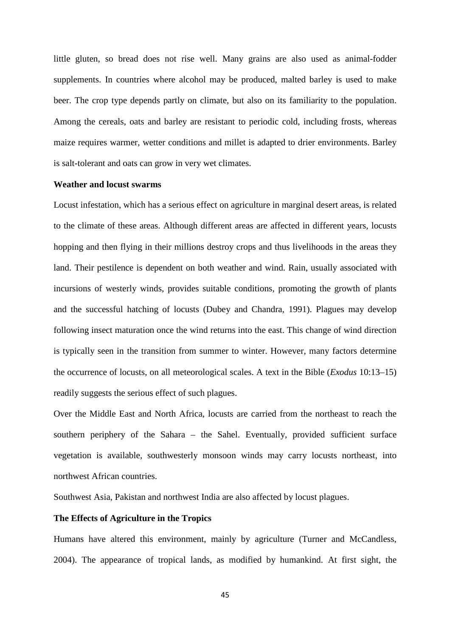little gluten, so bread does not rise well. Many grains are also used as animal-fodder supplements. In countries where alcohol may be produced, malted barley is used to make beer. The crop type depends partly on climate, but also on its familiarity to the population. Among the cereals, oats and barley are resistant to periodic cold, including frosts, whereas maize requires warmer, wetter conditions and millet is adapted to drier environments. Barley is salt-tolerant and oats can grow in very wet climates.

#### **Weather and locust swarms**

Locust infestation, which has a serious effect on agriculture in marginal desert areas, is related to the climate of these areas. Although different areas are affected in different years, locusts hopping and then flying in their millions destroy crops and thus livelihoods in the areas they land. Their pestilence is dependent on both weather and wind. Rain, usually associated with incursions of westerly winds, provides suitable conditions, promoting the growth of plants and the successful hatching of locusts (Dubey and Chandra, 1991). Plagues may develop following insect maturation once the wind returns into the east. This change of wind direction is typically seen in the transition from summer to winter. However, many factors determine the occurrence of locusts, on all meteorological scales. A text in the Bible (*Exodus* 10:13–15) readily suggests the serious effect of such plagues.

Over the Middle East and North Africa, locusts are carried from the northeast to reach the southern periphery of the Sahara – the Sahel. Eventually, provided sufficient surface vegetation is available, southwesterly monsoon winds may carry locusts northeast, into northwest African countries.

Southwest Asia, Pakistan and northwest India are also affected by locust plagues.

# **The Effects of Agriculture in the Tropics**

Humans have altered this environment, mainly by agriculture (Turner and McCandless, 2004). The appearance of tropical lands, as modified by humankind. At first sight, the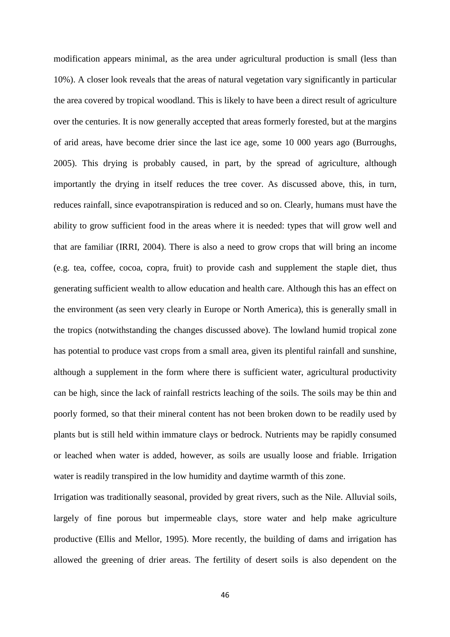modification appears minimal, as the area under agricultural production is small (less than 10%). A closer look reveals that the areas of natural vegetation vary significantly in particular the area covered by tropical woodland. This is likely to have been a direct result of agriculture over the centuries. It is now generally accepted that areas formerly forested, but at the margins of arid areas, have become drier since the last ice age, some 10 000 years ago (Burroughs, 2005). This drying is probably caused, in part, by the spread of agriculture, although importantly the drying in itself reduces the tree cover. As discussed above, this, in turn, reduces rainfall, since evapotranspiration is reduced and so on. Clearly, humans must have the ability to grow sufficient food in the areas where it is needed: types that will grow well and that are familiar (IRRI, 2004). There is also a need to grow crops that will bring an income (e.g. tea, coffee, cocoa, copra, fruit) to provide cash and supplement the staple diet, thus generating sufficient wealth to allow education and health care. Although this has an effect on the environment (as seen very clearly in Europe or North America), this is generally small in the tropics (notwithstanding the changes discussed above). The lowland humid tropical zone has potential to produce vast crops from a small area, given its plentiful rainfall and sunshine, although a supplement in the form where there is sufficient water, agricultural productivity can be high, since the lack of rainfall restricts leaching of the soils. The soils may be thin and poorly formed, so that their mineral content has not been broken down to be readily used by plants but is still held within immature clays or bedrock. Nutrients may be rapidly consumed or leached when water is added, however, as soils are usually loose and friable. Irrigation water is readily transpired in the low humidity and daytime warmth of this zone.

Irrigation was traditionally seasonal, provided by great rivers, such as the Nile. Alluvial soils, largely of fine porous but impermeable clays, store water and help make agriculture productive (Ellis and Mellor, 1995). More recently, the building of dams and irrigation has allowed the greening of drier areas. The fertility of desert soils is also dependent on the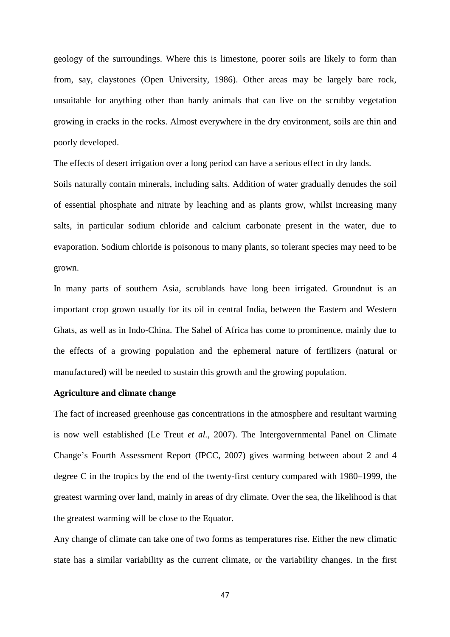geology of the surroundings. Where this is limestone, poorer soils are likely to form than from, say, claystones (Open University, 1986). Other areas may be largely bare rock, unsuitable for anything other than hardy animals that can live on the scrubby vegetation growing in cracks in the rocks. Almost everywhere in the dry environment, soils are thin and poorly developed.

The effects of desert irrigation over a long period can have a serious effect in dry lands.

Soils naturally contain minerals, including salts. Addition of water gradually denudes the soil of essential phosphate and nitrate by leaching and as plants grow, whilst increasing many salts, in particular sodium chloride and calcium carbonate present in the water, due to evaporation. Sodium chloride is poisonous to many plants, so tolerant species may need to be grown.

In many parts of southern Asia, scrublands have long been irrigated. Groundnut is an important crop grown usually for its oil in central India, between the Eastern and Western Ghats, as well as in Indo-China. The Sahel of Africa has come to prominence, mainly due to the effects of a growing population and the ephemeral nature of fertilizers (natural or manufactured) will be needed to sustain this growth and the growing population.

# **Agriculture and climate change**

The fact of increased greenhouse gas concentrations in the atmosphere and resultant warming is now well established (Le Treut *et al.*, 2007). The Intergovernmental Panel on Climate Change's Fourth Assessment Report (IPCC, 2007) gives warming between about 2 and 4 degree C in the tropics by the end of the twenty-first century compared with 1980–1999, the greatest warming over land, mainly in areas of dry climate. Over the sea, the likelihood is that the greatest warming will be close to the Equator.

Any change of climate can take one of two forms as temperatures rise. Either the new climatic state has a similar variability as the current climate, or the variability changes. In the first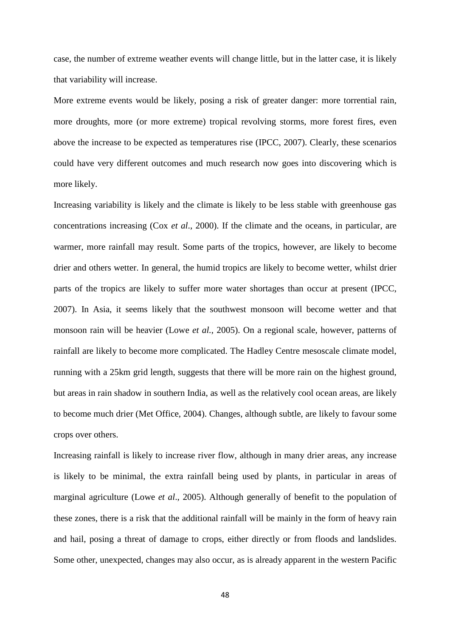case, the number of extreme weather events will change little, but in the latter case, it is likely that variability will increase.

More extreme events would be likely, posing a risk of greater danger: more torrential rain, more droughts, more (or more extreme) tropical revolving storms, more forest fires, even above the increase to be expected as temperatures rise (IPCC, 2007). Clearly, these scenarios could have very different outcomes and much research now goes into discovering which is more likely.

Increasing variability is likely and the climate is likely to be less stable with greenhouse gas concentrations increasing (Cox *et al*., 2000). If the climate and the oceans, in particular, are warmer, more rainfall may result. Some parts of the tropics, however, are likely to become drier and others wetter. In general, the humid tropics are likely to become wetter, whilst drier parts of the tropics are likely to suffer more water shortages than occur at present (IPCC, 2007). In Asia, it seems likely that the southwest monsoon will become wetter and that monsoon rain will be heavier (Lowe *et al.*, 2005). On a regional scale, however, patterns of rainfall are likely to become more complicated. The Hadley Centre mesoscale climate model, running with a 25km grid length, suggests that there will be more rain on the highest ground, but areas in rain shadow in southern India, as well as the relatively cool ocean areas, are likely to become much drier (Met Office, 2004). Changes, although subtle, are likely to favour some crops over others.

Increasing rainfall is likely to increase river flow, although in many drier areas, any increase is likely to be minimal, the extra rainfall being used by plants, in particular in areas of marginal agriculture (Lowe *et al*., 2005). Although generally of benefit to the population of these zones, there is a risk that the additional rainfall will be mainly in the form of heavy rain and hail, posing a threat of damage to crops, either directly or from floods and landslides. Some other, unexpected, changes may also occur, as is already apparent in the western Pacific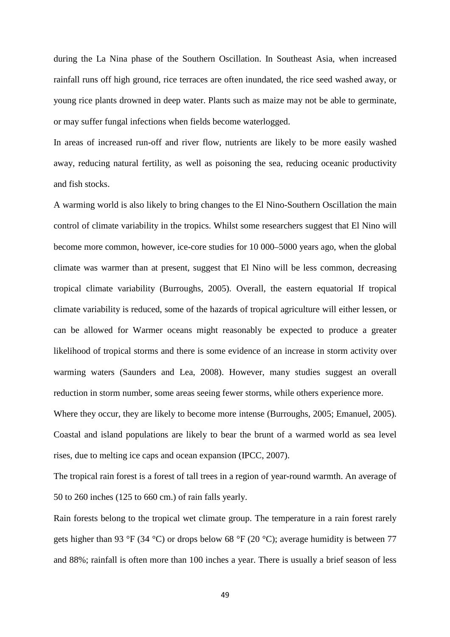during the La Nina phase of the Southern Oscillation. In Southeast Asia, when increased rainfall runs off high ground, rice terraces are often inundated, the rice seed washed away, or young rice plants drowned in deep water. Plants such as maize may not be able to germinate, or may suffer fungal infections when fields become waterlogged.

In areas of increased run-off and river flow, nutrients are likely to be more easily washed away, reducing natural fertility, as well as poisoning the sea, reducing oceanic productivity and fish stocks.

A warming world is also likely to bring changes to the El Nino-Southern Oscillation the main control of climate variability in the tropics. Whilst some researchers suggest that El Nino will become more common, however, ice-core studies for 10 000–5000 years ago, when the global climate was warmer than at present, suggest that El Nino will be less common, decreasing tropical climate variability (Burroughs, 2005). Overall, the eastern equatorial If tropical climate variability is reduced, some of the hazards of tropical agriculture will either lessen, or can be allowed for Warmer oceans might reasonably be expected to produce a greater likelihood of tropical storms and there is some evidence of an increase in storm activity over warming waters (Saunders and Lea, 2008). However, many studies suggest an overall reduction in storm number, some areas seeing fewer storms, while others experience more. Where they occur, they are likely to become more intense (Burroughs, 2005; Emanuel, 2005).

Coastal and island populations are likely to bear the brunt of a warmed world as sea level rises, due to melting ice caps and ocean expansion (IPCC, 2007).

The tropical rain forest is a forest of tall trees in a region of year-round warmth. An average of 50 to 260 inches (125 to 660 cm.) of rain falls yearly.

Rain forests belong to the tropical wet climate group. The temperature in a rain forest rarely gets higher than 93 °F (34 °C) or drops below 68 °F (20 °C); average humidity is between 77 and 88%; rainfall is often more than 100 inches a year. There is usually a brief season of less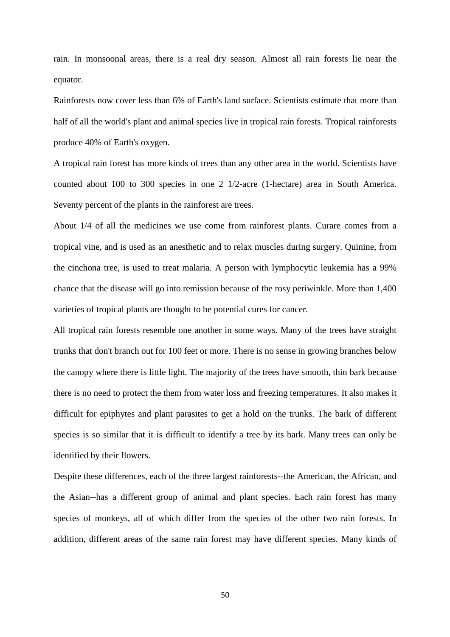rain. In monsoonal areas, there is a real dry season. Almost all rain forests lie near the equator.

Rainforests now cover less than 6% of Earth's land surface. Scientists estimate that more than half of all the world's plant and animal species live in tropical rain forests. Tropical rainforests produce 40% of Earth's oxygen.

A tropical rain forest has more kinds of trees than any other area in the world. Scientists have counted about 100 to 300 species in one 2 1/2-acre (1-hectare) area in South America. Seventy percent of the plants in the rainforest are trees.

About 1/4 of all the medicines we use come from rainforest plants. Curare comes from a tropical vine, and is used as an anesthetic and to relax muscles during surgery. Quinine, from the cinchona tree, is used to treat malaria. A person with lymphocytic leukemia has a 99% chance that the disease will go into remission because of the rosy periwinkle. More than 1,400 varieties of tropical plants are thought to be potential cures for cancer.

All tropical rain forests resemble one another in some ways. Many of the trees have straight trunks that don't branch out for 100 feet or more. There is no sense in growing branches below the canopy where there is little light. The majority of the trees have smooth, thin bark because there is no need to protect the them from water loss and freezing temperatures. It also makes it difficult for epiphytes and plant parasites to get a hold on the trunks. The bark of different species is so similar that it is difficult to identify a tree by its bark. Many trees can only be identified by their flowers.

Despite these differences, each of the three largest rainforests--the American, the African, and the Asian--has a different group of animal and plant species. Each rain forest has many species of monkeys, all of which differ from the species of the other two rain forests. In addition, different areas of the same rain forest may have different species. Many kinds of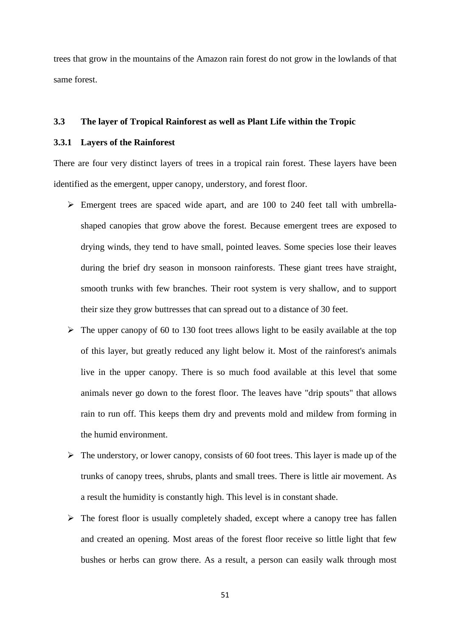trees that grow in the mountains of the Amazon rain forest do not grow in the lowlands of that same forest.

### **3.3 The layer of Tropical Rainforest as well as Plant Life within the Tropic**

### **3.3.1 Layers of the Rainforest**

There are four very distinct layers of trees in a tropical rain forest. These layers have been identified as the emergent, upper canopy, understory, and forest floor.

- $\triangleright$  Emergent trees are spaced wide apart, and are 100 to 240 feet tall with umbrellashaped canopies that grow above the forest. Because emergent trees are exposed to drying winds, they tend to have small, pointed leaves. Some species lose their leaves during the brief dry season in monsoon rainforests. These giant trees have straight, smooth trunks with few branches. Their root system is very shallow, and to support their size they grow buttresses that can spread out to a distance of 30 feet.
- $\triangleright$  The upper canopy of 60 to 130 foot trees allows light to be easily available at the top of this layer, but greatly reduced any light below it. Most of the rainforest's animals live in the upper canopy. There is so much food available at this level that some animals never go down to the forest floor. The leaves have "drip spouts" that allows rain to run off. This keeps them dry and prevents mold and mildew from forming in the humid environment.
- $\triangleright$  The understory, or lower canopy, consists of 60 foot trees. This layer is made up of the trunks of canopy trees, shrubs, plants and small trees. There is little air movement. As a result the humidity is constantly high. This level is in constant shade.
- $\triangleright$  The forest floor is usually completely shaded, except where a canopy tree has fallen and created an opening. Most areas of the forest floor receive so little light that few bushes or herbs can grow there. As a result, a person can easily walk through most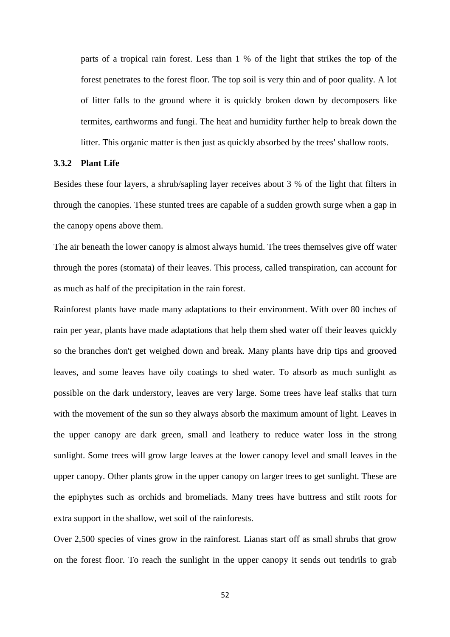parts of a tropical rain forest. Less than 1 % of the light that strikes the top of the forest penetrates to the forest floor. The top soil is very thin and of poor quality. A lot of litter falls to the ground where it is quickly broken down by decomposers like termites, earthworms and fungi. The heat and humidity further help to break down the litter. This organic matter is then just as quickly absorbed by the trees' shallow roots.

### **3.3.2 Plant Life**

Besides these four layers, a shrub/sapling layer receives about 3 % of the light that filters in through the canopies. These stunted trees are capable of a sudden growth surge when a gap in the canopy opens above them.

The air beneath the lower canopy is almost always humid. The trees themselves give off water through the pores (stomata) of their leaves. This process, called transpiration, can account for as much as half of the precipitation in the rain forest.

Rainforest plants have made many adaptations to their environment. With over 80 inches of rain per year, plants have made adaptations that help them shed water off their leaves quickly so the branches don't get weighed down and break. Many plants have drip tips and grooved leaves, and some leaves have oily coatings to shed water. To absorb as much sunlight as possible on the dark understory, leaves are very large. Some trees have leaf stalks that turn with the movement of the sun so they always absorb the maximum amount of light. Leaves in the upper canopy are dark green, small and leathery to reduce water loss in the strong sunlight. Some trees will grow large leaves at the lower canopy level and small leaves in the upper canopy. Other plants grow in the upper canopy on larger trees to get sunlight. These are the epiphytes such as orchids and bromeliads. Many trees have buttress and stilt roots for extra support in the shallow, wet soil of the rainforests.

Over 2,500 species of vines grow in the rainforest. Lianas start off as small shrubs that grow on the forest floor. To reach the sunlight in the upper canopy it sends out tendrils to grab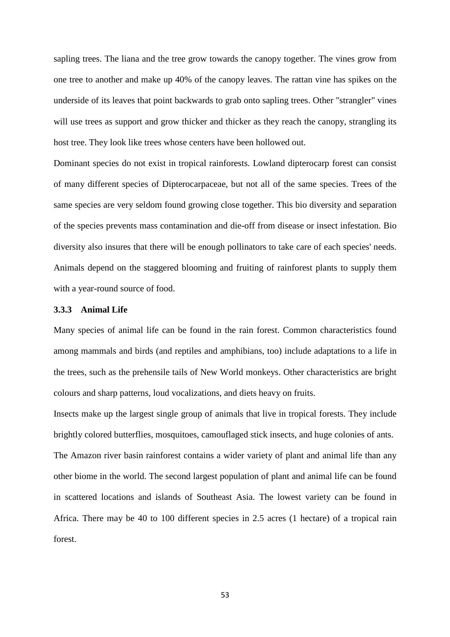sapling trees. The liana and the tree grow towards the canopy together. The vines grow from one tree to another and make up 40% of the canopy leaves. The rattan vine has spikes on the underside of its leaves that point backwards to grab onto sapling trees. Other "strangler" vines will use trees as support and grow thicker and thicker as they reach the canopy, strangling its host tree. They look like trees whose centers have been hollowed out.

Dominant species do not exist in tropical rainforests. Lowland dipterocarp forest can consist of many different species of Dipterocarpaceae, but not all of the same species. Trees of the same species are very seldom found growing close together. This bio diversity and separation of the species prevents mass contamination and die-off from disease or insect infestation. Bio diversity also insures that there will be enough pollinators to take care of each species' needs. Animals depend on the staggered blooming and fruiting of rainforest plants to supply them with a year-round source of food.

#### **3.3.3 Animal Life**

Many species of animal life can be found in the rain forest. Common characteristics found among mammals and birds (and reptiles and amphibians, too) include adaptations to a life in the trees, such as the prehensile tails of New World monkeys. Other characteristics are bright colours and sharp patterns, loud vocalizations, and diets heavy on fruits.

Insects make up the largest single group of animals that live in tropical forests. They include brightly colored butterflies, mosquitoes, camouflaged stick insects, and huge colonies of ants.

The Amazon river basin rainforest contains a wider variety of plant and animal life than any other biome in the world. The second largest population of plant and animal life can be found in scattered locations and islands of Southeast Asia. The lowest variety can be found in Africa. There may be 40 to 100 different species in 2.5 acres (1 hectare) of a tropical rain forest.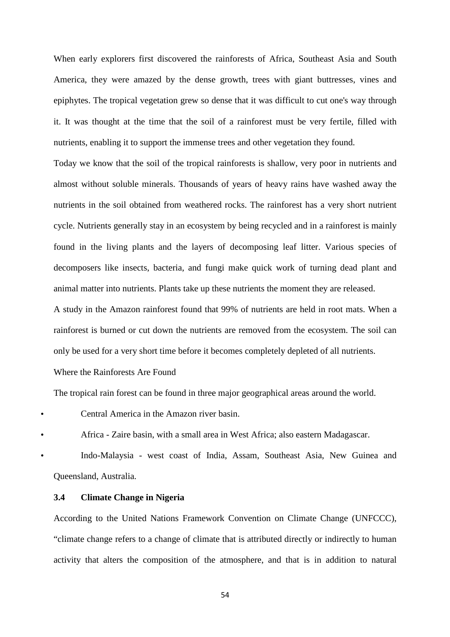When early explorers first discovered the rainforests of Africa, Southeast Asia and South America, they were amazed by the dense growth, trees with giant buttresses, vines and epiphytes. The tropical vegetation grew so dense that it was difficult to cut one's way through it. It was thought at the time that the soil of a rainforest must be very fertile, filled with nutrients, enabling it to support the immense trees and other vegetation they found.

Today we know that the soil of the tropical rainforests is shallow, very poor in nutrients and almost without soluble minerals. Thousands of years of heavy rains have washed away the nutrients in the soil obtained from weathered rocks. The rainforest has a very short nutrient cycle. Nutrients generally stay in an ecosystem by being recycled and in a rainforest is mainly found in the living plants and the layers of decomposing leaf litter. Various species of decomposers like insects, bacteria, and fungi make quick work of turning dead plant and animal matter into nutrients. Plants take up these nutrients the moment they are released.

A study in the Amazon rainforest found that 99% of nutrients are held in root mats. When a rainforest is burned or cut down the nutrients are removed from the ecosystem. The soil can only be used for a very short time before it becomes completely depleted of all nutrients.

Where the Rainforests Are Found

The tropical rain forest can be found in three major geographical areas around the world.

• Central America in the Amazon river basin.

• Africa - Zaire basin, with a small area in West Africa; also eastern Madagascar.

• Indo-Malaysia - west coast of India, Assam, Southeast Asia, New Guinea and Queensland, Australia.

### **3.4 Climate Change in Nigeria**

According to the United Nations Framework Convention on Climate Change (UNFCCC), "climate change refers to a change of climate that is attributed directly or indirectly to human activity that alters the composition of the atmosphere, and that is in addition to natural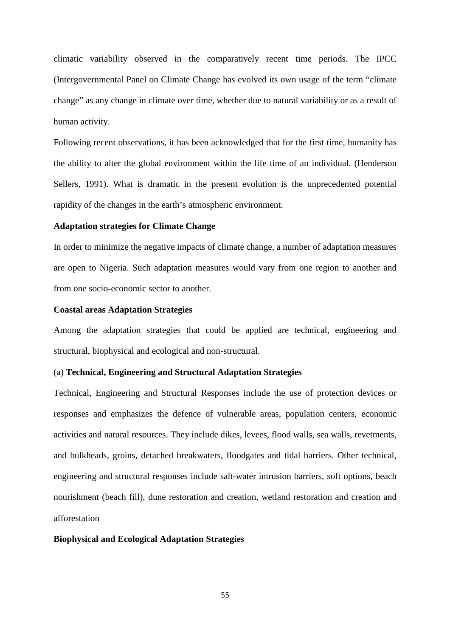climatic variability observed in the comparatively recent time periods. The IPCC (Intergovernmental Panel on Climate Change has evolved its own usage of the term "climate change" as any change in climate over time, whether due to natural variability or as a result of human activity.

Following recent observations, it has been acknowledged that for the first time, humanity has the ability to alter the global environment within the life time of an individual. (Henderson Sellers, 1991). What is dramatic in the present evolution is the unprecedented potential rapidity of the changes in the earth's atmospheric environment.

#### **Adaptation strategies for Climate Change**

In order to minimize the negative impacts of climate change, a number of adaptation measures are open to Nigeria. Such adaptation measures would vary from one region to another and from one socio-economic sector to another.

#### **Coastal areas Adaptation Strategies**

Among the adaptation strategies that could be applied are technical, engineering and structural, biophysical and ecological and non-structural.

#### (a) **Technical, Engineering and Structural Adaptation Strategies**

Technical, Engineering and Structural Responses include the use of protection devices or responses and emphasizes the defence of vulnerable areas, population centers, economic activities and natural resources. They include dikes, levees, flood walls, sea walls, revetments, and bulkheads, groins, detached breakwaters, floodgates and tidal barriers. Other technical, engineering and structural responses include salt-water intrusion barriers, soft options, beach nourishment (beach fill), dune restoration and creation, wetland restoration and creation and afforestation

#### **Biophysical and Ecological Adaptation Strategies**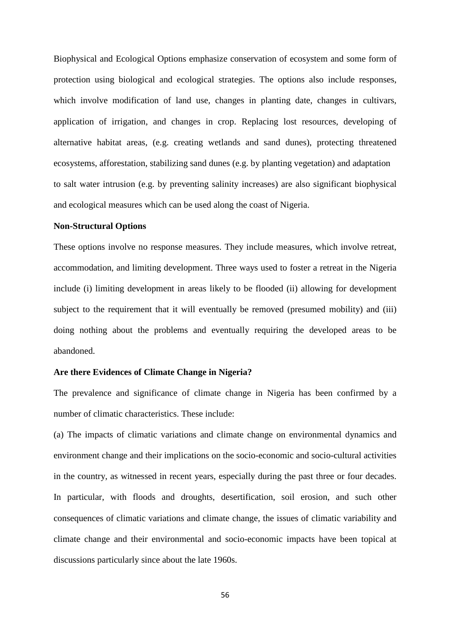Biophysical and Ecological Options emphasize conservation of ecosystem and some form of protection using biological and ecological strategies. The options also include responses, which involve modification of land use, changes in planting date, changes in cultivars, application of irrigation, and changes in crop. Replacing lost resources, developing of alternative habitat areas, (e.g. creating wetlands and sand dunes), protecting threatened ecosystems, afforestation, stabilizing sand dunes (e.g. by planting vegetation) and adaptation to salt water intrusion (e.g. by preventing salinity increases) are also significant biophysical and ecological measures which can be used along the coast of Nigeria.

#### **Non-Structural Options**

These options involve no response measures. They include measures, which involve retreat, accommodation, and limiting development. Three ways used to foster a retreat in the Nigeria include (i) limiting development in areas likely to be flooded (ii) allowing for development subject to the requirement that it will eventually be removed (presumed mobility) and (iii) doing nothing about the problems and eventually requiring the developed areas to be abandoned.

#### **Are there Evidences of Climate Change in Nigeria?**

The prevalence and significance of climate change in Nigeria has been confirmed by a number of climatic characteristics. These include:

(a) The impacts of climatic variations and climate change on environmental dynamics and environment change and their implications on the socio-economic and socio-cultural activities in the country, as witnessed in recent years, especially during the past three or four decades. In particular, with floods and droughts, desertification, soil erosion, and such other consequences of climatic variations and climate change, the issues of climatic variability and climate change and their environmental and socio-economic impacts have been topical at discussions particularly since about the late 1960s.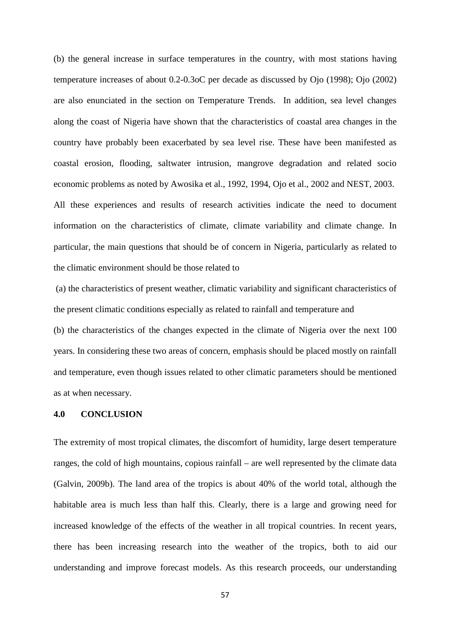(b) the general increase in surface temperatures in the country, with most stations having temperature increases of about 0.2-0.3oC per decade as discussed by Ojo (1998); Ojo (2002) are also enunciated in the section on Temperature Trends. In addition, sea level changes along the coast of Nigeria have shown that the characteristics of coastal area changes in the country have probably been exacerbated by sea level rise. These have been manifested as coastal erosion, flooding, saltwater intrusion, mangrove degradation and related socio economic problems as noted by Awosika et al., 1992, 1994, Ojo et al., 2002 and NEST, 2003. All these experiences and results of research activities indicate the need to document information on the characteristics of climate, climate variability and climate change. In particular, the main questions that should be of concern in Nigeria, particularly as related to the climatic environment should be those related to

 (a) the characteristics of present weather, climatic variability and significant characteristics of the present climatic conditions especially as related to rainfall and temperature and

(b) the characteristics of the changes expected in the climate of Nigeria over the next 100 years. In considering these two areas of concern, emphasis should be placed mostly on rainfall and temperature, even though issues related to other climatic parameters should be mentioned as at when necessary.

#### **4.0 CONCLUSION**

The extremity of most tropical climates, the discomfort of humidity, large desert temperature ranges, the cold of high mountains, copious rainfall – are well represented by the climate data (Galvin, 2009b). The land area of the tropics is about 40% of the world total, although the habitable area is much less than half this. Clearly, there is a large and growing need for increased knowledge of the effects of the weather in all tropical countries. In recent years, there has been increasing research into the weather of the tropics, both to aid our understanding and improve forecast models. As this research proceeds, our understanding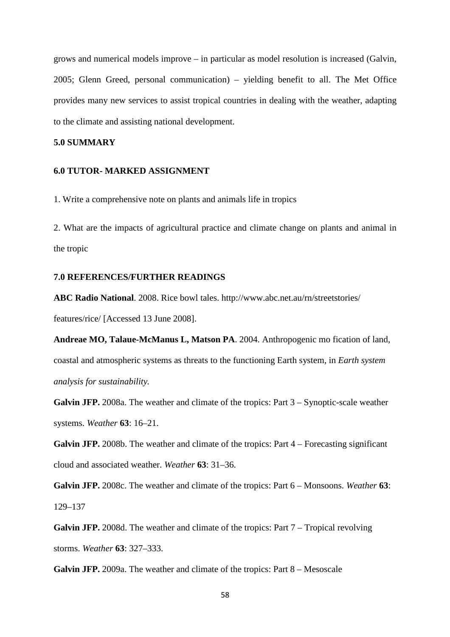grows and numerical models improve – in particular as model resolution is increased (Galvin, 2005; Glenn Greed, personal communication) – yielding benefit to all. The Met Office provides many new services to assist tropical countries in dealing with the weather, adapting to the climate and assisting national development.

#### **5.0 SUMMARY**

# **6.0 TUTOR- MARKED ASSIGNMENT**

1. Write a comprehensive note on plants and animals life in tropics

2. What are the impacts of agricultural practice and climate change on plants and animal in the tropic

# **7.0 REFERENCES/FURTHER READINGS**

features/rice/ [Accessed 13 June 2008].

**ABC Radio National**. 2008. Rice bowl tales. http://www.abc.net.au/rn/streetstories/

**Andreae MO, Talaue-McManus L, Matson PA**. 2004. Anthropogenic mo fication of land,

coastal and atmospheric systems as threats to the functioning Earth system, in *Earth system analysis for sustainability.* 

Galvin JFP. 2008a. The weather and climate of the tropics: Part  $3 -$ Synoptic-scale weather systems. *Weather* **63**: 16–21.

Galvin JFP. 2008b. The weather and climate of the tropics: Part 4 – Forecasting significant cloud and associated weather. *Weather* **63**: 31–36.

**Galvin JFP.** 2008c. The weather and climate of the tropics: Part 6 – Monsoons. *Weather* **63**: 129–137

Galvin JFP. 2008d. The weather and climate of the tropics: Part 7 – Tropical revolving storms. *Weather* **63**: 327–333.

Galvin JFP. 2009a. The weather and climate of the tropics: Part 8 – Mesoscale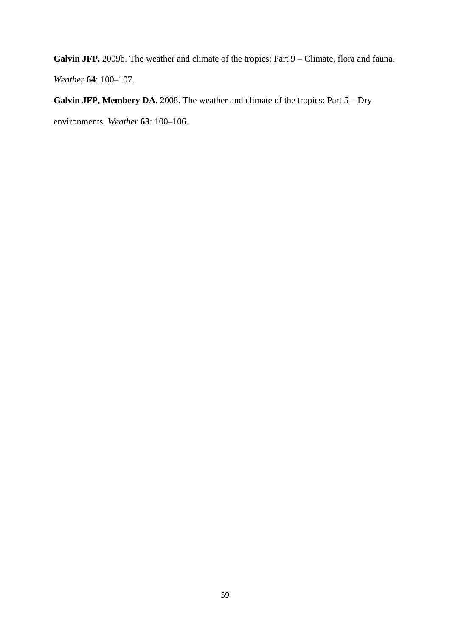Galvin JFP. 2009b. The weather and climate of the tropics: Part 9 – Climate, flora and fauna. *Weather* **64**: 100–107.

Galvin JFP, Membery DA. 2008. The weather and climate of the tropics: Part 5 – Dry environments. *Weather* **63**: 100–106.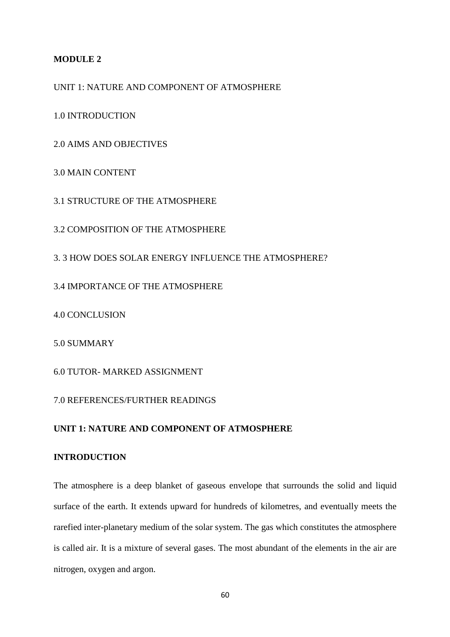# **MODULE 2**

UNIT 1: NATURE AND COMPONENT OF ATMOSPHERE

1.0 INTRODUCTION

2.0 AIMS AND OBJECTIVES

3.0 MAIN CONTENT

3.1 STRUCTURE OF THE ATMOSPHERE

3.2 COMPOSITION OF THE ATMOSPHERE

3. 3 HOW DOES SOLAR ENERGY INFLUENCE THE ATMOSPHERE?

3.4 IMPORTANCE OF THE ATMOSPHERE

4.0 CONCLUSION

5.0 SUMMARY

6.0 TUTOR- MARKED ASSIGNMENT

7.0 REFERENCES/FURTHER READINGS

# **UNIT 1: NATURE AND COMPONENT OF ATMOSPHERE**

# **INTRODUCTION**

The atmosphere is a deep blanket of gaseous envelope that surrounds the solid and liquid surface of the earth. It extends upward for hundreds of kilometres, and eventually meets the rarefied inter-planetary medium of the solar system. The gas which constitutes the atmosphere is called air. It is a mixture of several gases. The most abundant of the elements in the air are nitrogen, oxygen and argon.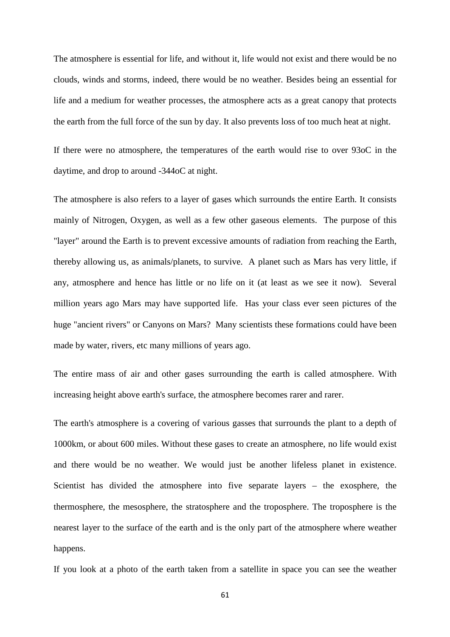The atmosphere is essential for life, and without it, life would not exist and there would be no clouds, winds and storms, indeed, there would be no weather. Besides being an essential for life and a medium for weather processes, the atmosphere acts as a great canopy that protects the earth from the full force of the sun by day. It also prevents loss of too much heat at night.

If there were no atmosphere, the temperatures of the earth would rise to over 93oC in the daytime, and drop to around -344oC at night.

The atmosphere is also refers to a layer of gases which surrounds the entire Earth. It consists mainly of Nitrogen, Oxygen, as well as a few other gaseous elements. The purpose of this "layer" around the Earth is to prevent excessive amounts of radiation from reaching the Earth, thereby allowing us, as animals/planets, to survive. A planet such as Mars has very little, if any, atmosphere and hence has little or no life on it (at least as we see it now). Several million years ago Mars may have supported life. Has your class ever seen pictures of the huge "ancient rivers" or Canyons on Mars? Many scientists these formations could have been made by water, rivers, etc many millions of years ago.

The entire mass of air and other gases surrounding the earth is called atmosphere. With increasing height above earth's surface, the atmosphere becomes rarer and rarer.

The earth's atmosphere is a covering of various gasses that surrounds the plant to a depth of 1000km, or about 600 miles. Without these gases to create an atmosphere, no life would exist and there would be no weather. We would just be another lifeless planet in existence. Scientist has divided the atmosphere into five separate layers – the exosphere, the thermosphere, the mesosphere, the stratosphere and the troposphere. The troposphere is the nearest layer to the surface of the earth and is the only part of the atmosphere where weather happens.

If you look at a photo of the earth taken from a satellite in space you can see the weather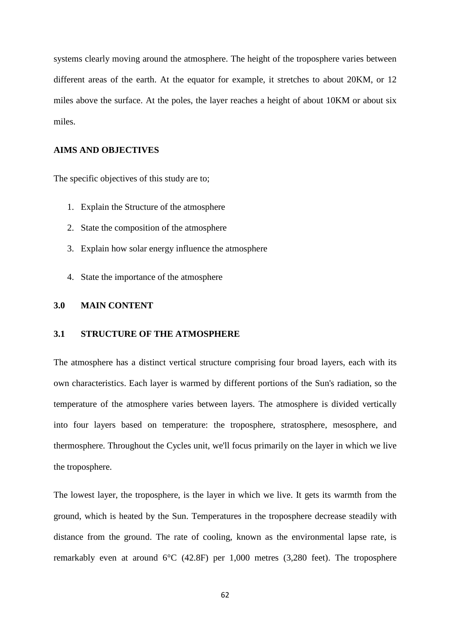systems clearly moving around the atmosphere. The height of the troposphere varies between different areas of the earth. At the equator for example, it stretches to about 20KM, or 12 miles above the surface. At the poles, the layer reaches a height of about 10KM or about six miles.

#### **AIMS AND OBJECTIVES**

The specific objectives of this study are to;

- 1. Explain the Structure of the atmosphere
- 2. State the composition of the atmosphere
- 3. Explain how solar energy influence the atmosphere
- 4. State the importance of the atmosphere

### **3.0 MAIN CONTENT**

#### **3.1 STRUCTURE OF THE ATMOSPHERE**

The atmosphere has a distinct vertical structure comprising four broad layers, each with its own characteristics. Each layer is warmed by different portions of the Sun's radiation, so the temperature of the atmosphere varies between layers. The atmosphere is divided vertically into four layers based on temperature: the troposphere, stratosphere, mesosphere, and thermosphere. Throughout the Cycles unit, we'll focus primarily on the layer in which we live the troposphere.

The lowest layer, the troposphere, is the layer in which we live. It gets its warmth from the ground, which is heated by the Sun. Temperatures in the troposphere decrease steadily with distance from the ground. The rate of cooling, known as the environmental lapse rate, is remarkably even at around 6°C (42.8F) per 1,000 metres (3,280 feet). The troposphere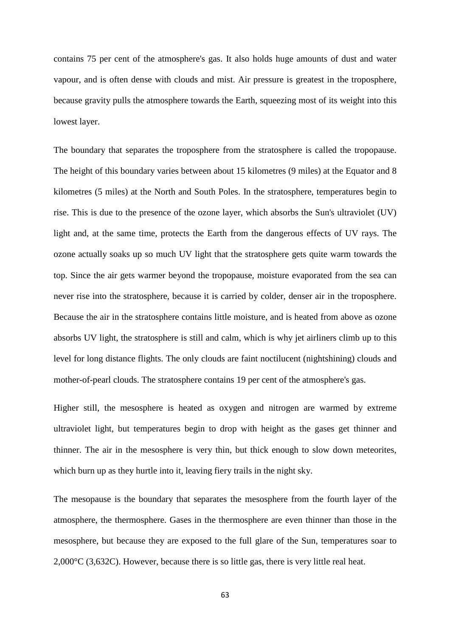contains 75 per cent of the atmosphere's gas. It also holds huge amounts of dust and water vapour, and is often dense with clouds and mist. Air pressure is greatest in the troposphere, because gravity pulls the atmosphere towards the Earth, squeezing most of its weight into this lowest layer.

The boundary that separates the troposphere from the stratosphere is called the tropopause. The height of this boundary varies between about 15 kilometres (9 miles) at the Equator and 8 kilometres (5 miles) at the North and South Poles. In the stratosphere, temperatures begin to rise. This is due to the presence of the ozone layer, which absorbs the Sun's ultraviolet (UV) light and, at the same time, protects the Earth from the dangerous effects of UV rays. The ozone actually soaks up so much UV light that the stratosphere gets quite warm towards the top. Since the air gets warmer beyond the tropopause, moisture evaporated from the sea can never rise into the stratosphere, because it is carried by colder, denser air in the troposphere. Because the air in the stratosphere contains little moisture, and is heated from above as ozone absorbs UV light, the stratosphere is still and calm, which is why jet airliners climb up to this level for long distance flights. The only clouds are faint noctilucent (nightshining) clouds and mother-of-pearl clouds. The stratosphere contains 19 per cent of the atmosphere's gas.

Higher still, the mesosphere is heated as oxygen and nitrogen are warmed by extreme ultraviolet light, but temperatures begin to drop with height as the gases get thinner and thinner. The air in the mesosphere is very thin, but thick enough to slow down meteorites, which burn up as they hurtle into it, leaving fiery trails in the night sky.

The mesopause is the boundary that separates the mesosphere from the fourth layer of the atmosphere, the thermosphere. Gases in the thermosphere are even thinner than those in the mesosphere, but because they are exposed to the full glare of the Sun, temperatures soar to 2,000°C (3,632C). However, because there is so little gas, there is very little real heat.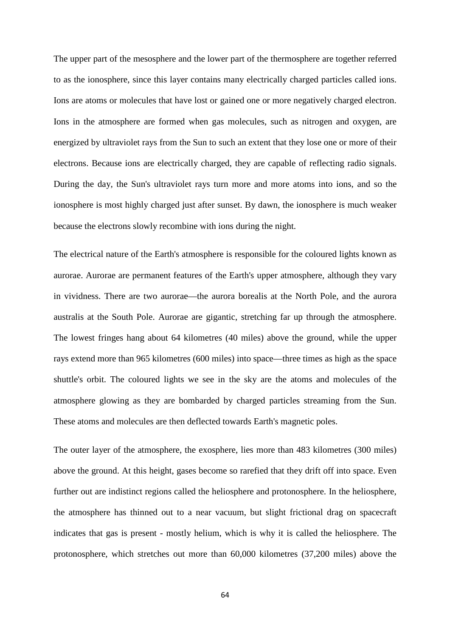The upper part of the mesosphere and the lower part of the thermosphere are together referred to as the ionosphere, since this layer contains many electrically charged particles called ions. Ions are atoms or molecules that have lost or gained one or more negatively charged electron. Ions in the atmosphere are formed when gas molecules, such as nitrogen and oxygen, are energized by ultraviolet rays from the Sun to such an extent that they lose one or more of their electrons. Because ions are electrically charged, they are capable of reflecting radio signals. During the day, the Sun's ultraviolet rays turn more and more atoms into ions, and so the ionosphere is most highly charged just after sunset. By dawn, the ionosphere is much weaker because the electrons slowly recombine with ions during the night.

The electrical nature of the Earth's atmosphere is responsible for the coloured lights known as aurorae. Aurorae are permanent features of the Earth's upper atmosphere, although they vary in vividness. There are two aurorae—the aurora borealis at the North Pole, and the aurora australis at the South Pole. Aurorae are gigantic, stretching far up through the atmosphere. The lowest fringes hang about 64 kilometres (40 miles) above the ground, while the upper rays extend more than 965 kilometres (600 miles) into space—three times as high as the space shuttle's orbit. The coloured lights we see in the sky are the atoms and molecules of the atmosphere glowing as they are bombarded by charged particles streaming from the Sun. These atoms and molecules are then deflected towards Earth's magnetic poles.

The outer layer of the atmosphere, the exosphere, lies more than 483 kilometres (300 miles) above the ground. At this height, gases become so rarefied that they drift off into space. Even further out are indistinct regions called the heliosphere and protonosphere. In the heliosphere, the atmosphere has thinned out to a near vacuum, but slight frictional drag on spacecraft indicates that gas is present - mostly helium, which is why it is called the heliosphere. The protonosphere, which stretches out more than 60,000 kilometres (37,200 miles) above the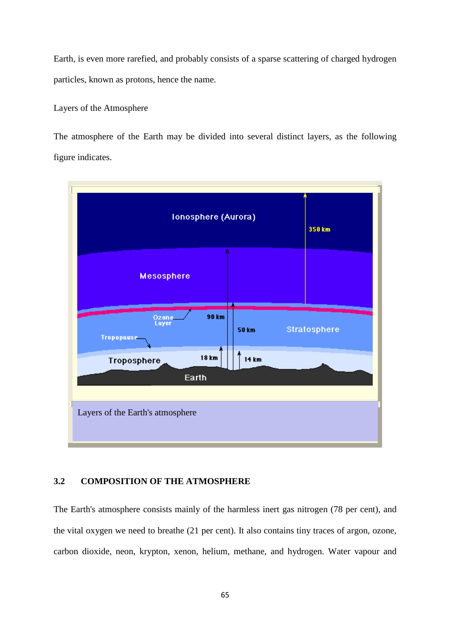Earth, is even more rarefied, and probably consists of a sparse scattering of charged hydrogen particles, known as protons, hence the name.

Layers of the Atmosphere

The atmosphere of the Earth may be divided into several distinct layers, as the following figure indicates.



# **3.2 COMPOSITION OF THE ATMOSPHERE**

The Earth's atmosphere consists mainly of the harmless inert gas nitrogen (78 per cent), and the vital oxygen we need to breathe (21 per cent). It also contains tiny traces of argon, ozone, carbon dioxide, neon, krypton, xenon, helium, methane, and hydrogen. Water vapour and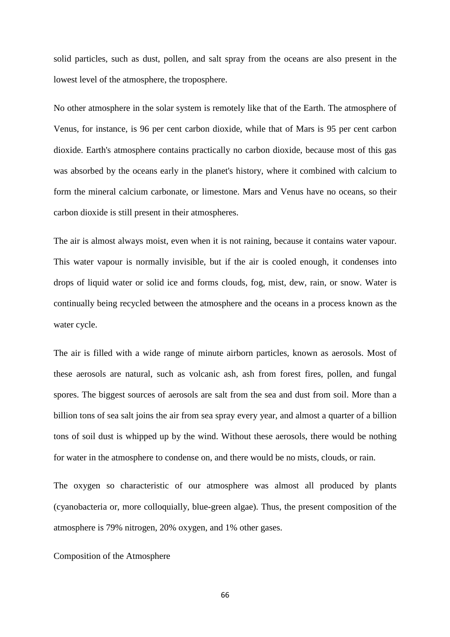solid particles, such as dust, pollen, and salt spray from the oceans are also present in the lowest level of the atmosphere, the troposphere.

No other atmosphere in the solar system is remotely like that of the Earth. The atmosphere of Venus, for instance, is 96 per cent carbon dioxide, while that of Mars is 95 per cent carbon dioxide. Earth's atmosphere contains practically no carbon dioxide, because most of this gas was absorbed by the oceans early in the planet's history, where it combined with calcium to form the mineral calcium carbonate, or limestone. Mars and Venus have no oceans, so their carbon dioxide is still present in their atmospheres.

The air is almost always moist, even when it is not raining, because it contains water vapour. This water vapour is normally invisible, but if the air is cooled enough, it condenses into drops of liquid water or solid ice and forms clouds, fog, mist, dew, rain, or snow. Water is continually being recycled between the atmosphere and the oceans in a process known as the water cycle.

The air is filled with a wide range of minute airborn particles, known as aerosols. Most of these aerosols are natural, such as volcanic ash, ash from forest fires, pollen, and fungal spores. The biggest sources of aerosols are salt from the sea and dust from soil. More than a billion tons of sea salt joins the air from sea spray every year, and almost a quarter of a billion tons of soil dust is whipped up by the wind. Without these aerosols, there would be nothing for water in the atmosphere to condense on, and there would be no mists, clouds, or rain.

The oxygen so characteristic of our atmosphere was almost all produced by plants (cyanobacteria or, more colloquially, blue-green algae). Thus, the present composition of the atmosphere is 79% nitrogen, 20% oxygen, and 1% other gases.

Composition of the Atmosphere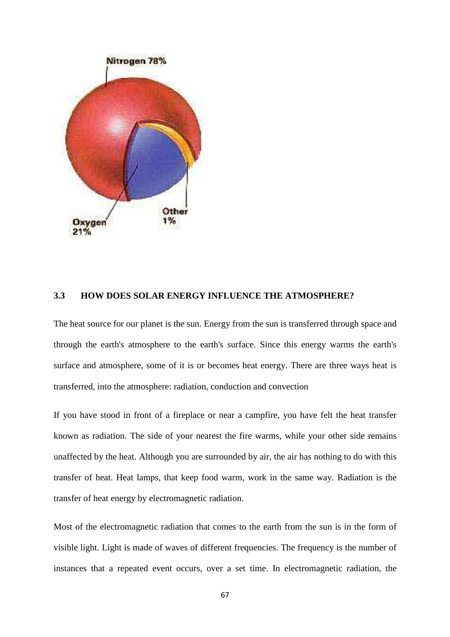

# **3.3 HOW DOES SOLAR ENERGY INFLUENCE THE ATMOSPHERE?**

The heat source for our planet is the sun. Energy from the sun is transferred through space and through the earth's atmosphere to the earth's surface. Since this energy warms the earth's surface and atmosphere, some of it is or becomes heat energy. There are three ways heat is transferred, into the atmosphere: radiation, conduction and convection

If you have stood in front of a fireplace or near a campfire, you have felt the heat transfer known as radiation. The side of your nearest the fire warms, while your other side remains unaffected by the heat. Although you are surrounded by air, the air has nothing to do with this transfer of heat. Heat lamps, that keep food warm, work in the same way. Radiation is the transfer of heat energy by electromagnetic radiation.

Most of the electromagnetic radiation that comes to the earth from the sun is in the form of visible light. Light is made of waves of different frequencies. The frequency is the number of instances that a repeated event occurs, over a set time. In electromagnetic radiation, the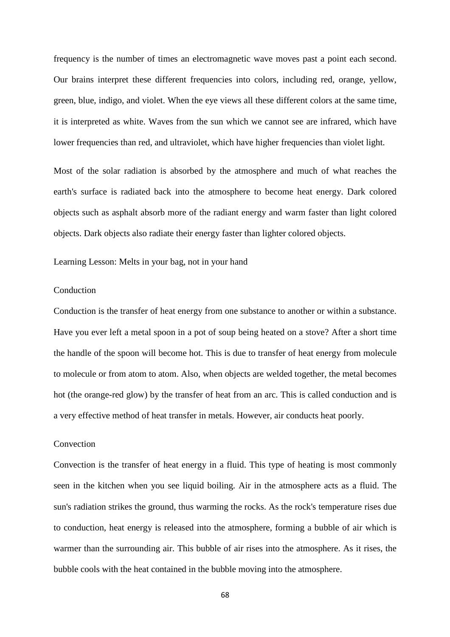frequency is the number of times an electromagnetic wave moves past a point each second. Our brains interpret these different frequencies into colors, including red, orange, yellow, green, blue, indigo, and violet. When the eye views all these different colors at the same time, it is interpreted as white. Waves from the sun which we cannot see are infrared, which have lower frequencies than red, and ultraviolet, which have higher frequencies than violet light.

Most of the solar radiation is absorbed by the atmosphere and much of what reaches the earth's surface is radiated back into the atmosphere to become heat energy. Dark colored objects such as asphalt absorb more of the radiant energy and warm faster than light colored objects. Dark objects also radiate their energy faster than lighter colored objects.

Learning Lesson: Melts in your bag, not in your hand

### Conduction

Conduction is the transfer of heat energy from one substance to another or within a substance. Have you ever left a metal spoon in a pot of soup being heated on a stove? After a short time the handle of the spoon will become hot. This is due to transfer of heat energy from molecule to molecule or from atom to atom. Also, when objects are welded together, the metal becomes hot (the orange-red glow) by the transfer of heat from an arc. This is called conduction and is a very effective method of heat transfer in metals. However, air conducts heat poorly.

### **Convection**

Convection is the transfer of heat energy in a fluid. This type of heating is most commonly seen in the kitchen when you see liquid boiling. Air in the atmosphere acts as a fluid. The sun's radiation strikes the ground, thus warming the rocks. As the rock's temperature rises due to conduction, heat energy is released into the atmosphere, forming a bubble of air which is warmer than the surrounding air. This bubble of air rises into the atmosphere. As it rises, the bubble cools with the heat contained in the bubble moving into the atmosphere.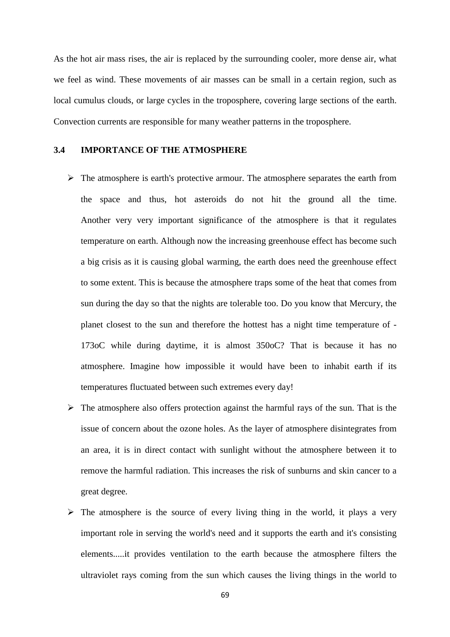As the hot air mass rises, the air is replaced by the surrounding cooler, more dense air, what we feel as wind. These movements of air masses can be small in a certain region, such as local cumulus clouds, or large cycles in the troposphere, covering large sections of the earth. Convection currents are responsible for many weather patterns in the troposphere.

# **3.4 IMPORTANCE OF THE ATMOSPHERE**

- $\triangleright$  The atmosphere is earth's protective armour. The atmosphere separates the earth from the space and thus, hot asteroids do not hit the ground all the time. Another very very important significance of the atmosphere is that it regulates temperature on earth. Although now the increasing greenhouse effect has become such a big crisis as it is causing global warming, the earth does need the greenhouse effect to some extent. This is because the atmosphere traps some of the heat that comes from sun during the day so that the nights are tolerable too. Do you know that Mercury, the planet closest to the sun and therefore the hottest has a night time temperature of - 173oC while during daytime, it is almost 350oC? That is because it has no atmosphere. Imagine how impossible it would have been to inhabit earth if its temperatures fluctuated between such extremes every day!
- $\triangleright$  The atmosphere also offers protection against the harmful rays of the sun. That is the issue of concern about the ozone holes. As the layer of atmosphere disintegrates from an area, it is in direct contact with sunlight without the atmosphere between it to remove the harmful radiation. This increases the risk of sunburns and skin cancer to a great degree.
- $\triangleright$  The atmosphere is the source of every living thing in the world, it plays a very important role in serving the world's need and it supports the earth and it's consisting elements.....it provides ventilation to the earth because the atmosphere filters the ultraviolet rays coming from the sun which causes the living things in the world to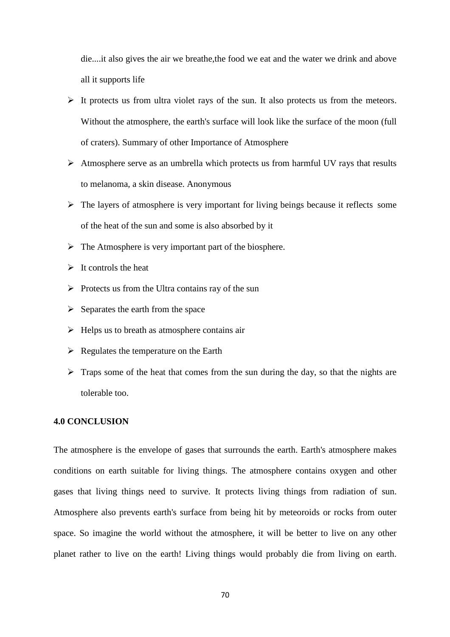die....it also gives the air we breathe,the food we eat and the water we drink and above all it supports life

- $\triangleright$  It protects us from ultra violet rays of the sun. It also protects us from the meteors. Without the atmosphere, the earth's surface will look like the surface of the moon (full of craters). Summary of other Importance of Atmosphere
- $\triangleright$  Atmosphere serve as an umbrella which protects us from harmful UV rays that results to melanoma, a skin disease. Anonymous
- $\triangleright$  The layers of atmosphere is very important for living beings because it reflects some of the heat of the sun and some is also absorbed by it
- $\triangleright$  The Atmosphere is very important part of the biosphere.
- $\triangleright$  It controls the heat
- $\triangleright$  Protects us from the Ultra contains ray of the sun
- $\triangleright$  Separates the earth from the space
- $\triangleright$  Helps us to breath as atmosphere contains air
- $\triangleright$  Regulates the temperature on the Earth
- $\triangleright$  Traps some of the heat that comes from the sun during the day, so that the nights are tolerable too.

# **4.0 CONCLUSION**

The atmosphere is the envelope of gases that surrounds the earth. Earth's atmosphere makes conditions on earth suitable for living things. The atmosphere contains oxygen and other gases that living things need to survive. It protects living things from radiation of sun. Atmosphere also prevents earth's surface from being hit by meteoroids or rocks from outer space. So imagine the world without the atmosphere, it will be better to live on any other planet rather to live on the earth! Living things would probably die from living on earth.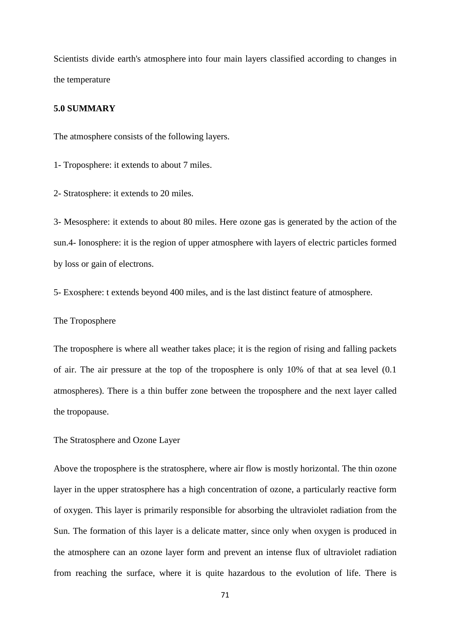Scientists divide earth's atmosphere into four main layers classified according to changes in the temperature

#### **5.0 SUMMARY**

The atmosphere consists of the following layers.

1- Troposphere: it extends to about 7 miles.

2- Stratosphere: it extends to 20 miles.

3- Mesosphere: it extends to about 80 miles. Here ozone gas is generated by the action of the sun.4- Ionosphere: it is the region of upper atmosphere with layers of electric particles formed by loss or gain of electrons.

5- Exosphere: t extends beyond 400 miles, and is the last distinct feature of atmosphere.

#### The Troposphere

The troposphere is where all weather takes place; it is the region of rising and falling packets of air. The air pressure at the top of the troposphere is only 10% of that at sea level (0.1 atmospheres). There is a thin buffer zone between the troposphere and the next layer called the tropopause.

The Stratosphere and Ozone Layer

Above the troposphere is the stratosphere, where air flow is mostly horizontal. The thin ozone layer in the upper stratosphere has a high concentration of ozone, a particularly reactive form of oxygen. This layer is primarily responsible for absorbing the ultraviolet radiation from the Sun. The formation of this layer is a delicate matter, since only when oxygen is produced in the atmosphere can an ozone layer form and prevent an intense flux of ultraviolet radiation from reaching the surface, where it is quite hazardous to the evolution of life. There is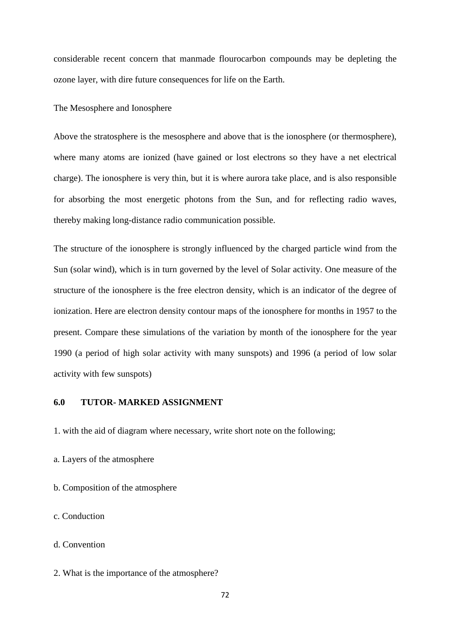considerable recent concern that manmade flourocarbon compounds may be depleting the ozone layer, with dire future consequences for life on the Earth.

#### The Mesosphere and Ionosphere

Above the stratosphere is the mesosphere and above that is the ionosphere (or thermosphere), where many atoms are ionized (have gained or lost electrons so they have a net electrical charge). The ionosphere is very thin, but it is where aurora take place, and is also responsible for absorbing the most energetic photons from the Sun, and for reflecting radio waves, thereby making long-distance radio communication possible.

The structure of the ionosphere is strongly influenced by the charged particle wind from the Sun (solar wind), which is in turn governed by the level of Solar activity. One measure of the structure of the ionosphere is the free electron density, which is an indicator of the degree of ionization. Here are electron density contour maps of the ionosphere for months in 1957 to the present. Compare these simulations of the variation by month of the ionosphere for the year 1990 (a period of high solar activity with many sunspots) and 1996 (a period of low solar activity with few sunspots)

# **6.0 TUTOR- MARKED ASSIGNMENT**

1. with the aid of diagram where necessary, write short note on the following;

a. Layers of the atmosphere

b. Composition of the atmosphere

c. Conduction

# d. Convention

2. What is the importance of the atmosphere?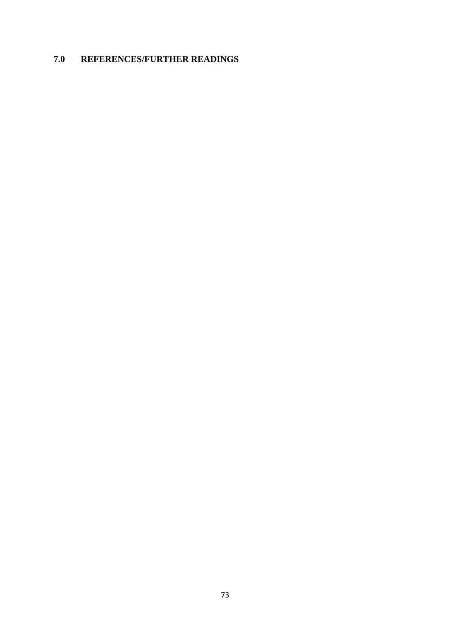# **7.0 REFERENCES/FURTHER READINGS**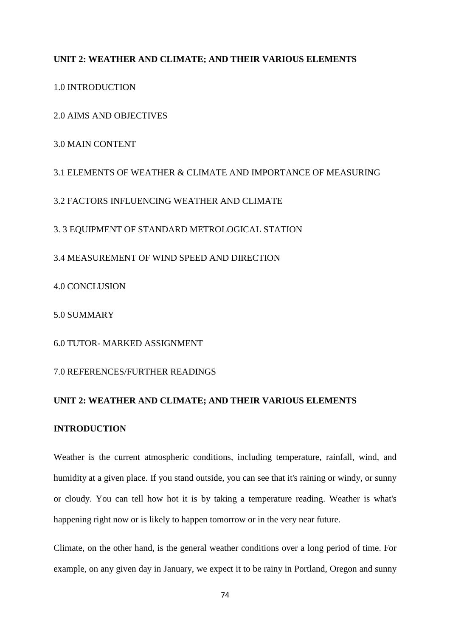# **UNIT 2: WEATHER AND CLIMATE; AND THEIR VARIOUS ELEMENTS**

1.0 INTRODUCTION

2.0 AIMS AND OBJECTIVES

3.0 MAIN CONTENT

3.1 ELEMENTS OF WEATHER & CLIMATE AND IMPORTANCE OF MEASURING

3.2 FACTORS INFLUENCING WEATHER AND CLIMATE

3. 3 EQUIPMENT OF STANDARD METROLOGICAL STATION

3.4 MEASUREMENT OF WIND SPEED AND DIRECTION

4.0 CONCLUSION

5.0 SUMMARY

6.0 TUTOR- MARKED ASSIGNMENT

7.0 REFERENCES/FURTHER READINGS

# **UNIT 2: WEATHER AND CLIMATE; AND THEIR VARIOUS ELEMENTS**

# **INTRODUCTION**

Weather is the current atmospheric conditions, including temperature, rainfall, wind, and humidity at a given place. If you stand outside, you can see that it's raining or windy, or sunny or cloudy. You can tell how hot it is by taking a temperature reading. Weather is what's happening right now or is likely to happen tomorrow or in the very near future.

Climate, on the other hand, is the general weather conditions over a long period of time. For example, on any given day in January, we expect it to be rainy in Portland, Oregon and sunny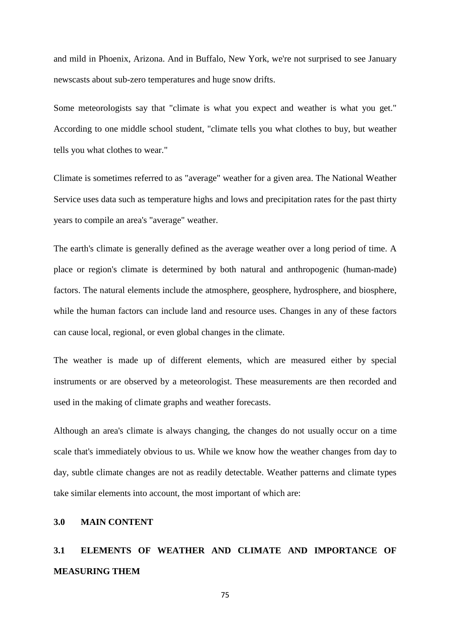and mild in Phoenix, Arizona. And in Buffalo, New York, we're not surprised to see January newscasts about sub-zero temperatures and huge snow drifts.

Some meteorologists say that "climate is what you expect and weather is what you get." According to one middle school student, "climate tells you what clothes to buy, but weather tells you what clothes to wear."

Climate is sometimes referred to as "average" weather for a given area. The National Weather Service uses data such as temperature highs and lows and precipitation rates for the past thirty years to compile an area's "average" weather.

The earth's climate is generally defined as the average weather over a long period of time. A place or region's climate is determined by both natural and anthropogenic (human-made) factors. The natural elements include the atmosphere, geosphere, hydrosphere, and biosphere, while the human factors can include land and resource uses. Changes in any of these factors can cause local, regional, or even global changes in the climate.

The weather is made up of different elements, which are measured either by special instruments or are observed by a meteorologist. These measurements are then recorded and used in the making of climate graphs and weather forecasts.

Although an area's climate is always changing, the changes do not usually occur on a time scale that's immediately obvious to us. While we know how the weather changes from day to day, subtle climate changes are not as readily detectable. Weather patterns and climate types take similar elements into account, the most important of which are:

#### **3.0 MAIN CONTENT**

# **3.1 ELEMENTS OF WEATHER AND CLIMATE AND IMPORTANCE OF MEASURING THEM**

75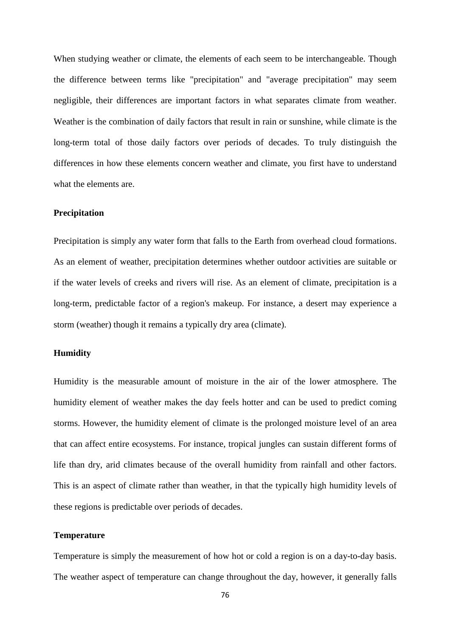When studying weather or climate, the elements of each seem to be interchangeable. Though the difference between terms like "precipitation" and "average precipitation" may seem negligible, their differences are important factors in what separates climate from weather. Weather is the combination of daily factors that result in rain or sunshine, while climate is the long-term total of those daily factors over periods of decades. To truly distinguish the differences in how these elements concern weather and climate, you first have to understand what the elements are.

#### **Precipitation**

Precipitation is simply any water form that falls to the Earth from overhead cloud formations. As an element of weather, precipitation determines whether outdoor activities are suitable or if the water levels of creeks and rivers will rise. As an element of climate, precipitation is a long-term, predictable factor of a region's makeup. For instance, a desert may experience a storm (weather) though it remains a typically dry area (climate).

# **Humidity**

Humidity is the measurable amount of moisture in the air of the lower atmosphere. The humidity element of weather makes the day feels hotter and can be used to predict coming storms. However, the humidity element of climate is the prolonged moisture level of an area that can affect entire ecosystems. For instance, tropical jungles can sustain different forms of life than dry, arid climates because of the overall humidity from rainfall and other factors. This is an aspect of climate rather than weather, in that the typically high humidity levels of these regions is predictable over periods of decades.

# **Temperature**

Temperature is simply the measurement of how hot or cold a region is on a day-to-day basis. The weather aspect of temperature can change throughout the day, however, it generally falls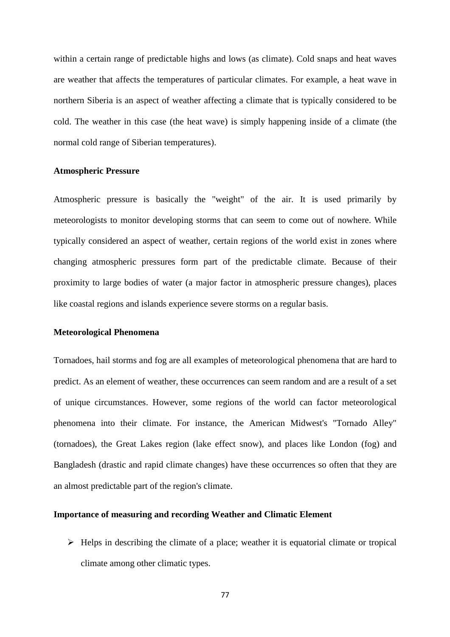within a certain range of predictable highs and lows (as climate). Cold snaps and heat waves are weather that affects the temperatures of particular climates. For example, a heat wave in northern Siberia is an aspect of weather affecting a climate that is typically considered to be cold. The weather in this case (the heat wave) is simply happening inside of a climate (the normal cold range of Siberian temperatures).

# **Atmospheric Pressure**

Atmospheric pressure is basically the "weight" of the air. It is used primarily by meteorologists to monitor developing storms that can seem to come out of nowhere. While typically considered an aspect of weather, certain regions of the world exist in zones where changing atmospheric pressures form part of the predictable climate. Because of their proximity to large bodies of water (a major factor in atmospheric pressure changes), places like coastal regions and islands experience severe storms on a regular basis.

#### **Meteorological Phenomena**

Tornadoes, hail storms and fog are all examples of meteorological phenomena that are hard to predict. As an element of weather, these occurrences can seem random and are a result of a set of unique circumstances. However, some regions of the world can factor meteorological phenomena into their climate. For instance, the American Midwest's "Tornado Alley" (tornadoes), the Great Lakes region (lake effect snow), and places like London (fog) and Bangladesh (drastic and rapid climate changes) have these occurrences so often that they are an almost predictable part of the region's climate.

#### **Importance of measuring and recording Weather and Climatic Element**

 $\triangleright$  Helps in describing the climate of a place; weather it is equatorial climate or tropical climate among other climatic types.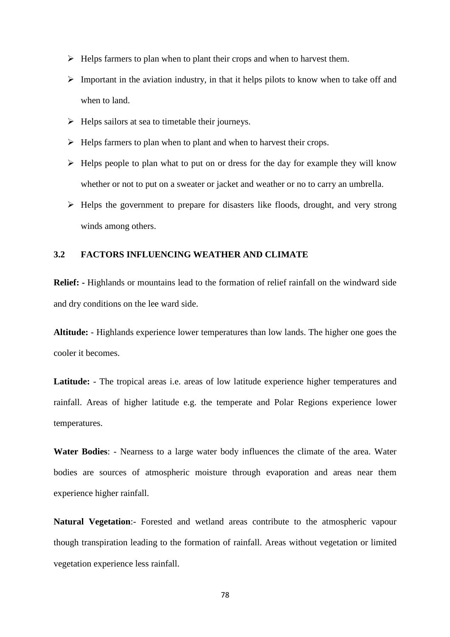- $\triangleright$  Helps farmers to plan when to plant their crops and when to harvest them.
- $\triangleright$  Important in the aviation industry, in that it helps pilots to know when to take off and when to land.
- $\triangleright$  Helps sailors at sea to timetable their journeys.
- $\triangleright$  Helps farmers to plan when to plant and when to harvest their crops.
- $\triangleright$  Helps people to plan what to put on or dress for the day for example they will know whether or not to put on a sweater or jacket and weather or no to carry an umbrella.
- $\triangleright$  Helps the government to prepare for disasters like floods, drought, and very strong winds among others.

# **3.2 FACTORS INFLUENCING WEATHER AND CLIMATE**

**Relief: -** Highlands or mountains lead to the formation of relief rainfall on the windward side and dry conditions on the lee ward side.

**Altitude:** - Highlands experience lower temperatures than low lands. The higher one goes the cooler it becomes.

**Latitude:** - The tropical areas i.e. areas of low latitude experience higher temperatures and rainfall. Areas of higher latitude e.g. the temperate and Polar Regions experience lower temperatures.

**Water Bodies**: - Nearness to a large water body influences the climate of the area. Water bodies are sources of atmospheric moisture through evaporation and areas near them experience higher rainfall.

**Natural Vegetation**:- Forested and wetland areas contribute to the atmospheric vapour though transpiration leading to the formation of rainfall. Areas without vegetation or limited vegetation experience less rainfall.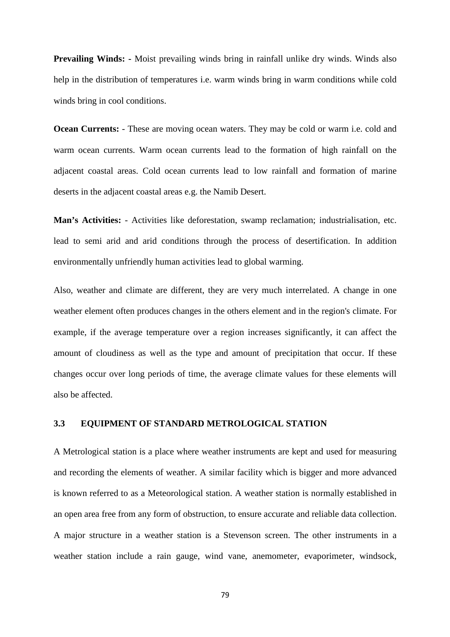**Prevailing Winds:** - Moist prevailing winds bring in rainfall unlike dry winds. Winds also help in the distribution of temperatures i.e. warm winds bring in warm conditions while cold winds bring in cool conditions.

**Ocean Currents:** - These are moving ocean waters. They may be cold or warm *i.e.* cold and warm ocean currents. Warm ocean currents lead to the formation of high rainfall on the adjacent coastal areas. Cold ocean currents lead to low rainfall and formation of marine deserts in the adjacent coastal areas e.g. the Namib Desert.

**Man's Activities:** - Activities like deforestation, swamp reclamation; industrialisation, etc. lead to semi arid and arid conditions through the process of desertification. In addition environmentally unfriendly human activities lead to global warming.

Also, weather and climate are different, they are very much interrelated. A change in one weather element often produces changes in the others element and in the region's climate. For example, if the average temperature over a region increases significantly, it can affect the amount of cloudiness as well as the type and amount of precipitation that occur. If these changes occur over long periods of time, the average climate values for these elements will also be affected.

#### **3.3 EQUIPMENT OF STANDARD METROLOGICAL STATION**

A Metrological station is a place where weather instruments are kept and used for measuring and recording the elements of weather. A similar facility which is bigger and more advanced is known referred to as a Meteorological station. A weather station is normally established in an open area free from any form of obstruction, to ensure accurate and reliable data collection. A major structure in a weather station is a Stevenson screen. The other instruments in a weather station include a rain gauge, wind vane, anemometer, evaporimeter, windsock,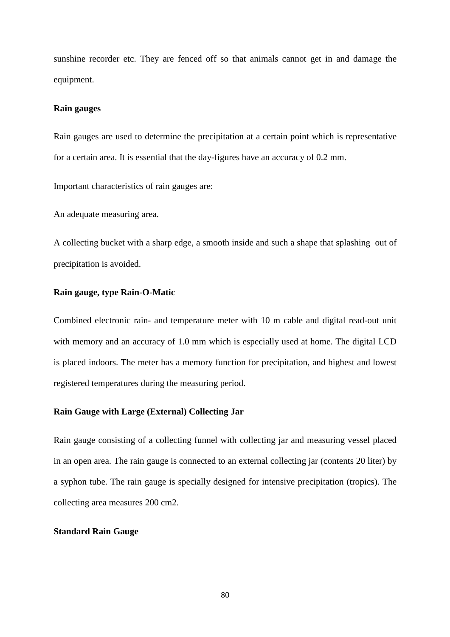sunshine recorder etc. They are fenced off so that animals cannot get in and damage the equipment.

#### **Rain gauges**

Rain gauges are used to determine the precipitation at a certain point which is representative for a certain area. It is essential that the day-figures have an accuracy of 0.2 mm.

Important characteristics of rain gauges are:

An adequate measuring area.

A collecting bucket with a sharp edge, a smooth inside and such a shape that splashing out of precipitation is avoided.

#### **Rain gauge, type Rain-O-Matic**

Combined electronic rain- and temperature meter with 10 m cable and digital read-out unit with memory and an accuracy of 1.0 mm which is especially used at home. The digital LCD is placed indoors. The meter has a memory function for precipitation, and highest and lowest registered temperatures during the measuring period.

#### **Rain Gauge with Large (External) Collecting Jar**

Rain gauge consisting of a collecting funnel with collecting jar and measuring vessel placed in an open area. The rain gauge is connected to an external collecting jar (contents 20 liter) by a syphon tube. The rain gauge is specially designed for intensive precipitation (tropics). The collecting area measures 200 cm2.

#### **Standard Rain Gauge**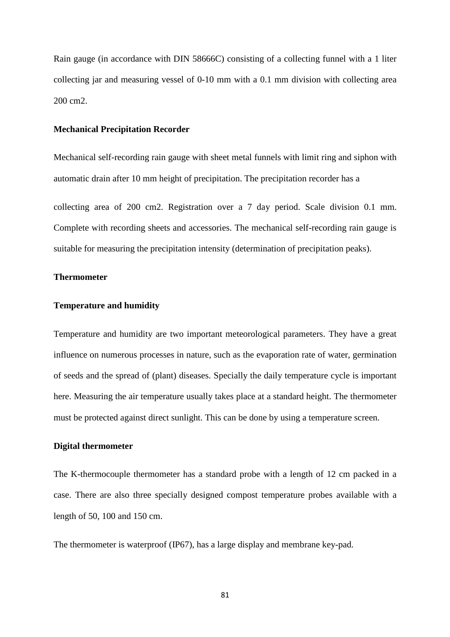Rain gauge (in accordance with DIN 58666C) consisting of a collecting funnel with a 1 liter collecting jar and measuring vessel of 0-10 mm with a 0.1 mm division with collecting area 200 cm2.

# **Mechanical Precipitation Recorder**

Mechanical self-recording rain gauge with sheet metal funnels with limit ring and siphon with automatic drain after 10 mm height of precipitation. The precipitation recorder has a

collecting area of 200 cm2. Registration over a 7 day period. Scale division 0.1 mm. Complete with recording sheets and accessories. The mechanical self-recording rain gauge is suitable for measuring the precipitation intensity (determination of precipitation peaks).

# **Thermometer**

#### **Temperature and humidity**

Temperature and humidity are two important meteorological parameters. They have a great influence on numerous processes in nature, such as the evaporation rate of water, germination of seeds and the spread of (plant) diseases. Specially the daily temperature cycle is important here. Measuring the air temperature usually takes place at a standard height. The thermometer must be protected against direct sunlight. This can be done by using a temperature screen.

#### **Digital thermometer**

The K-thermocouple thermometer has a standard probe with a length of 12 cm packed in a case. There are also three specially designed compost temperature probes available with a length of 50, 100 and 150 cm.

The thermometer is waterproof (IP67), has a large display and membrane key-pad.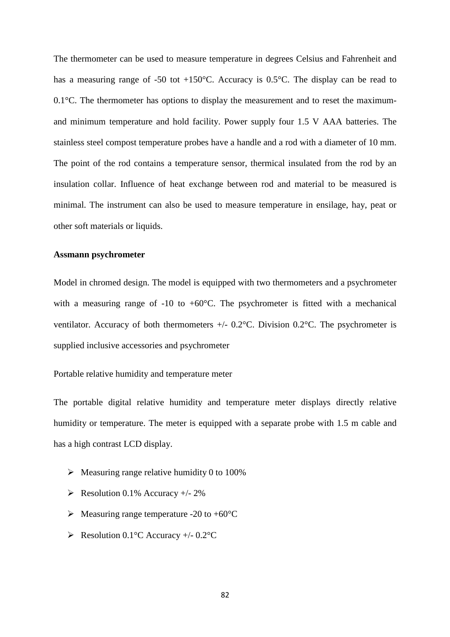The thermometer can be used to measure temperature in degrees Celsius and Fahrenheit and has a measuring range of -50 tot +150°C. Accuracy is 0.5°C. The display can be read to 0.1°C. The thermometer has options to display the measurement and to reset the maximumand minimum temperature and hold facility. Power supply four 1.5 V AAA batteries. The stainless steel compost temperature probes have a handle and a rod with a diameter of 10 mm. The point of the rod contains a temperature sensor, thermical insulated from the rod by an insulation collar. Influence of heat exchange between rod and material to be measured is minimal. The instrument can also be used to measure temperature in ensilage, hay, peat or other soft materials or liquids.

### **Assmann psychrometer**

Model in chromed design. The model is equipped with two thermometers and a psychrometer with a measuring range of  $-10$  to  $+60^{\circ}$ C. The psychrometer is fitted with a mechanical ventilator. Accuracy of both thermometers  $+/- 0.2$ °C. Division 0.2°C. The psychrometer is supplied inclusive accessories and psychrometer

Portable relative humidity and temperature meter

The portable digital relative humidity and temperature meter displays directly relative humidity or temperature. The meter is equipped with a separate probe with 1.5 m cable and has a high contrast LCD display.

- $\triangleright$  Measuring range relative humidity 0 to 100%
- $\triangleright$  Resolution 0.1% Accuracy +/- 2%
- $\triangleright$  Measuring range temperature -20 to +60 $^{\circ}$ C
- $\triangleright$  Resolution 0.1°C Accuracy +/- 0.2°C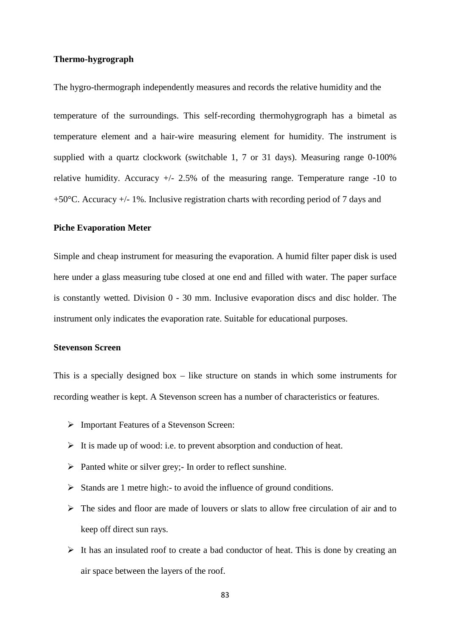#### **Thermo-hygrograph**

The hygro-thermograph independently measures and records the relative humidity and the temperature of the surroundings. This self-recording thermohygrograph has a bimetal as temperature element and a hair-wire measuring element for humidity. The instrument is supplied with a quartz clockwork (switchable 1, 7 or 31 days). Measuring range 0-100% relative humidity. Accuracy +/- 2.5% of the measuring range. Temperature range -10 to  $+50^{\circ}$ C. Accuracy  $+/-1\%$ . Inclusive registration charts with recording period of 7 days and

### **Piche Evaporation Meter**

Simple and cheap instrument for measuring the evaporation. A humid filter paper disk is used here under a glass measuring tube closed at one end and filled with water. The paper surface is constantly wetted. Division 0 - 30 mm. Inclusive evaporation discs and disc holder. The instrument only indicates the evaporation rate. Suitable for educational purposes.

# **Stevenson Screen**

This is a specially designed box  $-$  like structure on stands in which some instruments for recording weather is kept. A Stevenson screen has a number of characteristics or features.

- Important Features of a Stevenson Screen:
- $\triangleright$  It is made up of wood: i.e. to prevent absorption and conduction of heat.
- $\triangleright$  Panted white or silver grey;- In order to reflect sunshine.
- $\triangleright$  Stands are 1 metre high:- to avoid the influence of ground conditions.
- $\triangleright$  The sides and floor are made of louvers or slats to allow free circulation of air and to keep off direct sun rays.
- $\triangleright$  It has an insulated roof to create a bad conductor of heat. This is done by creating an air space between the layers of the roof.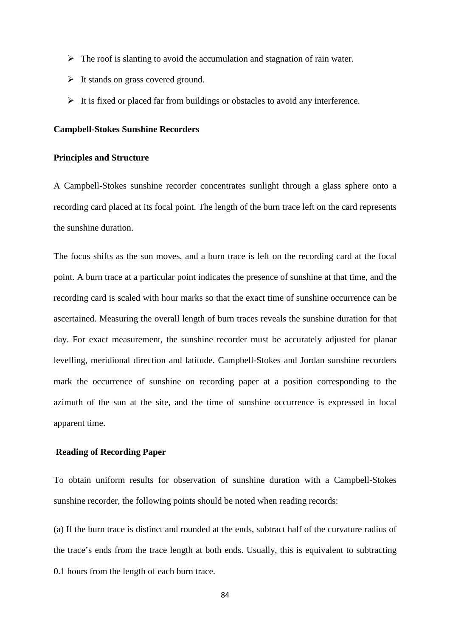- $\triangleright$  The roof is slanting to avoid the accumulation and stagnation of rain water.
- $\triangleright$  It stands on grass covered ground.
- $\triangleright$  It is fixed or placed far from buildings or obstacles to avoid any interference.

#### **Campbell-Stokes Sunshine Recorders**

#### **Principles and Structure**

A Campbell-Stokes sunshine recorder concentrates sunlight through a glass sphere onto a recording card placed at its focal point. The length of the burn trace left on the card represents the sunshine duration.

The focus shifts as the sun moves, and a burn trace is left on the recording card at the focal point. A burn trace at a particular point indicates the presence of sunshine at that time, and the recording card is scaled with hour marks so that the exact time of sunshine occurrence can be ascertained. Measuring the overall length of burn traces reveals the sunshine duration for that day. For exact measurement, the sunshine recorder must be accurately adjusted for planar levelling, meridional direction and latitude. Campbell-Stokes and Jordan sunshine recorders mark the occurrence of sunshine on recording paper at a position corresponding to the azimuth of the sun at the site, and the time of sunshine occurrence is expressed in local apparent time.

# **Reading of Recording Paper**

To obtain uniform results for observation of sunshine duration with a Campbell-Stokes sunshine recorder, the following points should be noted when reading records:

(a) If the burn trace is distinct and rounded at the ends, subtract half of the curvature radius of the trace's ends from the trace length at both ends. Usually, this is equivalent to subtracting 0.1 hours from the length of each burn trace.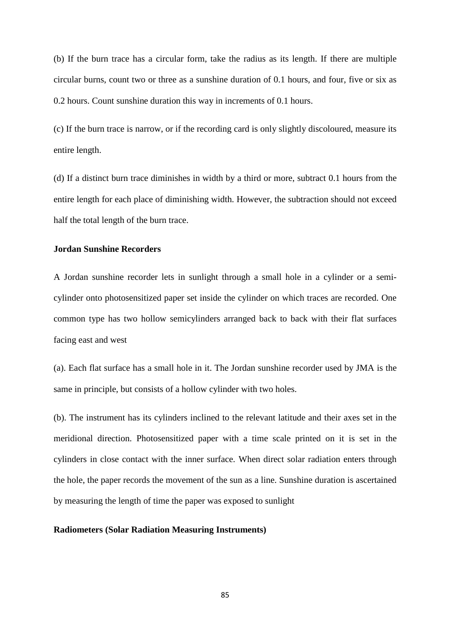(b) If the burn trace has a circular form, take the radius as its length. If there are multiple circular burns, count two or three as a sunshine duration of 0.1 hours, and four, five or six as 0.2 hours. Count sunshine duration this way in increments of 0.1 hours.

(c) If the burn trace is narrow, or if the recording card is only slightly discoloured, measure its entire length.

(d) If a distinct burn trace diminishes in width by a third or more, subtract 0.1 hours from the entire length for each place of diminishing width. However, the subtraction should not exceed half the total length of the burn trace.

#### **Jordan Sunshine Recorders**

A Jordan sunshine recorder lets in sunlight through a small hole in a cylinder or a semicylinder onto photosensitized paper set inside the cylinder on which traces are recorded. One common type has two hollow semicylinders arranged back to back with their flat surfaces facing east and west

(a). Each flat surface has a small hole in it. The Jordan sunshine recorder used by JMA is the same in principle, but consists of a hollow cylinder with two holes.

(b). The instrument has its cylinders inclined to the relevant latitude and their axes set in the meridional direction. Photosensitized paper with a time scale printed on it is set in the cylinders in close contact with the inner surface. When direct solar radiation enters through the hole, the paper records the movement of the sun as a line. Sunshine duration is ascertained by measuring the length of time the paper was exposed to sunlight

#### **Radiometers (Solar Radiation Measuring Instruments)**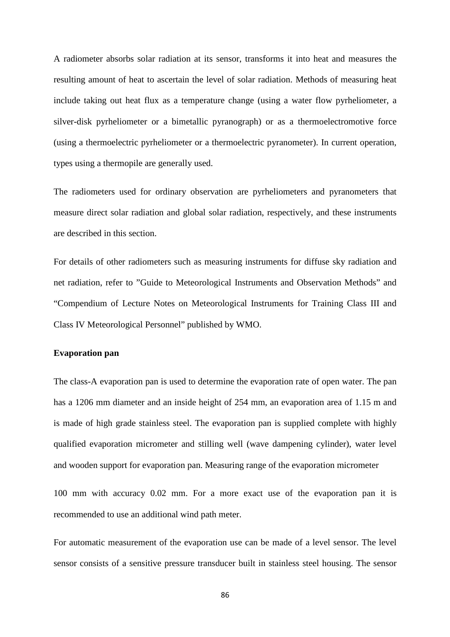A radiometer absorbs solar radiation at its sensor, transforms it into heat and measures the resulting amount of heat to ascertain the level of solar radiation. Methods of measuring heat include taking out heat flux as a temperature change (using a water flow pyrheliometer, a silver-disk pyrheliometer or a bimetallic pyranograph) or as a thermoelectromotive force (using a thermoelectric pyrheliometer or a thermoelectric pyranometer). In current operation, types using a thermopile are generally used.

The radiometers used for ordinary observation are pyrheliometers and pyranometers that measure direct solar radiation and global solar radiation, respectively, and these instruments are described in this section.

For details of other radiometers such as measuring instruments for diffuse sky radiation and net radiation, refer to "Guide to Meteorological Instruments and Observation Methods" and "Compendium of Lecture Notes on Meteorological Instruments for Training Class III and Class IV Meteorological Personnel" published by WMO.

# **Evaporation pan**

The class-A evaporation pan is used to determine the evaporation rate of open water. The pan has a 1206 mm diameter and an inside height of 254 mm, an evaporation area of 1.15 m and is made of high grade stainless steel. The evaporation pan is supplied complete with highly qualified evaporation micrometer and stilling well (wave dampening cylinder), water level and wooden support for evaporation pan. Measuring range of the evaporation micrometer

100 mm with accuracy 0.02 mm. For a more exact use of the evaporation pan it is recommended to use an additional wind path meter.

For automatic measurement of the evaporation use can be made of a level sensor. The level sensor consists of a sensitive pressure transducer built in stainless steel housing. The sensor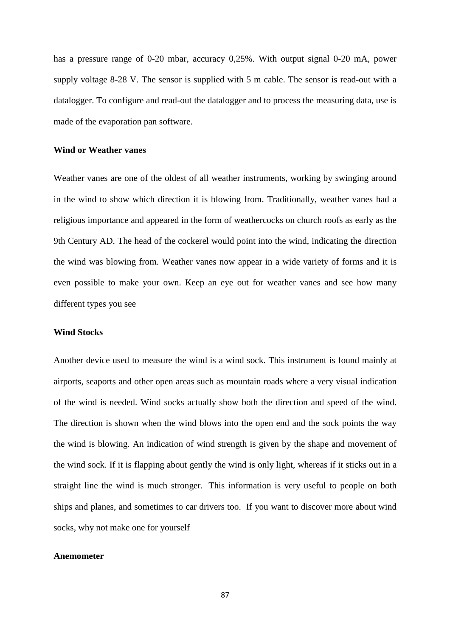has a pressure range of 0-20 mbar, accuracy 0,25%. With output signal 0-20 mA, power supply voltage 8-28 V. The sensor is supplied with 5 m cable. The sensor is read-out with a datalogger. To configure and read-out the datalogger and to process the measuring data, use is made of the evaporation pan software.

#### **Wind or Weather vanes**

Weather vanes are one of the oldest of all weather instruments, working by swinging around in the wind to show which direction it is blowing from. Traditionally, weather vanes had a religious importance and appeared in the form of weathercocks on church roofs as early as the 9th Century AD. The head of the cockerel would point into the wind, indicating the direction the wind was blowing from. Weather vanes now appear in a wide variety of forms and it is even possible to make your own. Keep an eye out for weather vanes and see how many different types you see

### **Wind Stocks**

Another device used to measure the wind is a wind sock. This instrument is found mainly at airports, seaports and other open areas such as mountain roads where a very visual indication of the wind is needed. Wind socks actually show both the direction and speed of the wind. The direction is shown when the wind blows into the open end and the sock points the way the wind is blowing. An indication of wind strength is given by the shape and movement of the wind sock. If it is flapping about gently the wind is only light, whereas if it sticks out in a straight line the wind is much stronger. This information is very useful to people on both ships and planes, and sometimes to car drivers too. If you want to discover more about wind socks, why not make one for yourself

#### **Anemometer**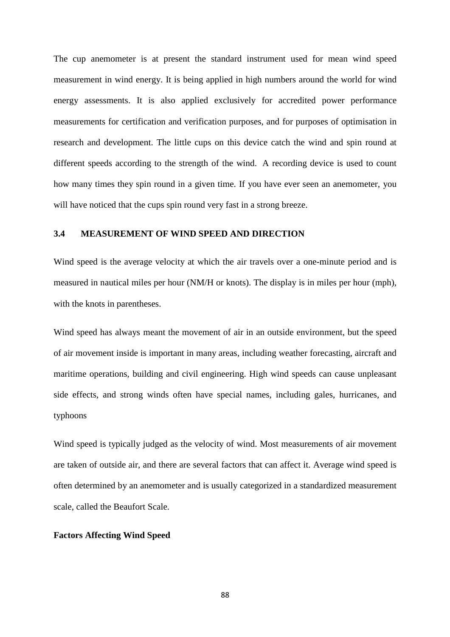The cup anemometer is at present the standard instrument used for mean wind speed measurement in wind energy. It is being applied in high numbers around the world for wind energy assessments. It is also applied exclusively for accredited power performance measurements for certification and verification purposes, and for purposes of optimisation in research and development. The little cups on this device catch the wind and spin round at different speeds according to the strength of the wind. A recording device is used to count how many times they spin round in a given time. If you have ever seen an anemometer, you will have noticed that the cups spin round very fast in a strong breeze.

#### **3.4 MEASUREMENT OF WIND SPEED AND DIRECTION**

Wind speed is the average velocity at which the air travels over a one-minute period and is measured in nautical miles per hour (NM/H or knots). The display is in miles per hour (mph), with the knots in parentheses.

Wind speed has always meant the movement of air in an outside environment, but the speed of air movement inside is important in many areas, including weather forecasting, aircraft and maritime operations, building and civil engineering. High wind speeds can cause unpleasant side effects, and strong winds often have special names, including gales, hurricanes, and typhoons

Wind speed is typically judged as the velocity of wind. Most measurements of air movement are taken of outside air, and there are several factors that can affect it. Average wind speed is often determined by an anemometer and is usually categorized in a standardized measurement scale, called the Beaufort Scale.

# **Factors Affecting Wind Speed**

88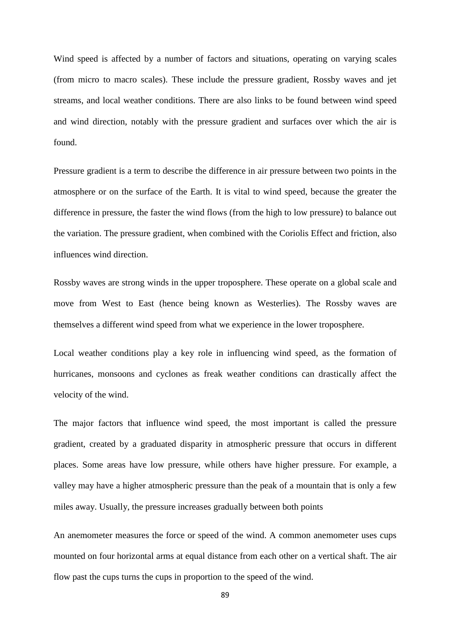Wind speed is affected by a number of factors and situations, operating on varying scales (from micro to macro scales). These include the pressure gradient, Rossby waves and jet streams, and local weather conditions. There are also links to be found between wind speed and wind direction, notably with the pressure gradient and surfaces over which the air is found.

Pressure gradient is a term to describe the difference in air pressure between two points in the atmosphere or on the surface of the Earth. It is vital to wind speed, because the greater the difference in pressure, the faster the wind flows (from the high to low pressure) to balance out the variation. The pressure gradient, when combined with the Coriolis Effect and friction, also influences wind direction.

Rossby waves are strong winds in the upper troposphere. These operate on a global scale and move from West to East (hence being known as Westerlies). The Rossby waves are themselves a different wind speed from what we experience in the lower troposphere.

Local weather conditions play a key role in influencing wind speed, as the formation of hurricanes, monsoons and cyclones as freak weather conditions can drastically affect the velocity of the wind.

The major factors that influence wind speed, the most important is called the pressure gradient, created by a graduated disparity in atmospheric pressure that occurs in different places. Some areas have low pressure, while others have higher pressure. For example, a valley may have a higher atmospheric pressure than the peak of a mountain that is only a few miles away. Usually, the pressure increases gradually between both points

An anemometer measures the force or speed of the wind. A common anemometer uses cups mounted on four horizontal arms at equal distance from each other on a vertical shaft. The air flow past the cups turns the cups in proportion to the speed of the wind.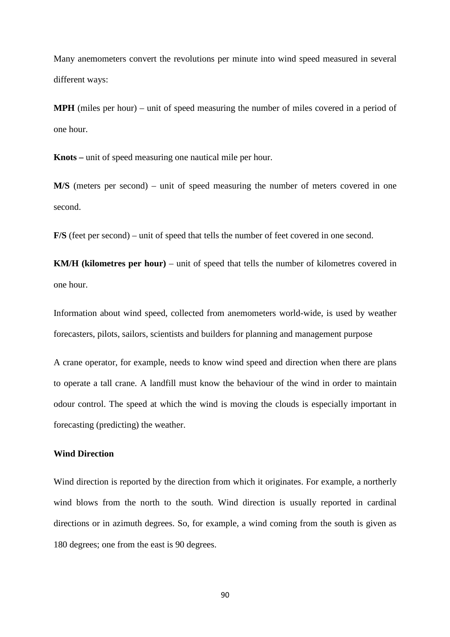Many anemometers convert the revolutions per minute into wind speed measured in several different ways:

**MPH** (miles per hour) – unit of speed measuring the number of miles covered in a period of one hour.

**Knots –** unit of speed measuring one nautical mile per hour.

**M/S** (meters per second) – unit of speed measuring the number of meters covered in one second.

**F/S** (feet per second) – unit of speed that tells the number of feet covered in one second.

**KM/H (kilometres per hour)** – unit of speed that tells the number of kilometres covered in one hour.

Information about wind speed, collected from anemometers world-wide, is used by weather forecasters, pilots, sailors, scientists and builders for planning and management purpose

A crane operator, for example, needs to know wind speed and direction when there are plans to operate a tall crane. A landfill must know the behaviour of the wind in order to maintain odour control. The speed at which the wind is moving the clouds is especially important in forecasting (predicting) the weather.

# **Wind Direction**

Wind direction is reported by the direction from which it originates. For example, a northerly wind blows from the north to the south. Wind direction is usually reported in cardinal directions or in azimuth degrees. So, for example, a wind coming from the south is given as 180 degrees; one from the east is 90 degrees.

90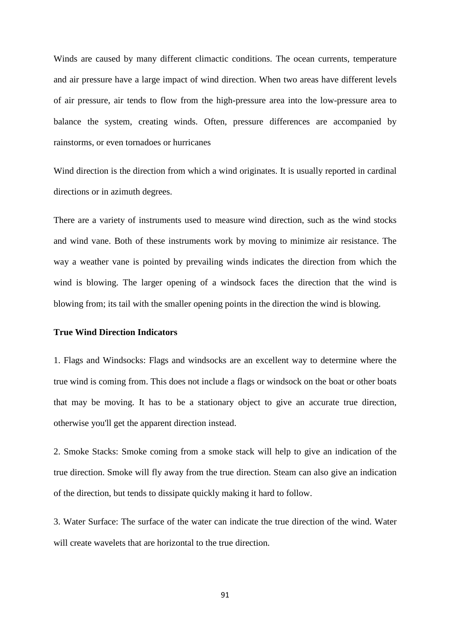Winds are caused by many different climactic conditions. The ocean currents, temperature and air pressure have a large impact of wind direction. When two areas have different levels of air pressure, air tends to flow from the high-pressure area into the low-pressure area to balance the system, creating winds. Often, pressure differences are accompanied by rainstorms, or even tornadoes or hurricanes

Wind direction is the direction from which a wind originates. It is usually reported in cardinal directions or in azimuth degrees.

There are a variety of instruments used to measure wind direction, such as the wind stocks and wind vane. Both of these instruments work by moving to minimize air resistance. The way a weather vane is pointed by prevailing winds indicates the direction from which the wind is blowing. The larger opening of a windsock faces the direction that the wind is blowing from; its tail with the smaller opening points in the direction the wind is blowing.

### **True Wind Direction Indicators**

1. Flags and Windsocks: Flags and windsocks are an excellent way to determine where the true wind is coming from. This does not include a flags or windsock on the boat or other boats that may be moving. It has to be a stationary object to give an accurate true direction, otherwise you'll get the apparent direction instead.

2. Smoke Stacks: Smoke coming from a smoke stack will help to give an indication of the true direction. Smoke will fly away from the true direction. Steam can also give an indication of the direction, but tends to dissipate quickly making it hard to follow.

3. Water Surface: The surface of the water can indicate the true direction of the wind. Water will create wavelets that are horizontal to the true direction.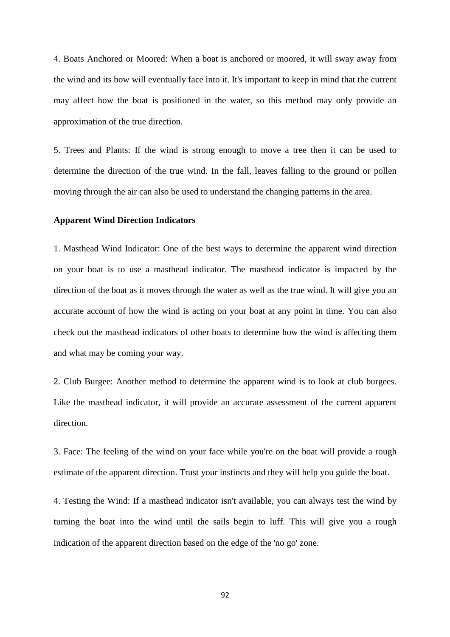4. Boats Anchored or Moored: When a boat is anchored or moored, it will sway away from the wind and its bow will eventually face into it. It's important to keep in mind that the current may affect how the boat is positioned in the water, so this method may only provide an approximation of the true direction.

5. Trees and Plants: If the wind is strong enough to move a tree then it can be used to determine the direction of the true wind. In the fall, leaves falling to the ground or pollen moving through the air can also be used to understand the changing patterns in the area.

#### **Apparent Wind Direction Indicators**

1. Masthead Wind Indicator: One of the best ways to determine the apparent wind direction on your boat is to use a masthead indicator. The masthead indicator is impacted by the direction of the boat as it moves through the water as well as the true wind. It will give you an accurate account of how the wind is acting on your boat at any point in time. You can also check out the masthead indicators of other boats to determine how the wind is affecting them and what may be coming your way.

2. Club Burgee: Another method to determine the apparent wind is to look at club burgees. Like the masthead indicator, it will provide an accurate assessment of the current apparent direction.

3. Face: The feeling of the wind on your face while you're on the boat will provide a rough estimate of the apparent direction. Trust your instincts and they will help you guide the boat.

4. Testing the Wind: If a masthead indicator isn't available, you can always test the wind by turning the boat into the wind until the sails begin to luff. This will give you a rough indication of the apparent direction based on the edge of the 'no go' zone.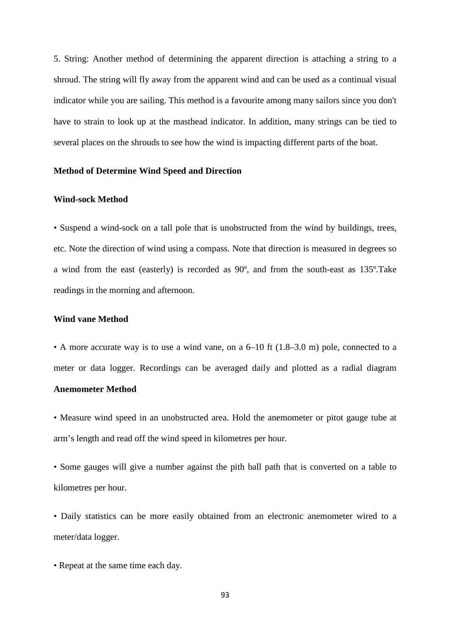5. String: Another method of determining the apparent direction is attaching a string to a shroud. The string will fly away from the apparent wind and can be used as a continual visual indicator while you are sailing. This method is a favourite among many sailors since you don't have to strain to look up at the masthead indicator. In addition, many strings can be tied to several places on the shrouds to see how the wind is impacting different parts of the boat.

# **Method of Determine Wind Speed and Direction**

#### **Wind-sock Method**

• Suspend a wind-sock on a tall pole that is unobstructed from the wind by buildings, trees, etc. Note the direction of wind using a compass. Note that direction is measured in degrees so a wind from the east (easterly) is recorded as 90º, and from the south-east as 135º.Take readings in the morning and afternoon.

#### **Wind vane Method**

• A more accurate way is to use a wind vane, on a 6–10 ft (1.8–3.0 m) pole, connected to a meter or data logger. Recordings can be averaged daily and plotted as a radial diagram

#### **Anemometer Method**

• Measure wind speed in an unobstructed area. Hold the anemometer or pitot gauge tube at arm's length and read off the wind speed in kilometres per hour.

• Some gauges will give a number against the pith ball path that is converted on a table to kilometres per hour.

• Daily statistics can be more easily obtained from an electronic anemometer wired to a meter/data logger.

• Repeat at the same time each day.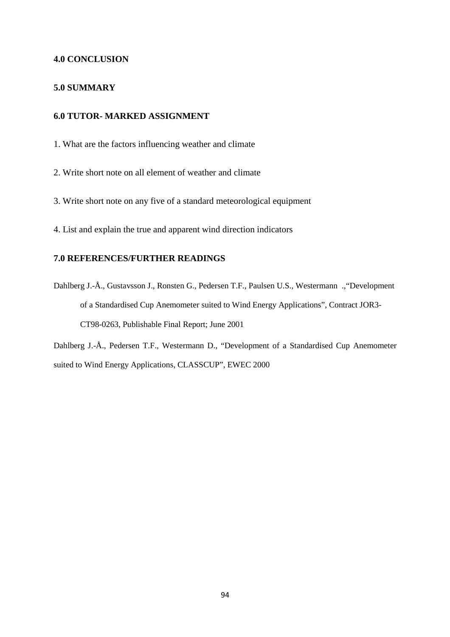# **4.0 CONCLUSION**

# **5.0 SUMMARY**

# **6.0 TUTOR- MARKED ASSIGNMENT**

1. What are the factors influencing weather and climate

- 2. Write short note on all element of weather and climate
- 3. Write short note on any five of a standard meteorological equipment
- 4. List and explain the true and apparent wind direction indicators

# **7.0 REFERENCES/FURTHER READINGS**

Dahlberg J.-Å., Gustavsson J., Ronsten G., Pedersen T.F., Paulsen U.S., Westermann .,"Development of a Standardised Cup Anemometer suited to Wind Energy Applications", Contract JOR3- CT98-0263, Publishable Final Report; June 2001

Dahlberg J.-Å., Pedersen T.F., Westermann D., "Development of a Standardised Cup Anemometer suited to Wind Energy Applications, CLASSCUP", EWEC 2000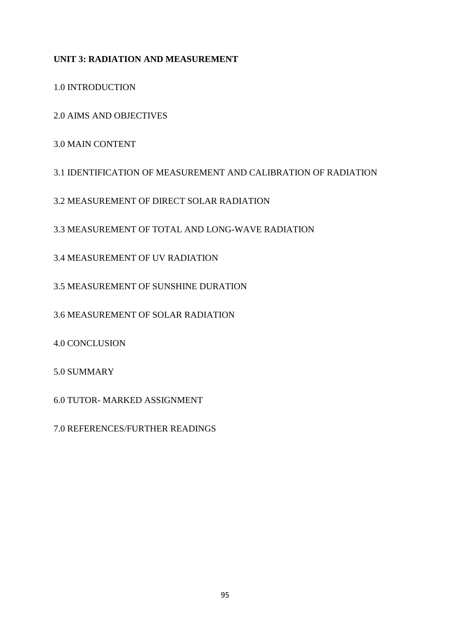# **UNIT 3: RADIATION AND MEASUREMENT**

1.0 INTRODUCTION

2.0 AIMS AND OBJECTIVES

3.0 MAIN CONTENT

3.1 IDENTIFICATION OF MEASUREMENT AND CALIBRATION OF RADIATION

3.2 MEASUREMENT OF DIRECT SOLAR RADIATION

3.3 MEASUREMENT OF TOTAL AND LONG-WAVE RADIATION

3.4 MEASUREMENT OF UV RADIATION

3.5 MEASUREMENT OF SUNSHINE DURATION

3.6 MEASUREMENT OF SOLAR RADIATION

4.0 CONCLUSION

5.0 SUMMARY

6.0 TUTOR- MARKED ASSIGNMENT

7.0 REFERENCES/FURTHER READINGS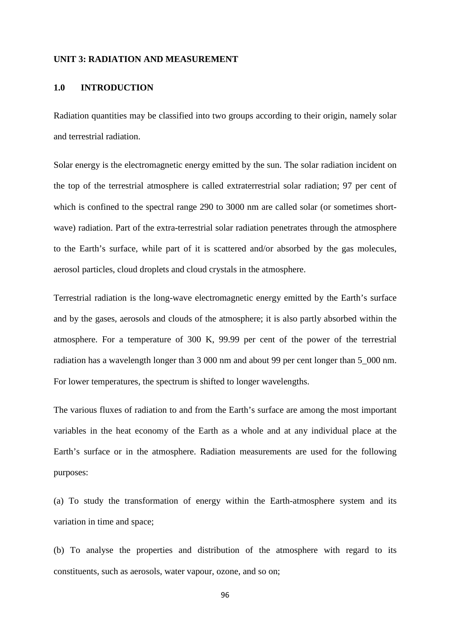#### **UNIT 3: RADIATION AND MEASUREMENT**

#### **1.0 INTRODUCTION**

Radiation quantities may be classified into two groups according to their origin, namely solar and terrestrial radiation.

Solar energy is the electromagnetic energy emitted by the sun. The solar radiation incident on the top of the terrestrial atmosphere is called extraterrestrial solar radiation; 97 per cent of which is confined to the spectral range 290 to 3000 nm are called solar (or sometimes shortwave) radiation. Part of the extra-terrestrial solar radiation penetrates through the atmosphere to the Earth's surface, while part of it is scattered and/or absorbed by the gas molecules, aerosol particles, cloud droplets and cloud crystals in the atmosphere.

Terrestrial radiation is the long-wave electromagnetic energy emitted by the Earth's surface and by the gases, aerosols and clouds of the atmosphere; it is also partly absorbed within the atmosphere. For a temperature of 300 K, 99.99 per cent of the power of the terrestrial radiation has a wavelength longer than 3 000 nm and about 99 per cent longer than 5\_000 nm. For lower temperatures, the spectrum is shifted to longer wavelengths.

The various fluxes of radiation to and from the Earth's surface are among the most important variables in the heat economy of the Earth as a whole and at any individual place at the Earth's surface or in the atmosphere. Radiation measurements are used for the following purposes:

(a) To study the transformation of energy within the Earth-atmosphere system and its variation in time and space;

(b) To analyse the properties and distribution of the atmosphere with regard to its constituents, such as aerosols, water vapour, ozone, and so on;

96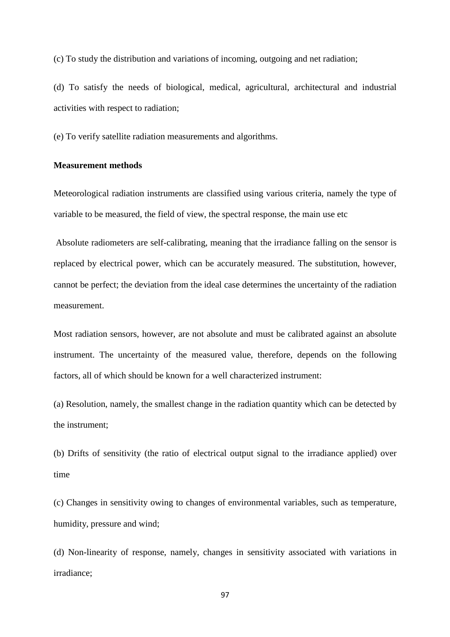(c) To study the distribution and variations of incoming, outgoing and net radiation;

(d) To satisfy the needs of biological, medical, agricultural, architectural and industrial activities with respect to radiation;

(e) To verify satellite radiation measurements and algorithms.

# **Measurement methods**

Meteorological radiation instruments are classified using various criteria, namely the type of variable to be measured, the field of view, the spectral response, the main use etc

 Absolute radiometers are self-calibrating, meaning that the irradiance falling on the sensor is replaced by electrical power, which can be accurately measured. The substitution, however, cannot be perfect; the deviation from the ideal case determines the uncertainty of the radiation measurement.

Most radiation sensors, however, are not absolute and must be calibrated against an absolute instrument. The uncertainty of the measured value, therefore, depends on the following factors, all of which should be known for a well characterized instrument:

(a) Resolution, namely, the smallest change in the radiation quantity which can be detected by the instrument;

(b) Drifts of sensitivity (the ratio of electrical output signal to the irradiance applied) over time

(c) Changes in sensitivity owing to changes of environmental variables, such as temperature, humidity, pressure and wind;

(d) Non-linearity of response, namely, changes in sensitivity associated with variations in irradiance;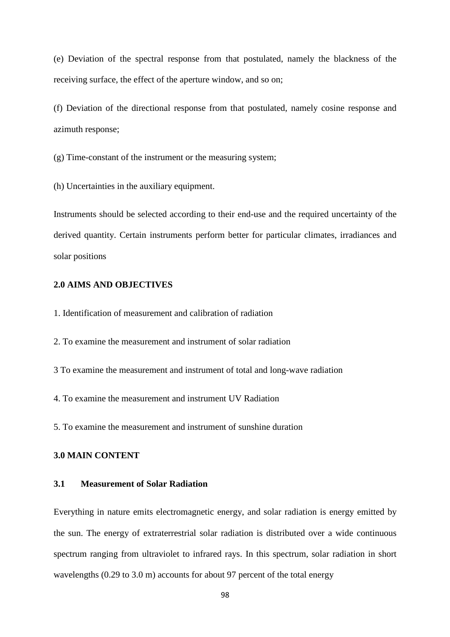(e) Deviation of the spectral response from that postulated, namely the blackness of the receiving surface, the effect of the aperture window, and so on;

(f) Deviation of the directional response from that postulated, namely cosine response and azimuth response;

(g) Time-constant of the instrument or the measuring system;

(h) Uncertainties in the auxiliary equipment.

Instruments should be selected according to their end-use and the required uncertainty of the derived quantity. Certain instruments perform better for particular climates, irradiances and solar positions

#### **2.0 AIMS AND OBJECTIVES**

1. Identification of measurement and calibration of radiation

2. To examine the measurement and instrument of solar radiation

3 To examine the measurement and instrument of total and long-wave radiation

4. To examine the measurement and instrument UV Radiation

5. To examine the measurement and instrument of sunshine duration

# **3.0 MAIN CONTENT**

## **3.1 Measurement of Solar Radiation**

Everything in nature emits electromagnetic energy, and solar radiation is energy emitted by the sun. The energy of extraterrestrial solar radiation is distributed over a wide continuous spectrum ranging from ultraviolet to infrared rays. In this spectrum, solar radiation in short wavelengths (0.29 to 3.0 m) accounts for about 97 percent of the total energy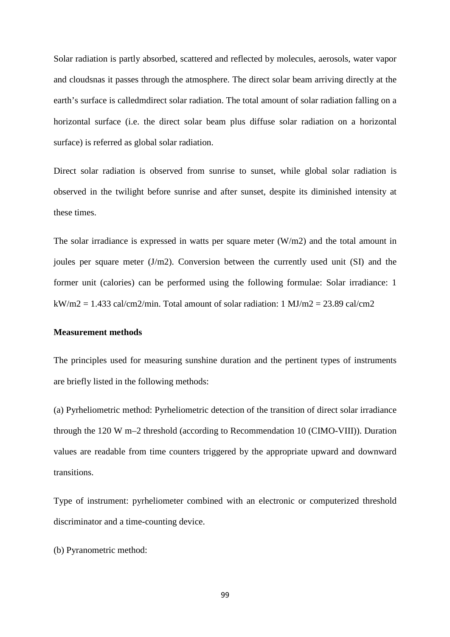Solar radiation is partly absorbed, scattered and reflected by molecules, aerosols, water vapor and cloudsnas it passes through the atmosphere. The direct solar beam arriving directly at the earth's surface is calledmdirect solar radiation. The total amount of solar radiation falling on a horizontal surface (i.e. the direct solar beam plus diffuse solar radiation on a horizontal surface) is referred as global solar radiation.

Direct solar radiation is observed from sunrise to sunset, while global solar radiation is observed in the twilight before sunrise and after sunset, despite its diminished intensity at these times.

The solar irradiance is expressed in watts per square meter (W/m2) and the total amount in joules per square meter (J/m2). Conversion between the currently used unit (SI) and the former unit (calories) can be performed using the following formulae: Solar irradiance: 1 kW/m2 = 1.433 cal/cm2/min. Total amount of solar radiation:  $1 \text{ MJ/m2} = 23.89 \text{ cal/cm2}$ 

#### **Measurement methods**

The principles used for measuring sunshine duration and the pertinent types of instruments are briefly listed in the following methods:

(a) Pyrheliometric method: Pyrheliometric detection of the transition of direct solar irradiance through the 120 W m–2 threshold (according to Recommendation 10 (CIMO-VIII)). Duration values are readable from time counters triggered by the appropriate upward and downward transitions.

Type of instrument: pyrheliometer combined with an electronic or computerized threshold discriminator and a time-counting device.

(b) Pyranometric method: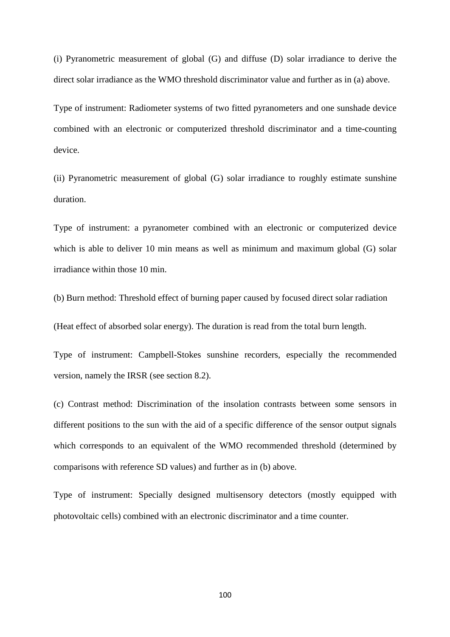(i) Pyranometric measurement of global (G) and diffuse (D) solar irradiance to derive the direct solar irradiance as the WMO threshold discriminator value and further as in (a) above.

Type of instrument: Radiometer systems of two fitted pyranometers and one sunshade device combined with an electronic or computerized threshold discriminator and a time-counting device.

(ii) Pyranometric measurement of global (G) solar irradiance to roughly estimate sunshine duration.

Type of instrument: a pyranometer combined with an electronic or computerized device which is able to deliver 10 min means as well as minimum and maximum global (G) solar irradiance within those 10 min.

(b) Burn method: Threshold effect of burning paper caused by focused direct solar radiation

(Heat effect of absorbed solar energy). The duration is read from the total burn length.

Type of instrument: Campbell-Stokes sunshine recorders, especially the recommended version, namely the IRSR (see section 8.2).

(c) Contrast method: Discrimination of the insolation contrasts between some sensors in different positions to the sun with the aid of a specific difference of the sensor output signals which corresponds to an equivalent of the WMO recommended threshold (determined by comparisons with reference SD values) and further as in (b) above.

Type of instrument: Specially designed multisensory detectors (mostly equipped with photovoltaic cells) combined with an electronic discriminator and a time counter.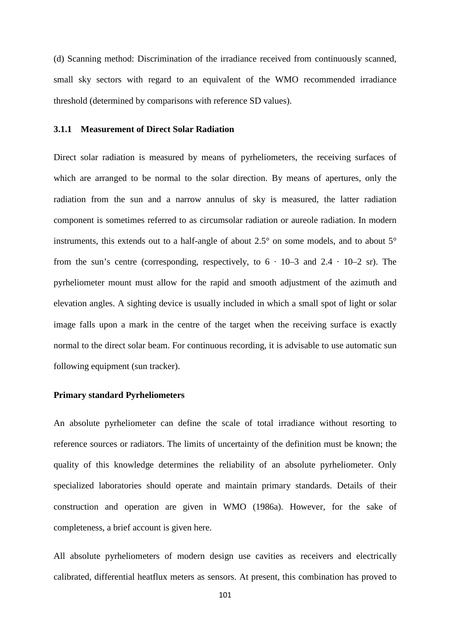(d) Scanning method: Discrimination of the irradiance received from continuously scanned, small sky sectors with regard to an equivalent of the WMO recommended irradiance threshold (determined by comparisons with reference SD values).

## **3.1.1 Measurement of Direct Solar Radiation**

Direct solar radiation is measured by means of pyrheliometers, the receiving surfaces of which are arranged to be normal to the solar direction. By means of apertures, only the radiation from the sun and a narrow annulus of sky is measured, the latter radiation component is sometimes referred to as circumsolar radiation or aureole radiation. In modern instruments, this extends out to a half-angle of about 2.5° on some models, and to about 5° from the sun's centre (corresponding, respectively, to  $6 \cdot 10^{-3}$  and  $2.4 \cdot 10^{-2}$  sr). The pyrheliometer mount must allow for the rapid and smooth adjustment of the azimuth and elevation angles. A sighting device is usually included in which a small spot of light or solar image falls upon a mark in the centre of the target when the receiving surface is exactly normal to the direct solar beam. For continuous recording, it is advisable to use automatic sun following equipment (sun tracker).

#### **Primary standard Pyrheliometers**

An absolute pyrheliometer can define the scale of total irradiance without resorting to reference sources or radiators. The limits of uncertainty of the definition must be known; the quality of this knowledge determines the reliability of an absolute pyrheliometer. Only specialized laboratories should operate and maintain primary standards. Details of their construction and operation are given in WMO (1986a). However, for the sake of completeness, a brief account is given here.

All absolute pyrheliometers of modern design use cavities as receivers and electrically calibrated, differential heatflux meters as sensors. At present, this combination has proved to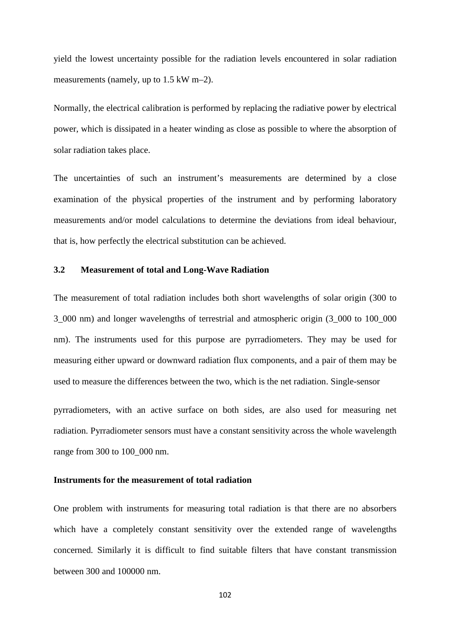yield the lowest uncertainty possible for the radiation levels encountered in solar radiation measurements (namely, up to 1.5 kW m–2).

Normally, the electrical calibration is performed by replacing the radiative power by electrical power, which is dissipated in a heater winding as close as possible to where the absorption of solar radiation takes place.

The uncertainties of such an instrument's measurements are determined by a close examination of the physical properties of the instrument and by performing laboratory measurements and/or model calculations to determine the deviations from ideal behaviour, that is, how perfectly the electrical substitution can be achieved.

#### **3.2 Measurement of total and Long-Wave Radiation**

The measurement of total radiation includes both short wavelengths of solar origin (300 to 3\_000 nm) and longer wavelengths of terrestrial and atmospheric origin (3\_000 to 100\_000 nm). The instruments used for this purpose are pyrradiometers. They may be used for measuring either upward or downward radiation flux components, and a pair of them may be used to measure the differences between the two, which is the net radiation. Single-sensor

pyrradiometers, with an active surface on both sides, are also used for measuring net radiation. Pyrradiometer sensors must have a constant sensitivity across the whole wavelength range from 300 to 100\_000 nm.

#### **Instruments for the measurement of total radiation**

One problem with instruments for measuring total radiation is that there are no absorbers which have a completely constant sensitivity over the extended range of wavelengths concerned. Similarly it is difficult to find suitable filters that have constant transmission between 300 and 100000 nm.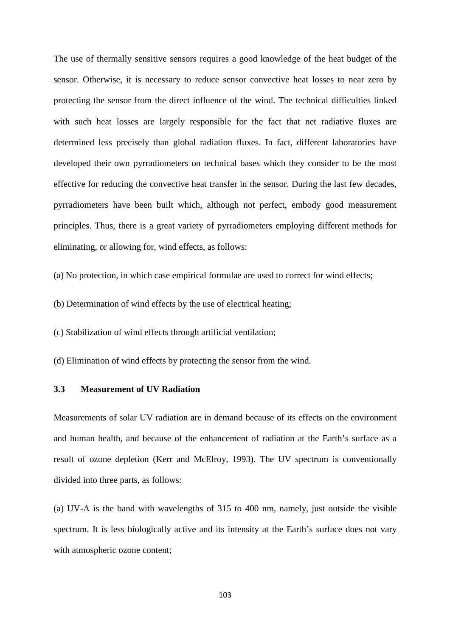The use of thermally sensitive sensors requires a good knowledge of the heat budget of the sensor. Otherwise, it is necessary to reduce sensor convective heat losses to near zero by protecting the sensor from the direct influence of the wind. The technical difficulties linked with such heat losses are largely responsible for the fact that net radiative fluxes are determined less precisely than global radiation fluxes. In fact, different laboratories have developed their own pyrradiometers on technical bases which they consider to be the most effective for reducing the convective heat transfer in the sensor. During the last few decades, pyrradiometers have been built which, although not perfect, embody good measurement principles. Thus, there is a great variety of pyrradiometers employing different methods for eliminating, or allowing for, wind effects, as follows:

- (a) No protection, in which case empirical formulae are used to correct for wind effects;
- (b) Determination of wind effects by the use of electrical heating;
- (c) Stabilization of wind effects through artificial ventilation;
- (d) Elimination of wind effects by protecting the sensor from the wind.

#### **3.3 Measurement of UV Radiation**

Measurements of solar UV radiation are in demand because of its effects on the environment and human health, and because of the enhancement of radiation at the Earth's surface as a result of ozone depletion (Kerr and McElroy, 1993). The UV spectrum is conventionally divided into three parts, as follows:

(a) UV-A is the band with wavelengths of 315 to 400 nm, namely, just outside the visible spectrum. It is less biologically active and its intensity at the Earth's surface does not vary with atmospheric ozone content;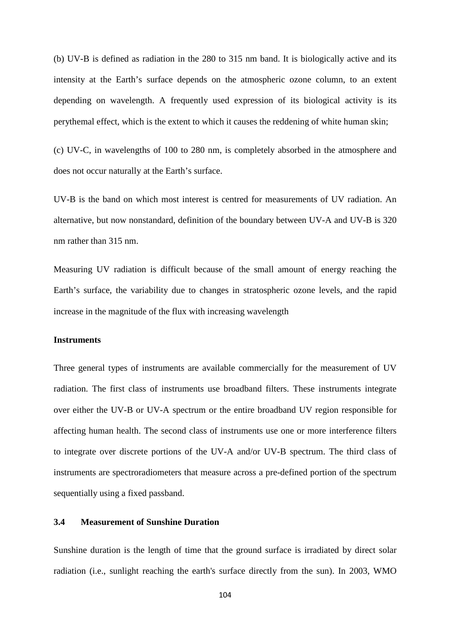(b) UV-B is defined as radiation in the 280 to 315 nm band. It is biologically active and its intensity at the Earth's surface depends on the atmospheric ozone column, to an extent depending on wavelength. A frequently used expression of its biological activity is its perythemal effect, which is the extent to which it causes the reddening of white human skin;

(c) UV-C, in wavelengths of 100 to 280 nm, is completely absorbed in the atmosphere and does not occur naturally at the Earth's surface.

UV-B is the band on which most interest is centred for measurements of UV radiation. An alternative, but now nonstandard, definition of the boundary between UV-A and UV-B is 320 nm rather than 315 nm.

Measuring UV radiation is difficult because of the small amount of energy reaching the Earth's surface, the variability due to changes in stratospheric ozone levels, and the rapid increase in the magnitude of the flux with increasing wavelength

#### **Instruments**

Three general types of instruments are available commercially for the measurement of UV radiation. The first class of instruments use broadband filters. These instruments integrate over either the UV-B or UV-A spectrum or the entire broadband UV region responsible for affecting human health. The second class of instruments use one or more interference filters to integrate over discrete portions of the UV-A and/or UV-B spectrum. The third class of instruments are spectroradiometers that measure across a pre-defined portion of the spectrum sequentially using a fixed passband.

#### **3.4 Measurement of Sunshine Duration**

Sunshine duration is the length of time that the ground surface is irradiated by direct solar radiation (i.e., sunlight reaching the earth's surface directly from the sun). In 2003, WMO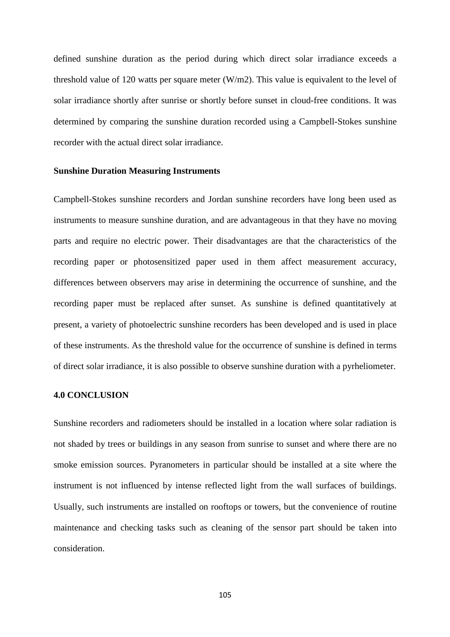defined sunshine duration as the period during which direct solar irradiance exceeds a threshold value of 120 watts per square meter (W/m2). This value is equivalent to the level of solar irradiance shortly after sunrise or shortly before sunset in cloud-free conditions. It was determined by comparing the sunshine duration recorded using a Campbell-Stokes sunshine recorder with the actual direct solar irradiance.

#### **Sunshine Duration Measuring Instruments**

Campbell-Stokes sunshine recorders and Jordan sunshine recorders have long been used as instruments to measure sunshine duration, and are advantageous in that they have no moving parts and require no electric power. Their disadvantages are that the characteristics of the recording paper or photosensitized paper used in them affect measurement accuracy, differences between observers may arise in determining the occurrence of sunshine, and the recording paper must be replaced after sunset. As sunshine is defined quantitatively at present, a variety of photoelectric sunshine recorders has been developed and is used in place of these instruments. As the threshold value for the occurrence of sunshine is defined in terms of direct solar irradiance, it is also possible to observe sunshine duration with a pyrheliometer.

# **4.0 CONCLUSION**

Sunshine recorders and radiometers should be installed in a location where solar radiation is not shaded by trees or buildings in any season from sunrise to sunset and where there are no smoke emission sources. Pyranometers in particular should be installed at a site where the instrument is not influenced by intense reflected light from the wall surfaces of buildings. Usually, such instruments are installed on rooftops or towers, but the convenience of routine maintenance and checking tasks such as cleaning of the sensor part should be taken into consideration.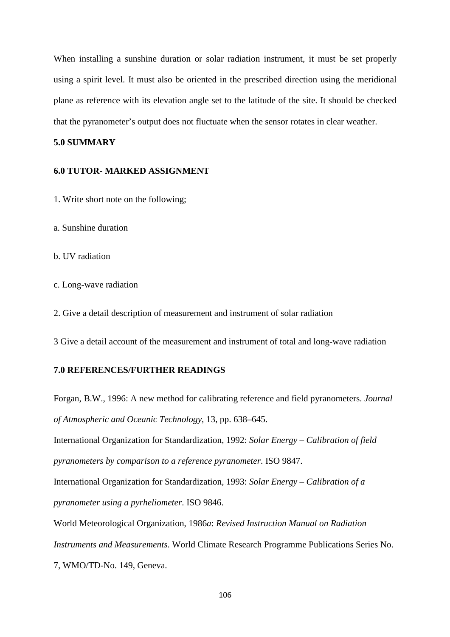When installing a sunshine duration or solar radiation instrument, it must be set properly using a spirit level. It must also be oriented in the prescribed direction using the meridional plane as reference with its elevation angle set to the latitude of the site. It should be checked that the pyranometer's output does not fluctuate when the sensor rotates in clear weather.

# **5.0 SUMMARY**

# **6.0 TUTOR- MARKED ASSIGNMENT**

1. Write short note on the following;

a. Sunshine duration

b. UV radiation

c. Long-wave radiation

2. Give a detail description of measurement and instrument of solar radiation

3 Give a detail account of the measurement and instrument of total and long-wave radiation

# **7.0 REFERENCES/FURTHER READINGS**

Forgan, B.W., 1996: A new method for calibrating reference and field pyranometers. *Journal of Atmospheric and Oceanic Technology,* 13, pp. 638–645. International Organization for Standardization, 1992: *Solar Energy – Calibration of field pyranometers by comparison to a reference pyranometer*. ISO 9847.

International Organization for Standardization, 1993: *Solar Energy – Calibration of a pyranometer using a pyrheliometer*. ISO 9846.

World Meteorological Organization, 1986*a*: *Revised Instruction Manual on Radiation Instruments and Measurements*. World Climate Research Programme Publications Series No. 7, WMO/TD-No. 149, Geneva.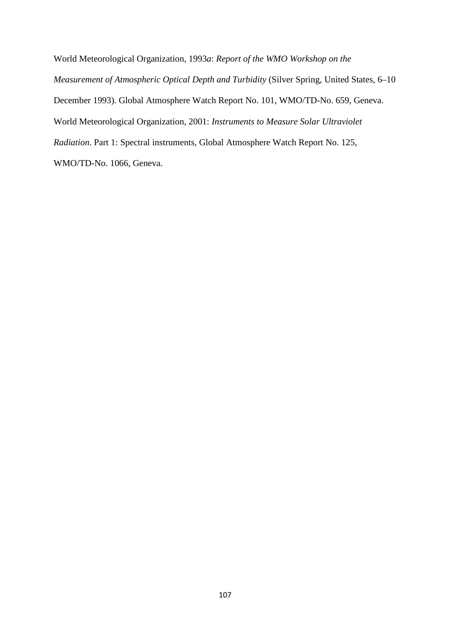World Meteorological Organization, 1993*a*: *Report of the WMO Workshop on the Measurement of Atmospheric Optical Depth and Turbidity* (Silver Spring, United States, 6–10 December 1993). Global Atmosphere Watch Report No. 101, WMO/TD-No. 659, Geneva. World Meteorological Organization, 2001: *Instruments to Measure Solar Ultraviolet Radiation*. Part 1: Spectral instruments, Global Atmosphere Watch Report No. 125, WMO/TD-No. 1066, Geneva.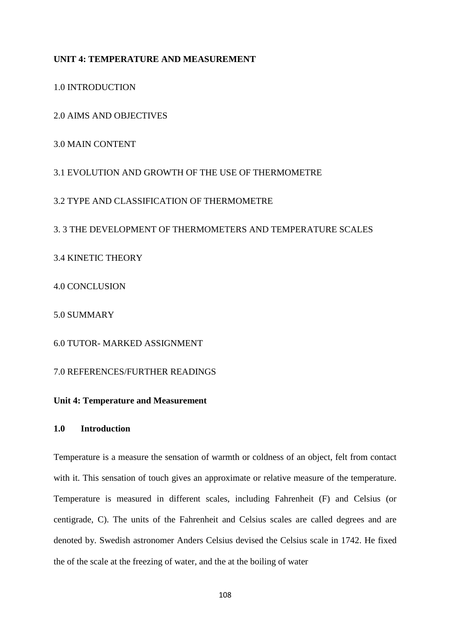# **UNIT 4: TEMPERATURE AND MEASUREMENT**

1.0 INTRODUCTION

2.0 AIMS AND OBJECTIVES

3.0 MAIN CONTENT

3.1 EVOLUTION AND GROWTH OF THE USE OF THERMOMETRE

3.2 TYPE AND CLASSIFICATION OF THERMOMETRE

3. 3 THE DEVELOPMENT OF THERMOMETERS AND TEMPERATURE SCALES

3.4 KINETIC THEORY

4.0 CONCLUSION

5.0 SUMMARY

6.0 TUTOR- MARKED ASSIGNMENT

7.0 REFERENCES/FURTHER READINGS

# **Unit 4: Temperature and Measurement**

# **1.0 Introduction**

Temperature is a measure the sensation of warmth or coldness of an object, felt from contact with it. This sensation of touch gives an approximate or relative measure of the temperature. Temperature is measured in different scales, including Fahrenheit (F) and Celsius (or centigrade, C). The units of the Fahrenheit and Celsius scales are called degrees and are denoted by. Swedish astronomer Anders Celsius devised the Celsius scale in 1742. He fixed the of the scale at the freezing of water, and the at the boiling of water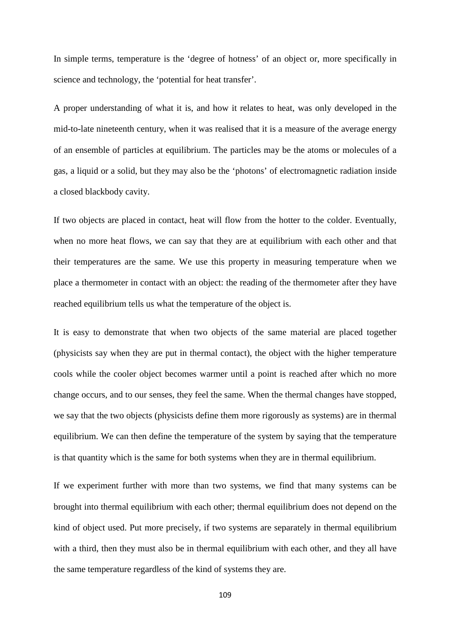In simple terms, temperature is the 'degree of hotness' of an object or, more specifically in science and technology, the 'potential for heat transfer'.

A proper understanding of what it is, and how it relates to heat, was only developed in the mid-to-late nineteenth century, when it was realised that it is a measure of the average energy of an ensemble of particles at equilibrium. The particles may be the atoms or molecules of a gas, a liquid or a solid, but they may also be the 'photons' of electromagnetic radiation inside a closed blackbody cavity.

If two objects are placed in contact, heat will flow from the hotter to the colder. Eventually, when no more heat flows, we can say that they are at equilibrium with each other and that their temperatures are the same. We use this property in measuring temperature when we place a thermometer in contact with an object: the reading of the thermometer after they have reached equilibrium tells us what the temperature of the object is.

It is easy to demonstrate that when two objects of the same material are placed together (physicists say when they are put in thermal contact), the object with the higher temperature cools while the cooler object becomes warmer until a point is reached after which no more change occurs, and to our senses, they feel the same. When the thermal changes have stopped, we say that the two objects (physicists define them more rigorously as systems) are in thermal equilibrium. We can then define the temperature of the system by saying that the temperature is that quantity which is the same for both systems when they are in thermal equilibrium.

If we experiment further with more than two systems, we find that many systems can be brought into thermal equilibrium with each other; thermal equilibrium does not depend on the kind of object used. Put more precisely, if two systems are separately in thermal equilibrium with a third, then they must also be in thermal equilibrium with each other, and they all have the same temperature regardless of the kind of systems they are.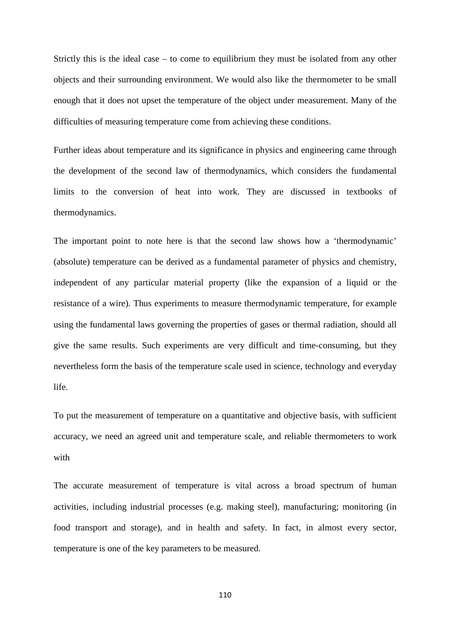Strictly this is the ideal case – to come to equilibrium they must be isolated from any other objects and their surrounding environment. We would also like the thermometer to be small enough that it does not upset the temperature of the object under measurement. Many of the difficulties of measuring temperature come from achieving these conditions.

Further ideas about temperature and its significance in physics and engineering came through the development of the second law of thermodynamics, which considers the fundamental limits to the conversion of heat into work. They are discussed in textbooks of thermodynamics.

The important point to note here is that the second law shows how a 'thermodynamic' (absolute) temperature can be derived as a fundamental parameter of physics and chemistry, independent of any particular material property (like the expansion of a liquid or the resistance of a wire). Thus experiments to measure thermodynamic temperature, for example using the fundamental laws governing the properties of gases or thermal radiation, should all give the same results. Such experiments are very difficult and time-consuming, but they nevertheless form the basis of the temperature scale used in science, technology and everyday life.

To put the measurement of temperature on a quantitative and objective basis, with sufficient accuracy, we need an agreed unit and temperature scale, and reliable thermometers to work with

The accurate measurement of temperature is vital across a broad spectrum of human activities, including industrial processes (e.g. making steel), manufacturing; monitoring (in food transport and storage), and in health and safety. In fact, in almost every sector, temperature is one of the key parameters to be measured.

110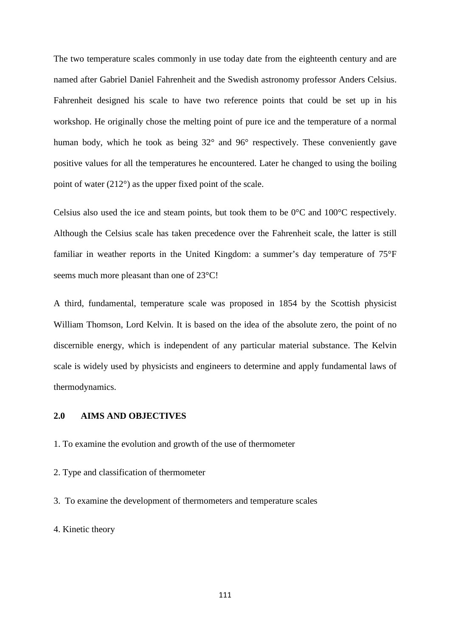The two temperature scales commonly in use today date from the eighteenth century and are named after Gabriel Daniel Fahrenheit and the Swedish astronomy professor Anders Celsius. Fahrenheit designed his scale to have two reference points that could be set up in his workshop. He originally chose the melting point of pure ice and the temperature of a normal human body, which he took as being 32° and 96° respectively. These conveniently gave positive values for all the temperatures he encountered. Later he changed to using the boiling point of water (212°) as the upper fixed point of the scale.

Celsius also used the ice and steam points, but took them to be 0°C and 100°C respectively. Although the Celsius scale has taken precedence over the Fahrenheit scale, the latter is still familiar in weather reports in the United Kingdom: a summer's day temperature of 75°F seems much more pleasant than one of 23°C!

A third, fundamental, temperature scale was proposed in 1854 by the Scottish physicist William Thomson, Lord Kelvin. It is based on the idea of the absolute zero, the point of no discernible energy, which is independent of any particular material substance. The Kelvin scale is widely used by physicists and engineers to determine and apply fundamental laws of thermodynamics.

# **2.0 AIMS AND OBJECTIVES**

1. To examine the evolution and growth of the use of thermometer

2. Type and classification of thermometer

3. To examine the development of thermometers and temperature scales

4. Kinetic theory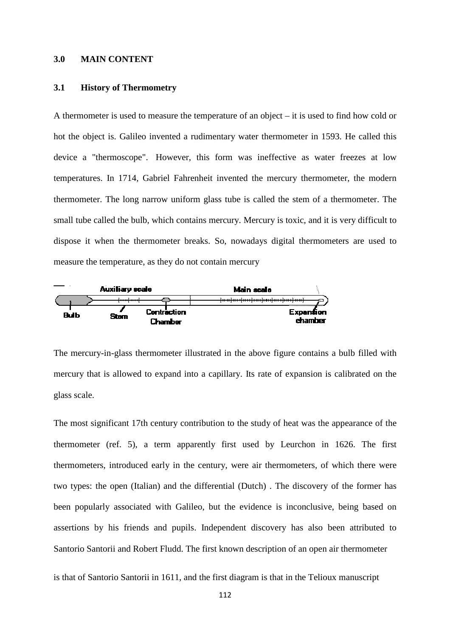### **3.0 MAIN CONTENT**

### **3.1 History of Thermometry**

A thermometer is used to measure the temperature of an object – it is used to find how cold or hot the object is. Galileo invented a rudimentary water thermometer in 1593. He called this device a "thermoscope". However, this form was ineffective as water freezes at low temperatures. In 1714, Gabriel Fahrenheit invented the mercury thermometer, the modern thermometer. The long narrow uniform glass tube is called the stem of a thermometer. The small tube called the bulb, which contains mercury. Mercury is toxic, and it is very difficult to dispose it when the thermometer breaks. So, nowadays digital thermometers are used to measure the temperature, as they do not contain mercury



The mercury-in-glass thermometer illustrated in the above figure contains a bulb filled with mercury that is allowed to expand into a capillary. Its rate of expansion is calibrated on the glass scale.

The most significant 17th century contribution to the study of heat was the appearance of the thermometer (ref. 5), a term apparently first used by Leurchon in 1626. The first thermometers, introduced early in the century, were air thermometers, of which there were two types: the open (Italian) and the differential (Dutch) . The discovery of the former has been popularly associated with Galileo, but the evidence is inconclusive, being based on assertions by his friends and pupils. Independent discovery has also been attributed to Santorio Santorii and Robert Fludd. The first known description of an open air thermometer

is that of Santorio Santorii in 1611, and the first diagram is that in the Telioux manuscript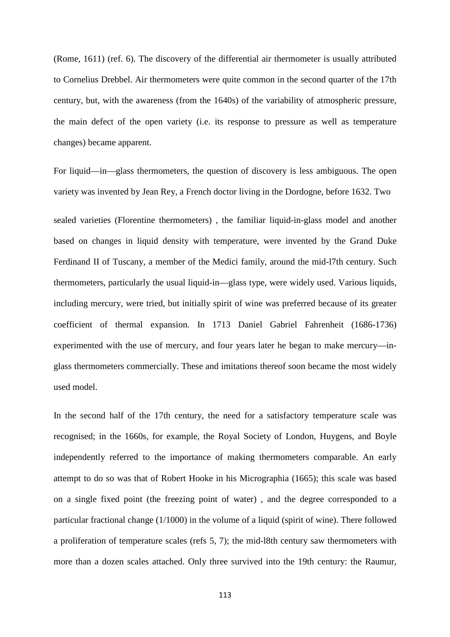(Rome, 1611) (ref. 6). The discovery of the differential air thermometer is usually attributed to Cornelius Drebbel. Air thermometers were quite common in the second quarter of the 17th century, but, with the awareness (from the 1640s) of the variability of atmospheric pressure, the main defect of the open variety (i.e. its response to pressure as well as temperature changes) became apparent.

For liquid—in—glass thermometers, the question of discovery is less ambiguous. The open variety was invented by Jean Rey, a French doctor living in the Dordogne, before 1632. Two sealed varieties (Florentine thermometers) , the familiar liquid-in-glass model and another based on changes in liquid density with temperature, were invented by the Grand Duke Ferdinand II of Tuscany, a member of the Medici family, around the mid-l7th century. Such thermometers, particularly the usual liquid-in—glass type, were widely used. Various liquids, including mercury, were tried, but initially spirit of wine was preferred because of its greater coefficient of thermal expansion. In 1713 Daniel Gabriel Fahrenheit (1686-1736) experimented with the use of mercury, and four years later he began to make mercury—inglass thermometers commercially. These and imitations thereof soon became the most widely used model.

In the second half of the 17th century, the need for a satisfactory temperature scale was recognised; in the 1660s, for example, the Royal Society of London, Huygens, and Boyle independently referred to the importance of making thermometers comparable. An early attempt to do so was that of Robert Hooke in his Micrographia (1665); this scale was based on a single fixed point (the freezing point of water) , and the degree corresponded to a particular fractional change (1/1000) in the volume of a liquid (spirit of wine). There followed a proliferation of temperature scales (refs 5, 7); the mid-l8th century saw thermometers with more than a dozen scales attached. Only three survived into the 19th century: the Raumur,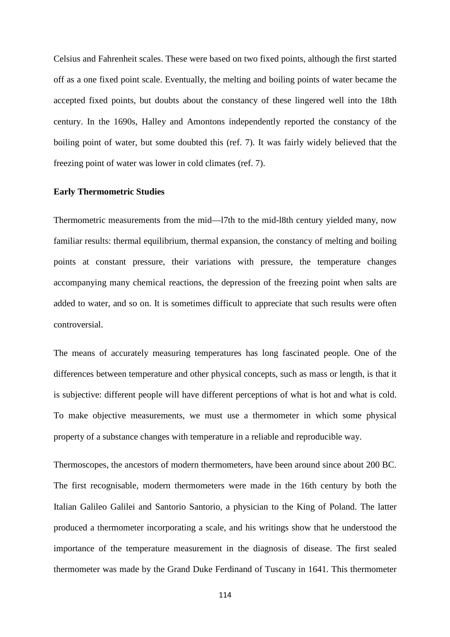Celsius and Fahrenheit scales. These were based on two fixed points, although the first started off as a one fixed point scale. Eventually, the melting and boiling points of water became the accepted fixed points, but doubts about the constancy of these lingered well into the 18th century. In the 1690s, Halley and Amontons independently reported the constancy of the boiling point of water, but some doubted this (ref. 7). It was fairly widely believed that the freezing point of water was lower in cold climates (ref. 7).

#### **Early Thermometric Studies**

Thermometric measurements from the mid—l7th to the mid-l8th century yielded many, now familiar results: thermal equilibrium, thermal expansion, the constancy of melting and boiling points at constant pressure, their variations with pressure, the temperature changes accompanying many chemical reactions, the depression of the freezing point when salts are added to water, and so on. It is sometimes difficult to appreciate that such results were often controversial.

The means of accurately measuring temperatures has long fascinated people. One of the differences between temperature and other physical concepts, such as mass or length, is that it is subjective: different people will have different perceptions of what is hot and what is cold. To make objective measurements, we must use a thermometer in which some physical property of a substance changes with temperature in a reliable and reproducible way.

Thermoscopes, the ancestors of modern thermometers, have been around since about 200 BC. The first recognisable, modern thermometers were made in the 16th century by both the Italian Galileo Galilei and Santorio Santorio, a physician to the King of Poland. The latter produced a thermometer incorporating a scale, and his writings show that he understood the importance of the temperature measurement in the diagnosis of disease. The first sealed thermometer was made by the Grand Duke Ferdinand of Tuscany in 1641. This thermometer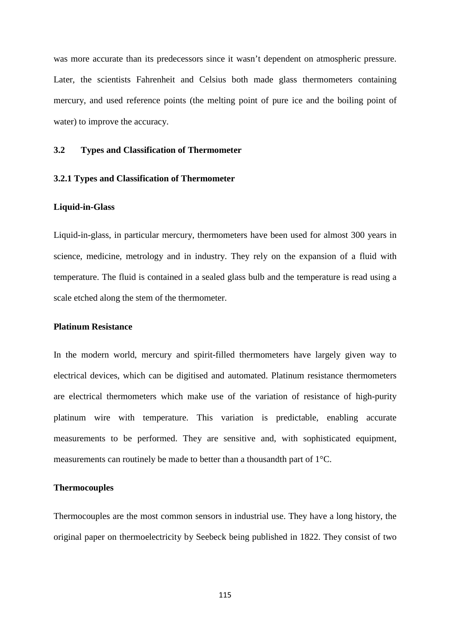was more accurate than its predecessors since it wasn't dependent on atmospheric pressure. Later, the scientists Fahrenheit and Celsius both made glass thermometers containing mercury, and used reference points (the melting point of pure ice and the boiling point of water) to improve the accuracy.

#### **3.2 Types and Classification of Thermometer**

### **3.2.1 Types and Classification of Thermometer**

### **Liquid-in-Glass**

Liquid-in-glass, in particular mercury, thermometers have been used for almost 300 years in science, medicine, metrology and in industry. They rely on the expansion of a fluid with temperature. The fluid is contained in a sealed glass bulb and the temperature is read using a scale etched along the stem of the thermometer.

## **Platinum Resistance**

In the modern world, mercury and spirit-filled thermometers have largely given way to electrical devices, which can be digitised and automated. Platinum resistance thermometers are electrical thermometers which make use of the variation of resistance of high-purity platinum wire with temperature. This variation is predictable, enabling accurate measurements to be performed. They are sensitive and, with sophisticated equipment, measurements can routinely be made to better than a thousandth part of 1°C.

#### **Thermocouples**

Thermocouples are the most common sensors in industrial use. They have a long history, the original paper on thermoelectricity by Seebeck being published in 1822. They consist of two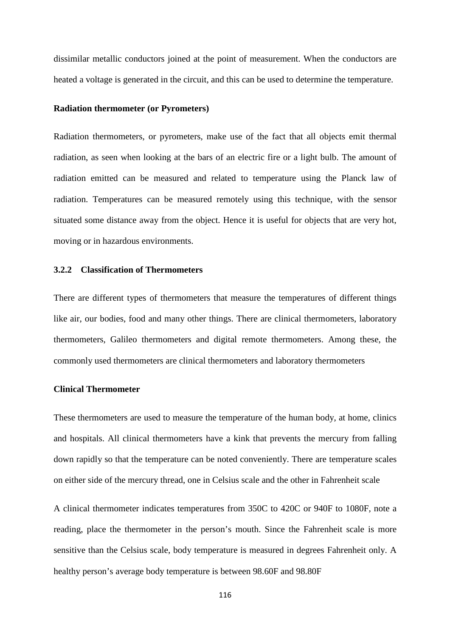dissimilar metallic conductors joined at the point of measurement. When the conductors are heated a voltage is generated in the circuit, and this can be used to determine the temperature.

#### **Radiation thermometer (or Pyrometers)**

Radiation thermometers, or pyrometers, make use of the fact that all objects emit thermal radiation, as seen when looking at the bars of an electric fire or a light bulb. The amount of radiation emitted can be measured and related to temperature using the Planck law of radiation. Temperatures can be measured remotely using this technique, with the sensor situated some distance away from the object. Hence it is useful for objects that are very hot, moving or in hazardous environments.

#### **3.2.2 Classification of Thermometers**

There are different types of thermometers that measure the temperatures of different things like air, our bodies, food and many other things. There are clinical thermometers, laboratory thermometers, Galileo thermometers and digital remote thermometers. Among these, the commonly used thermometers are clinical thermometers and laboratory thermometers

#### **Clinical Thermometer**

These thermometers are used to measure the temperature of the human body, at home, clinics and hospitals. All clinical thermometers have a kink that prevents the mercury from falling down rapidly so that the temperature can be noted conveniently. There are temperature scales on either side of the mercury thread, one in Celsius scale and the other in Fahrenheit scale

A clinical thermometer indicates temperatures from 350C to 420C or 940F to 1080F, note a reading, place the thermometer in the person's mouth. Since the Fahrenheit scale is more sensitive than the Celsius scale, body temperature is measured in degrees Fahrenheit only. A healthy person's average body temperature is between 98.60F and 98.80F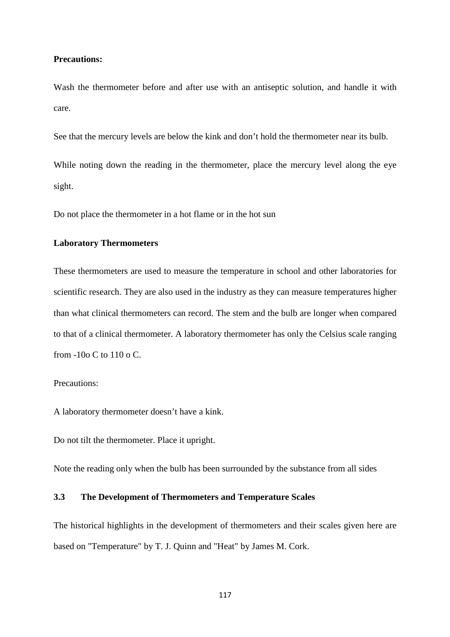# **Precautions:**

Wash the thermometer before and after use with an antiseptic solution, and handle it with care.

See that the mercury levels are below the kink and don't hold the thermometer near its bulb.

While noting down the reading in the thermometer, place the mercury level along the eye sight.

Do not place the thermometer in a hot flame or in the hot sun

# **Laboratory Thermometers**

These thermometers are used to measure the temperature in school and other laboratories for scientific research. They are also used in the industry as they can measure temperatures higher than what clinical thermometers can record. The stem and the bulb are longer when compared to that of a clinical thermometer. A laboratory thermometer has only the Celsius scale ranging from -10o C to 110 o C.

Precautions:

A laboratory thermometer doesn't have a kink.

Do not tilt the thermometer. Place it upright.

Note the reading only when the bulb has been surrounded by the substance from all sides

# **3.3 The Development of Thermometers and Temperature Scales**

The historical highlights in the development of thermometers and their scales given here are based on "Temperature" by T. J. Quinn and "Heat" by James M. Cork.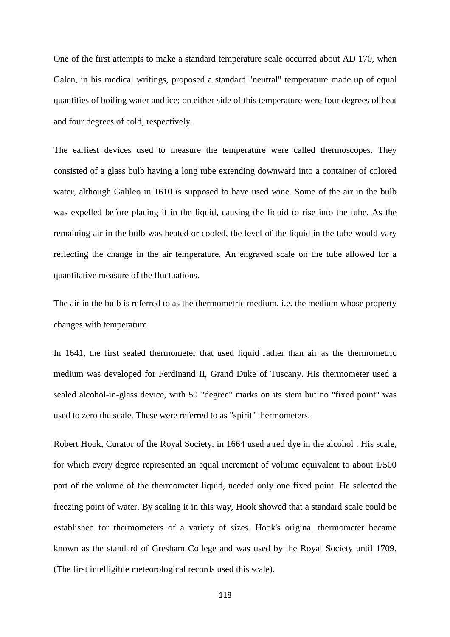One of the first attempts to make a standard temperature scale occurred about AD 170, when Galen, in his medical writings, proposed a standard "neutral" temperature made up of equal quantities of boiling water and ice; on either side of this temperature were four degrees of heat and four degrees of cold, respectively.

The earliest devices used to measure the temperature were called thermoscopes. They consisted of a glass bulb having a long tube extending downward into a container of colored water, although Galileo in 1610 is supposed to have used wine. Some of the air in the bulb was expelled before placing it in the liquid, causing the liquid to rise into the tube. As the remaining air in the bulb was heated or cooled, the level of the liquid in the tube would vary reflecting the change in the air temperature. An engraved scale on the tube allowed for a quantitative measure of the fluctuations.

The air in the bulb is referred to as the thermometric medium, i.e. the medium whose property changes with temperature.

In 1641, the first sealed thermometer that used liquid rather than air as the thermometric medium was developed for Ferdinand II, Grand Duke of Tuscany. His thermometer used a sealed alcohol-in-glass device, with 50 "degree" marks on its stem but no "fixed point" was used to zero the scale. These were referred to as "spirit" thermometers.

Robert Hook, Curator of the Royal Society, in 1664 used a red dye in the alcohol . His scale, for which every degree represented an equal increment of volume equivalent to about 1/500 part of the volume of the thermometer liquid, needed only one fixed point. He selected the freezing point of water. By scaling it in this way, Hook showed that a standard scale could be established for thermometers of a variety of sizes. Hook's original thermometer became known as the standard of Gresham College and was used by the Royal Society until 1709. (The first intelligible meteorological records used this scale).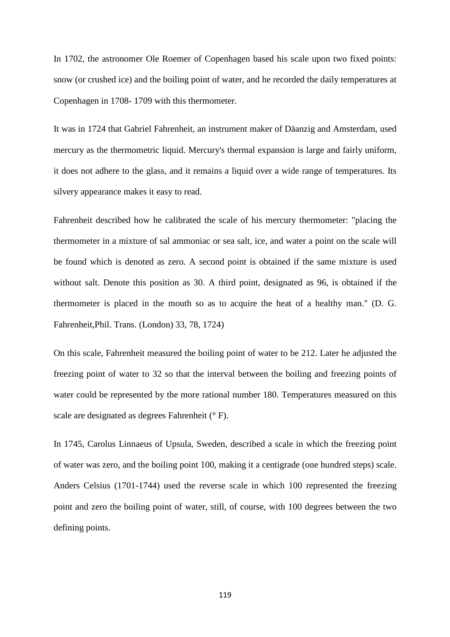In 1702, the astronomer Ole Roemer of Copenhagen based his scale upon two fixed points: snow (or crushed ice) and the boiling point of water, and he recorded the daily temperatures at Copenhagen in 1708- 1709 with this thermometer.

It was in 1724 that Gabriel Fahrenheit, an instrument maker of Däanzig and Amsterdam, used mercury as the thermometric liquid. Mercury's thermal expansion is large and fairly uniform, it does not adhere to the glass, and it remains a liquid over a wide range of temperatures. Its silvery appearance makes it easy to read.

Fahrenheit described how he calibrated the scale of his mercury thermometer: "placing the thermometer in a mixture of sal ammoniac or sea salt, ice, and water a point on the scale will be found which is denoted as zero. A second point is obtained if the same mixture is used without salt. Denote this position as 30. A third point, designated as 96, is obtained if the thermometer is placed in the mouth so as to acquire the heat of a healthy man." (D. G. Fahrenheit,Phil. Trans. (London) 33, 78, 1724)

On this scale, Fahrenheit measured the boiling point of water to be 212. Later he adjusted the freezing point of water to 32 so that the interval between the boiling and freezing points of water could be represented by the more rational number 180. Temperatures measured on this scale are designated as degrees Fahrenheit (° F).

In 1745, Carolus Linnaeus of Upsula, Sweden, described a scale in which the freezing point of water was zero, and the boiling point 100, making it a centigrade (one hundred steps) scale. Anders Celsius (1701-1744) used the reverse scale in which 100 represented the freezing point and zero the boiling point of water, still, of course, with 100 degrees between the two defining points.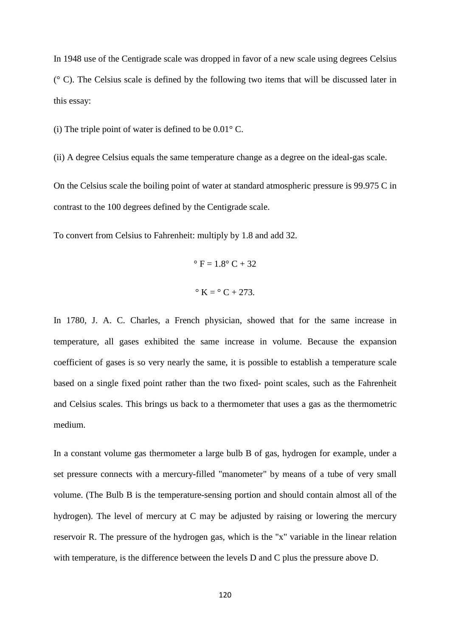In 1948 use of the Centigrade scale was dropped in favor of a new scale using degrees Celsius (° C). The Celsius scale is defined by the following two items that will be discussed later in this essay:

(i) The triple point of water is defined to be  $0.01^{\circ}$  C.

(ii) A degree Celsius equals the same temperature change as a degree on the ideal-gas scale.

On the Celsius scale the boiling point of water at standard atmospheric pressure is 99.975 C in contrast to the 100 degrees defined by the Centigrade scale.

To convert from Celsius to Fahrenheit: multiply by 1.8 and add 32.

 $\degree$  F = 1.8 $\degree$  C + 32.  $\circ K = \circ C + 273.$ 

In 1780, J. A. C. Charles, a French physician, showed that for the same increase in temperature, all gases exhibited the same increase in volume. Because the expansion coefficient of gases is so very nearly the same, it is possible to establish a temperature scale based on a single fixed point rather than the two fixed- point scales, such as the Fahrenheit and Celsius scales. This brings us back to a thermometer that uses a gas as the thermometric medium.

In a constant volume gas thermometer a large bulb B of gas, hydrogen for example, under a set pressure connects with a mercury-filled "manometer" by means of a tube of very small volume. (The Bulb B is the temperature-sensing portion and should contain almost all of the hydrogen). The level of mercury at C may be adjusted by raising or lowering the mercury reservoir R. The pressure of the hydrogen gas, which is the "x" variable in the linear relation with temperature, is the difference between the levels D and C plus the pressure above D.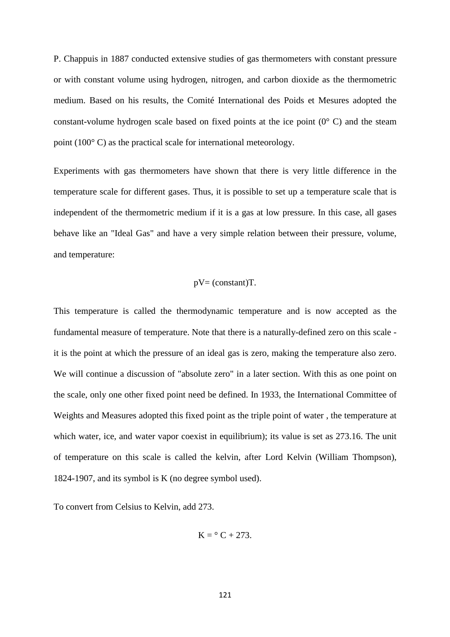P. Chappuis in 1887 conducted extensive studies of gas thermometers with constant pressure or with constant volume using hydrogen, nitrogen, and carbon dioxide as the thermometric medium. Based on his results, the Comité International des Poids et Mesures adopted the constant-volume hydrogen scale based on fixed points at the ice point  $(0^{\circ} \text{ C})$  and the steam point (100° C) as the practical scale for international meteorology.

Experiments with gas thermometers have shown that there is very little difference in the temperature scale for different gases. Thus, it is possible to set up a temperature scale that is independent of the thermometric medium if it is a gas at low pressure. In this case, all gases behave like an "Ideal Gas" and have a very simple relation between their pressure, volume, and temperature:

### $pV = (constant)T$ .

This temperature is called the thermodynamic temperature and is now accepted as the fundamental measure of temperature. Note that there is a naturally-defined zero on this scale it is the point at which the pressure of an ideal gas is zero, making the temperature also zero. We will continue a discussion of "absolute zero" in a later section. With this as one point on the scale, only one other fixed point need be defined. In 1933, the International Committee of Weights and Measures adopted this fixed point as the triple point of water , the temperature at which water, ice, and water vapor coexist in equilibrium); its value is set as 273.16. The unit of temperature on this scale is called the kelvin, after Lord Kelvin (William Thompson), 1824-1907, and its symbol is K (no degree symbol used).

To convert from Celsius to Kelvin, add 273.

$$
K = \text{°} C + 273.
$$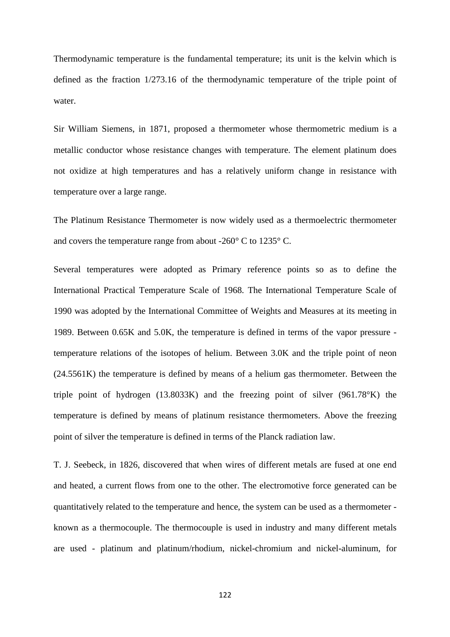Thermodynamic temperature is the fundamental temperature; its unit is the kelvin which is defined as the fraction 1/273.16 of the thermodynamic temperature of the triple point of water.

Sir William Siemens, in 1871, proposed a thermometer whose thermometric medium is a metallic conductor whose resistance changes with temperature. The element platinum does not oxidize at high temperatures and has a relatively uniform change in resistance with temperature over a large range.

The Platinum Resistance Thermometer is now widely used as a thermoelectric thermometer and covers the temperature range from about -260° C to 1235° C.

Several temperatures were adopted as Primary reference points so as to define the International Practical Temperature Scale of 1968. The International Temperature Scale of 1990 was adopted by the International Committee of Weights and Measures at its meeting in 1989. Between 0.65K and 5.0K, the temperature is defined in terms of the vapor pressure temperature relations of the isotopes of helium. Between 3.0K and the triple point of neon (24.5561K) the temperature is defined by means of a helium gas thermometer. Between the triple point of hydrogen (13.8033K) and the freezing point of silver (961.78°K) the temperature is defined by means of platinum resistance thermometers. Above the freezing point of silver the temperature is defined in terms of the Planck radiation law.

T. J. Seebeck, in 1826, discovered that when wires of different metals are fused at one end and heated, a current flows from one to the other. The electromotive force generated can be quantitatively related to the temperature and hence, the system can be used as a thermometer known as a thermocouple. The thermocouple is used in industry and many different metals are used - platinum and platinum/rhodium, nickel-chromium and nickel-aluminum, for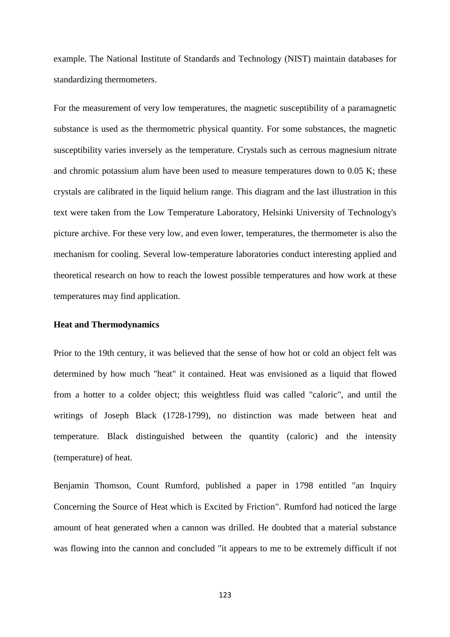example. The National Institute of Standards and Technology (NIST) maintain databases for standardizing thermometers.

For the measurement of very low temperatures, the magnetic susceptibility of a paramagnetic substance is used as the thermometric physical quantity. For some substances, the magnetic susceptibility varies inversely as the temperature. Crystals such as cerrous magnesium nitrate and chromic potassium alum have been used to measure temperatures down to 0.05 K; these crystals are calibrated in the liquid helium range. This diagram and the last illustration in this text were taken from the Low Temperature Laboratory, Helsinki University of Technology's picture archive. For these very low, and even lower, temperatures, the thermometer is also the mechanism for cooling. Several low-temperature laboratories conduct interesting applied and theoretical research on how to reach the lowest possible temperatures and how work at these temperatures may find application.

#### **Heat and Thermodynamics**

Prior to the 19th century, it was believed that the sense of how hot or cold an object felt was determined by how much "heat" it contained. Heat was envisioned as a liquid that flowed from a hotter to a colder object; this weightless fluid was called "caloric", and until the writings of Joseph Black (1728-1799), no distinction was made between heat and temperature. Black distinguished between the quantity (caloric) and the intensity (temperature) of heat.

Benjamin Thomson, Count Rumford, published a paper in 1798 entitled "an Inquiry Concerning the Source of Heat which is Excited by Friction". Rumford had noticed the large amount of heat generated when a cannon was drilled. He doubted that a material substance was flowing into the cannon and concluded "it appears to me to be extremely difficult if not

123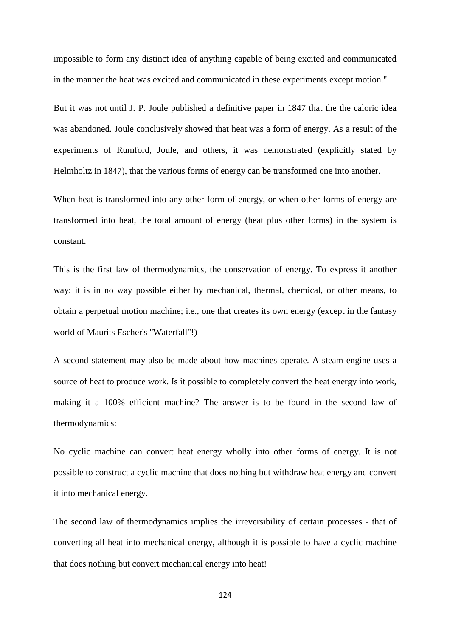impossible to form any distinct idea of anything capable of being excited and communicated in the manner the heat was excited and communicated in these experiments except motion."

But it was not until J. P. Joule published a definitive paper in 1847 that the the caloric idea was abandoned. Joule conclusively showed that heat was a form of energy. As a result of the experiments of Rumford, Joule, and others, it was demonstrated (explicitly stated by Helmholtz in 1847), that the various forms of energy can be transformed one into another.

When heat is transformed into any other form of energy, or when other forms of energy are transformed into heat, the total amount of energy (heat plus other forms) in the system is constant.

This is the first law of thermodynamics, the conservation of energy. To express it another way: it is in no way possible either by mechanical, thermal, chemical, or other means, to obtain a perpetual motion machine; i.e., one that creates its own energy (except in the fantasy world of Maurits Escher's "Waterfall"!)

A second statement may also be made about how machines operate. A steam engine uses a source of heat to produce work. Is it possible to completely convert the heat energy into work, making it a 100% efficient machine? The answer is to be found in the second law of thermodynamics:

No cyclic machine can convert heat energy wholly into other forms of energy. It is not possible to construct a cyclic machine that does nothing but withdraw heat energy and convert it into mechanical energy.

The second law of thermodynamics implies the irreversibility of certain processes - that of converting all heat into mechanical energy, although it is possible to have a cyclic machine that does nothing but convert mechanical energy into heat!

124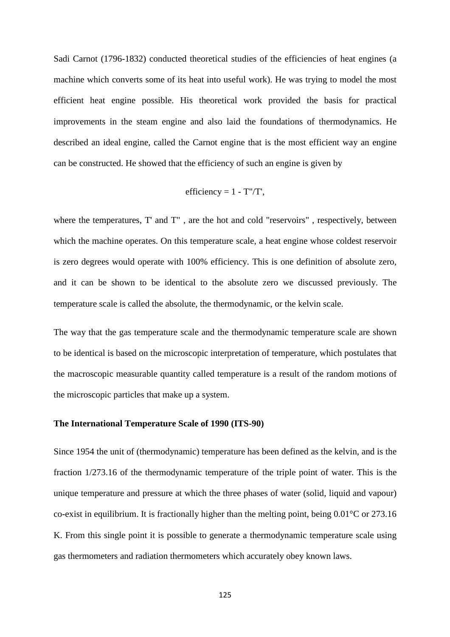Sadi Carnot (1796-1832) conducted theoretical studies of the efficiencies of heat engines (a machine which converts some of its heat into useful work). He was trying to model the most efficient heat engine possible. His theoretical work provided the basis for practical improvements in the steam engine and also laid the foundations of thermodynamics. He described an ideal engine, called the Carnot engine that is the most efficient way an engine can be constructed. He showed that the efficiency of such an engine is given by

efficiency = 
$$
1 - T''/T'
$$
,

where the temperatures, T' and T" , are the hot and cold "reservoirs" , respectively, between which the machine operates. On this temperature scale, a heat engine whose coldest reservoir is zero degrees would operate with 100% efficiency. This is one definition of absolute zero, and it can be shown to be identical to the absolute zero we discussed previously. The temperature scale is called the absolute, the thermodynamic, or the kelvin scale.

The way that the gas temperature scale and the thermodynamic temperature scale are shown to be identical is based on the microscopic interpretation of temperature, which postulates that the macroscopic measurable quantity called temperature is a result of the random motions of the microscopic particles that make up a system.

#### **The International Temperature Scale of 1990 (ITS-90)**

Since 1954 the unit of (thermodynamic) temperature has been defined as the kelvin, and is the fraction 1/273.16 of the thermodynamic temperature of the triple point of water. This is the unique temperature and pressure at which the three phases of water (solid, liquid and vapour) co-exist in equilibrium. It is fractionally higher than the melting point, being 0.01°C or 273.16 K. From this single point it is possible to generate a thermodynamic temperature scale using gas thermometers and radiation thermometers which accurately obey known laws.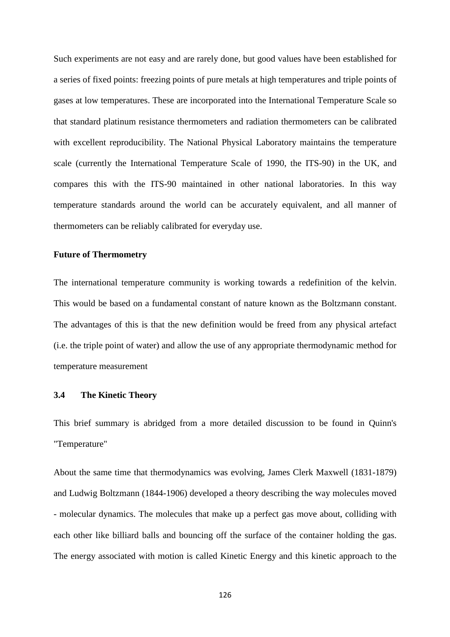Such experiments are not easy and are rarely done, but good values have been established for a series of fixed points: freezing points of pure metals at high temperatures and triple points of gases at low temperatures. These are incorporated into the International Temperature Scale so that standard platinum resistance thermometers and radiation thermometers can be calibrated with excellent reproducibility. The National Physical Laboratory maintains the temperature scale (currently the International Temperature Scale of 1990, the ITS-90) in the UK, and compares this with the ITS-90 maintained in other national laboratories. In this way temperature standards around the world can be accurately equivalent, and all manner of thermometers can be reliably calibrated for everyday use.

### **Future of Thermometry**

The international temperature community is working towards a redefinition of the kelvin. This would be based on a fundamental constant of nature known as the Boltzmann constant. The advantages of this is that the new definition would be freed from any physical artefact (i.e. the triple point of water) and allow the use of any appropriate thermodynamic method for temperature measurement

# **3.4 The Kinetic Theory**

This brief summary is abridged from a more detailed discussion to be found in Quinn's "Temperature"

About the same time that thermodynamics was evolving, James Clerk Maxwell (1831-1879) and Ludwig Boltzmann (1844-1906) developed a theory describing the way molecules moved - molecular dynamics. The molecules that make up a perfect gas move about, colliding with each other like billiard balls and bouncing off the surface of the container holding the gas. The energy associated with motion is called Kinetic Energy and this kinetic approach to the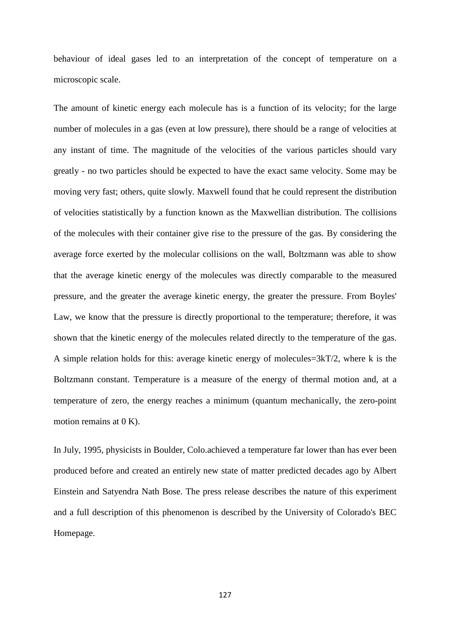behaviour of ideal gases led to an interpretation of the concept of temperature on a microscopic scale.

The amount of kinetic energy each molecule has is a function of its velocity; for the large number of molecules in a gas (even at low pressure), there should be a range of velocities at any instant of time. The magnitude of the velocities of the various particles should vary greatly - no two particles should be expected to have the exact same velocity. Some may be moving very fast; others, quite slowly. Maxwell found that he could represent the distribution of velocities statistically by a function known as the Maxwellian distribution. The collisions of the molecules with their container give rise to the pressure of the gas. By considering the average force exerted by the molecular collisions on the wall, Boltzmann was able to show that the average kinetic energy of the molecules was directly comparable to the measured pressure, and the greater the average kinetic energy, the greater the pressure. From Boyles' Law, we know that the pressure is directly proportional to the temperature; therefore, it was shown that the kinetic energy of the molecules related directly to the temperature of the gas. A simple relation holds for this: average kinetic energy of molecules=3kT/2, where k is the Boltzmann constant. Temperature is a measure of the energy of thermal motion and, at a temperature of zero, the energy reaches a minimum (quantum mechanically, the zero-point motion remains at 0 K).

In July, 1995, physicists in Boulder, Colo.achieved a temperature far lower than has ever been produced before and created an entirely new state of matter predicted decades ago by Albert Einstein and Satyendra Nath Bose. The press release describes the nature of this experiment and a full description of this phenomenon is described by the University of Colorado's BEC Homepage.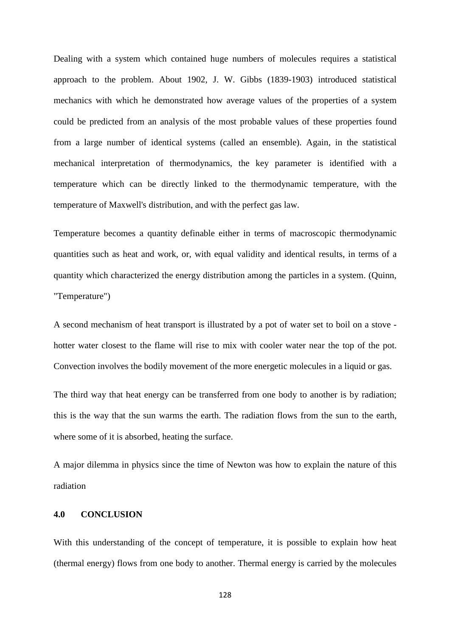Dealing with a system which contained huge numbers of molecules requires a statistical approach to the problem. About 1902, J. W. Gibbs (1839-1903) introduced statistical mechanics with which he demonstrated how average values of the properties of a system could be predicted from an analysis of the most probable values of these properties found from a large number of identical systems (called an ensemble). Again, in the statistical mechanical interpretation of thermodynamics, the key parameter is identified with a temperature which can be directly linked to the thermodynamic temperature, with the temperature of Maxwell's distribution, and with the perfect gas law.

Temperature becomes a quantity definable either in terms of macroscopic thermodynamic quantities such as heat and work, or, with equal validity and identical results, in terms of a quantity which characterized the energy distribution among the particles in a system. (Quinn, "Temperature")

A second mechanism of heat transport is illustrated by a pot of water set to boil on a stove hotter water closest to the flame will rise to mix with cooler water near the top of the pot. Convection involves the bodily movement of the more energetic molecules in a liquid or gas.

The third way that heat energy can be transferred from one body to another is by radiation; this is the way that the sun warms the earth. The radiation flows from the sun to the earth, where some of it is absorbed, heating the surface.

A major dilemma in physics since the time of Newton was how to explain the nature of this radiation

# **4.0 CONCLUSION**

With this understanding of the concept of temperature, it is possible to explain how heat (thermal energy) flows from one body to another. Thermal energy is carried by the molecules

128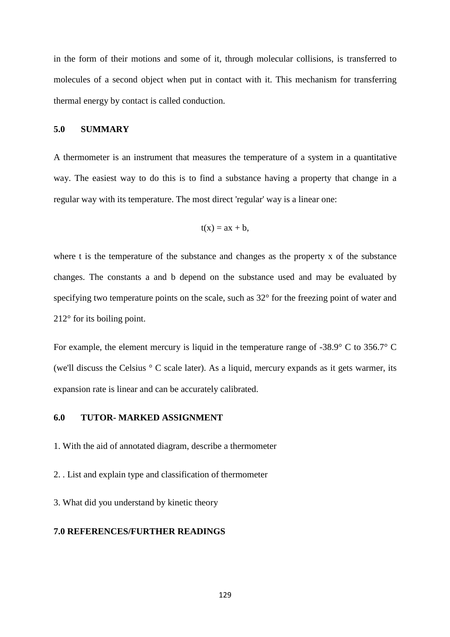in the form of their motions and some of it, through molecular collisions, is transferred to molecules of a second object when put in contact with it. This mechanism for transferring thermal energy by contact is called conduction.

# **5.0 SUMMARY**

A thermometer is an instrument that measures the temperature of a system in a quantitative way. The easiest way to do this is to find a substance having a property that change in a regular way with its temperature. The most direct 'regular' way is a linear one:

$$
t(x) = ax + b,
$$

where t is the temperature of the substance and changes as the property x of the substance changes. The constants a and b depend on the substance used and may be evaluated by specifying two temperature points on the scale, such as 32° for the freezing point of water and 212° for its boiling point.

For example, the element mercury is liquid in the temperature range of -38.9° C to 356.7° C (we'll discuss the Celsius ° C scale later). As a liquid, mercury expands as it gets warmer, its expansion rate is linear and can be accurately calibrated.

# **6.0 TUTOR- MARKED ASSIGNMENT**

1. With the aid of annotated diagram, describe a thermometer

2. . List and explain type and classification of thermometer

3. What did you understand by kinetic theory

#### **7.0 REFERENCES/FURTHER READINGS**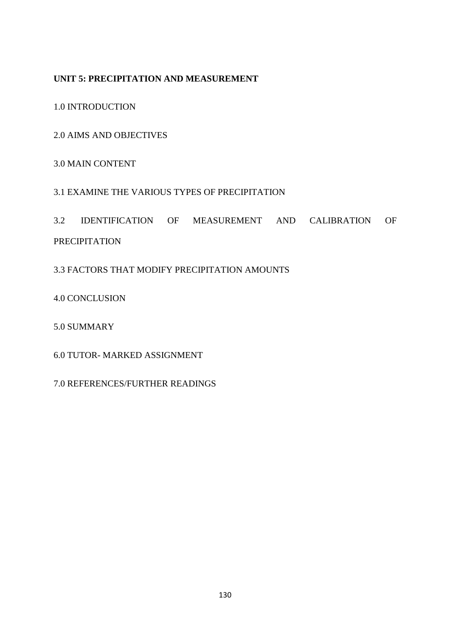# **UNIT 5: PRECIPITATION AND MEASUREMENT**

1.0 INTRODUCTION

# 2.0 AIMS AND OBJECTIVES

3.0 MAIN CONTENT

3.1 EXAMINE THE VARIOUS TYPES OF PRECIPITATION

3.2 IDENTIFICATION OF MEASUREMENT AND CALIBRATION OF PRECIPITATION

3.3 FACTORS THAT MODIFY PRECIPITATION AMOUNTS

4.0 CONCLUSION

5.0 SUMMARY

6.0 TUTOR- MARKED ASSIGNMENT

7.0 REFERENCES/FURTHER READINGS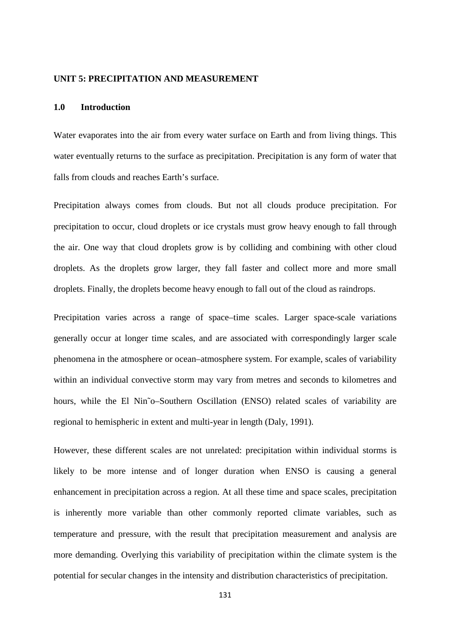### **UNIT 5: PRECIPITATION AND MEASUREMENT**

### **1.0 Introduction**

Water evaporates into the air from every water surface on Earth and from living things. This water eventually returns to the surface as precipitation. Precipitation is any form of water that falls from clouds and reaches Earth's surface.

Precipitation always comes from clouds. But not all clouds produce precipitation. For precipitation to occur, cloud droplets or ice crystals must grow heavy enough to fall through the air. One way that cloud droplets grow is by colliding and combining with other cloud droplets. As the droplets grow larger, they fall faster and collect more and more small droplets. Finally, the droplets become heavy enough to fall out of the cloud as raindrops.

Precipitation varies across a range of space–time scales. Larger space-scale variations generally occur at longer time scales, and are associated with correspondingly larger scale phenomena in the atmosphere or ocean–atmosphere system. For example, scales of variability within an individual convective storm may vary from metres and seconds to kilometres and hours, while the El Nin~o–Southern Oscillation (ENSO) related scales of variability are regional to hemispheric in extent and multi-year in length (Daly, 1991).

However, these different scales are not unrelated: precipitation within individual storms is likely to be more intense and of longer duration when ENSO is causing a general enhancement in precipitation across a region. At all these time and space scales, precipitation is inherently more variable than other commonly reported climate variables, such as temperature and pressure, with the result that precipitation measurement and analysis are more demanding. Overlying this variability of precipitation within the climate system is the potential for secular changes in the intensity and distribution characteristics of precipitation.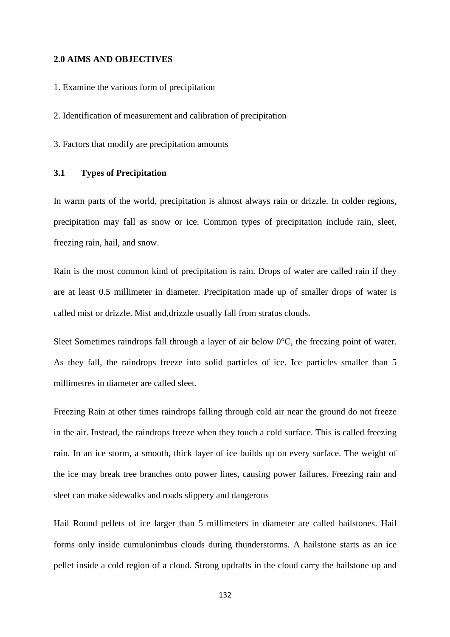#### **2.0 AIMS AND OBJECTIVES**

1. Examine the various form of precipitation

2. Identification of measurement and calibration of precipitation

3. Factors that modify are precipitation amounts

# **3.1 Types of Precipitation**

In warm parts of the world, precipitation is almost always rain or drizzle. In colder regions, precipitation may fall as snow or ice. Common types of precipitation include rain, sleet, freezing rain, hail, and snow.

Rain is the most common kind of precipitation is rain. Drops of water are called rain if they are at least 0.5 millimeter in diameter. Precipitation made up of smaller drops of water is called mist or drizzle. Mist and,drizzle usually fall from stratus clouds.

Sleet Sometimes raindrops fall through a layer of air below 0°C, the freezing point of water. As they fall, the raindrops freeze into solid particles of ice. Ice particles smaller than 5 millimetres in diameter are called sleet.

Freezing Rain at other times raindrops falling through cold air near the ground do not freeze in the air. Instead, the raindrops freeze when they touch a cold surface. This is called freezing rain. In an ice storm, a smooth, thick layer of ice builds up on every surface. The weight of the ice may break tree branches onto power lines, causing power failures. Freezing rain and sleet can make sidewalks and roads slippery and dangerous

Hail Round pellets of ice larger than 5 millimeters in diameter are called hailstones. Hail forms only inside cumulonimbus clouds during thunderstorms. A hailstone starts as an ice pellet inside a cold region of a cloud. Strong updrafts in the cloud carry the hailstone up and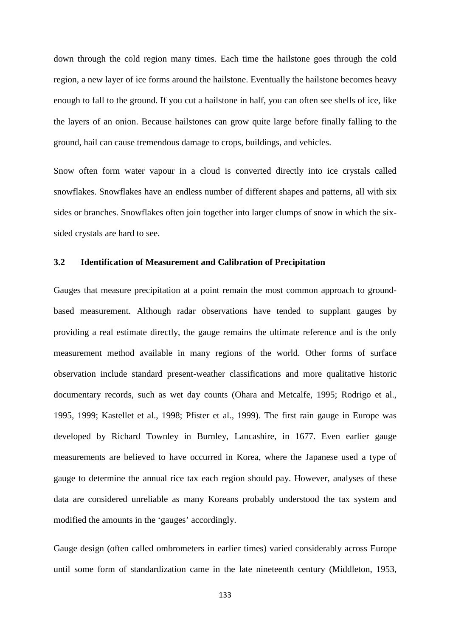down through the cold region many times. Each time the hailstone goes through the cold region, a new layer of ice forms around the hailstone. Eventually the hailstone becomes heavy enough to fall to the ground. If you cut a hailstone in half, you can often see shells of ice, like the layers of an onion. Because hailstones can grow quite large before finally falling to the ground, hail can cause tremendous damage to crops, buildings, and vehicles.

Snow often form water vapour in a cloud is converted directly into ice crystals called snowflakes. Snowflakes have an endless number of different shapes and patterns, all with six sides or branches. Snowflakes often join together into larger clumps of snow in which the sixsided crystals are hard to see.

# **3.2 Identification of Measurement and Calibration of Precipitation**

Gauges that measure precipitation at a point remain the most common approach to groundbased measurement. Although radar observations have tended to supplant gauges by providing a real estimate directly, the gauge remains the ultimate reference and is the only measurement method available in many regions of the world. Other forms of surface observation include standard present-weather classifications and more qualitative historic documentary records, such as wet day counts (Ohara and Metcalfe, 1995; Rodrigo et al., 1995, 1999; Kastellet et al., 1998; Pfister et al., 1999). The first rain gauge in Europe was developed by Richard Townley in Burnley, Lancashire, in 1677. Even earlier gauge measurements are believed to have occurred in Korea, where the Japanese used a type of gauge to determine the annual rice tax each region should pay. However, analyses of these data are considered unreliable as many Koreans probably understood the tax system and modified the amounts in the 'gauges' accordingly.

Gauge design (often called ombrometers in earlier times) varied considerably across Europe until some form of standardization came in the late nineteenth century (Middleton, 1953,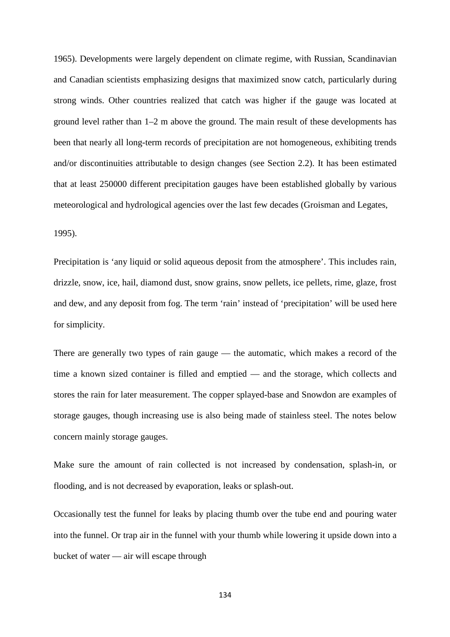1965). Developments were largely dependent on climate regime, with Russian, Scandinavian and Canadian scientists emphasizing designs that maximized snow catch, particularly during strong winds. Other countries realized that catch was higher if the gauge was located at ground level rather than 1–2 m above the ground. The main result of these developments has been that nearly all long-term records of precipitation are not homogeneous, exhibiting trends and/or discontinuities attributable to design changes (see Section 2.2). It has been estimated that at least 250000 different precipitation gauges have been established globally by various meteorological and hydrological agencies over the last few decades (Groisman and Legates,

1995).

Precipitation is 'any liquid or solid aqueous deposit from the atmosphere'. This includes rain, drizzle, snow, ice, hail, diamond dust, snow grains, snow pellets, ice pellets, rime, glaze, frost and dew, and any deposit from fog. The term 'rain' instead of 'precipitation' will be used here for simplicity.

There are generally two types of rain gauge — the automatic, which makes a record of the time a known sized container is filled and emptied — and the storage, which collects and stores the rain for later measurement. The copper splayed-base and Snowdon are examples of storage gauges, though increasing use is also being made of stainless steel. The notes below concern mainly storage gauges.

Make sure the amount of rain collected is not increased by condensation, splash-in, or flooding, and is not decreased by evaporation, leaks or splash-out.

Occasionally test the funnel for leaks by placing thumb over the tube end and pouring water into the funnel. Or trap air in the funnel with your thumb while lowering it upside down into a bucket of water — air will escape through

134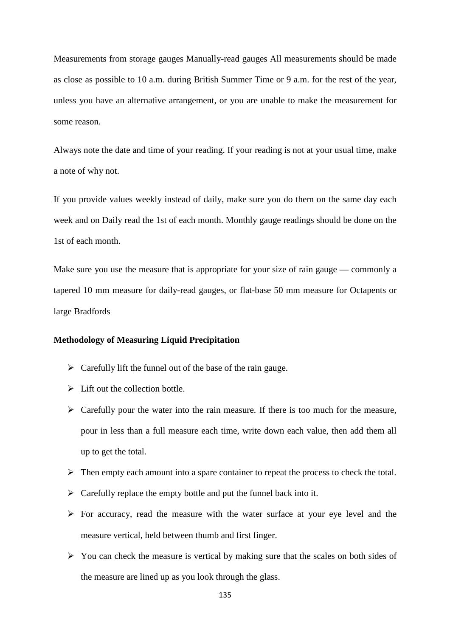Measurements from storage gauges Manually-read gauges All measurements should be made as close as possible to 10 a.m. during British Summer Time or 9 a.m. for the rest of the year, unless you have an alternative arrangement, or you are unable to make the measurement for some reason.

Always note the date and time of your reading. If your reading is not at your usual time, make a note of why not.

If you provide values weekly instead of daily, make sure you do them on the same day each week and on Daily read the 1st of each month. Monthly gauge readings should be done on the 1st of each month.

Make sure you use the measure that is appropriate for your size of rain gauge — commonly a tapered 10 mm measure for daily-read gauges, or flat-base 50 mm measure for Octapents or large Bradfords

# **Methodology of Measuring Liquid Precipitation**

- $\triangleright$  Carefully lift the funnel out of the base of the rain gauge.
- $\triangleright$  Lift out the collection bottle.
- $\triangleright$  Carefully pour the water into the rain measure. If there is too much for the measure, pour in less than a full measure each time, write down each value, then add them all up to get the total.
- $\triangleright$  Then empty each amount into a spare container to repeat the process to check the total.
- $\triangleright$  Carefully replace the empty bottle and put the funnel back into it.
- $\triangleright$  For accuracy, read the measure with the water surface at your eye level and the measure vertical, held between thumb and first finger.
- $\triangleright$  You can check the measure is vertical by making sure that the scales on both sides of the measure are lined up as you look through the glass.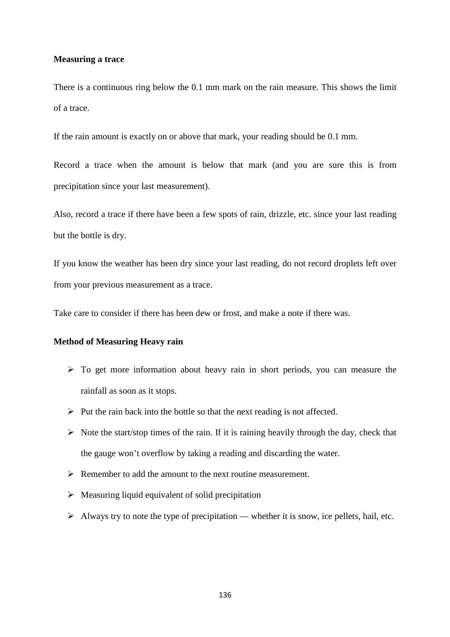### **Measuring a trace**

There is a continuous ring below the 0.1 mm mark on the rain measure. This shows the limit of a trace.

If the rain amount is exactly on or above that mark, your reading should be 0.1 mm.

Record a trace when the amount is below that mark (and you are sure this is from precipitation since your last measurement).

Also, record a trace if there have been a few spots of rain, drizzle, etc. since your last reading but the bottle is dry.

If you know the weather has been dry since your last reading, do not record droplets left over from your previous measurement as a trace.

Take care to consider if there has been dew or frost, and make a note if there was.

### **Method of Measuring Heavy rain**

- $\triangleright$  To get more information about heavy rain in short periods, you can measure the rainfall as soon as it stops.
- $\triangleright$  Put the rain back into the bottle so that the next reading is not affected.
- $\triangleright$  Note the start/stop times of the rain. If it is raining heavily through the day, check that the gauge won't overflow by taking a reading and discarding the water.
- $\triangleright$  Remember to add the amount to the next routine measurement.
- $\triangleright$  Measuring liquid equivalent of solid precipitation
- $\triangleright$  Always try to note the type of precipitation whether it is snow, ice pellets, hail, etc.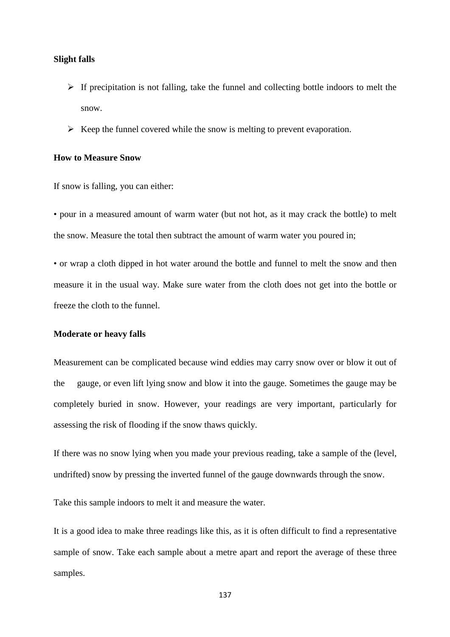# **Slight falls**

- $\triangleright$  If precipitation is not falling, take the funnel and collecting bottle indoors to melt the snow.
- $\triangleright$  Keep the funnel covered while the snow is melting to prevent evaporation.

# **How to Measure Snow**

If snow is falling, you can either:

• pour in a measured amount of warm water (but not hot, as it may crack the bottle) to melt the snow. Measure the total then subtract the amount of warm water you poured in;

• or wrap a cloth dipped in hot water around the bottle and funnel to melt the snow and then measure it in the usual way. Make sure water from the cloth does not get into the bottle or freeze the cloth to the funnel.

#### **Moderate or heavy falls**

Measurement can be complicated because wind eddies may carry snow over or blow it out of the gauge, or even lift lying snow and blow it into the gauge. Sometimes the gauge may be completely buried in snow. However, your readings are very important, particularly for assessing the risk of flooding if the snow thaws quickly.

If there was no snow lying when you made your previous reading, take a sample of the (level, undrifted) snow by pressing the inverted funnel of the gauge downwards through the snow.

Take this sample indoors to melt it and measure the water.

It is a good idea to make three readings like this, as it is often difficult to find a representative sample of snow. Take each sample about a metre apart and report the average of these three samples.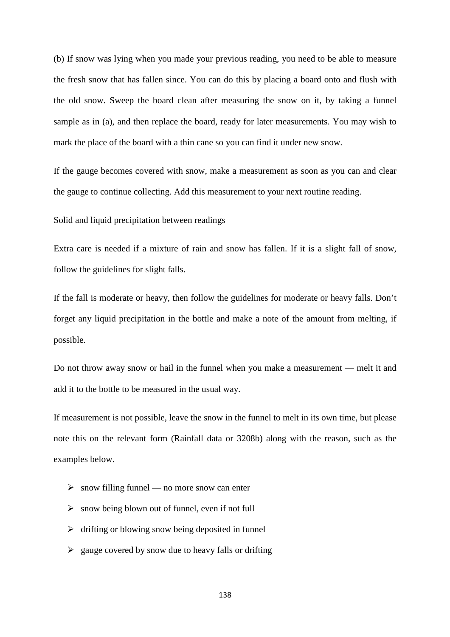(b) If snow was lying when you made your previous reading, you need to be able to measure the fresh snow that has fallen since. You can do this by placing a board onto and flush with the old snow. Sweep the board clean after measuring the snow on it, by taking a funnel sample as in (a), and then replace the board, ready for later measurements. You may wish to mark the place of the board with a thin cane so you can find it under new snow.

If the gauge becomes covered with snow, make a measurement as soon as you can and clear the gauge to continue collecting. Add this measurement to your next routine reading.

Solid and liquid precipitation between readings

Extra care is needed if a mixture of rain and snow has fallen. If it is a slight fall of snow, follow the guidelines for slight falls.

If the fall is moderate or heavy, then follow the guidelines for moderate or heavy falls. Don't forget any liquid precipitation in the bottle and make a note of the amount from melting, if possible.

Do not throw away snow or hail in the funnel when you make a measurement — melt it and add it to the bottle to be measured in the usual way.

If measurement is not possible, leave the snow in the funnel to melt in its own time, but please note this on the relevant form (Rainfall data or 3208b) along with the reason, such as the examples below.

- $\triangleright$  snow filling funnel no more snow can enter
- $\triangleright$  snow being blown out of funnel, even if not full
- $\triangleright$  drifting or blowing snow being deposited in funnel
- $\ge$  gauge covered by snow due to heavy falls or drifting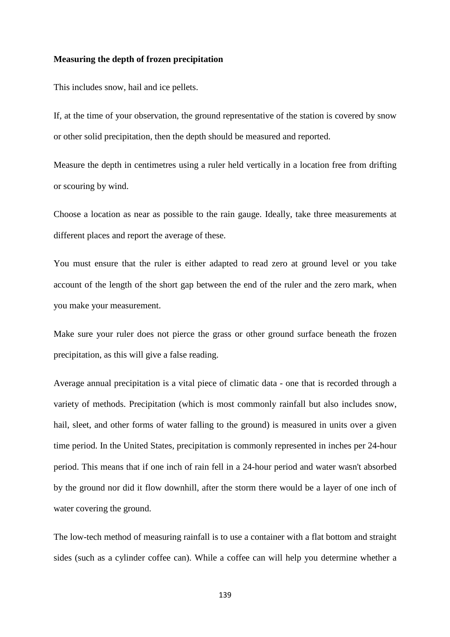#### **Measuring the depth of frozen precipitation**

This includes snow, hail and ice pellets.

If, at the time of your observation, the ground representative of the station is covered by snow or other solid precipitation, then the depth should be measured and reported.

Measure the depth in centimetres using a ruler held vertically in a location free from drifting or scouring by wind.

Choose a location as near as possible to the rain gauge. Ideally, take three measurements at different places and report the average of these.

You must ensure that the ruler is either adapted to read zero at ground level or you take account of the length of the short gap between the end of the ruler and the zero mark, when you make your measurement.

Make sure your ruler does not pierce the grass or other ground surface beneath the frozen precipitation, as this will give a false reading.

Average annual precipitation is a vital piece of climatic data - one that is recorded through a variety of methods. Precipitation (which is most commonly rainfall but also includes snow, hail, sleet, and other forms of water falling to the ground) is measured in units over a given time period. In the United States, precipitation is commonly represented in inches per 24-hour period. This means that if one inch of rain fell in a 24-hour period and water wasn't absorbed by the ground nor did it flow downhill, after the storm there would be a layer of one inch of water covering the ground.

The low-tech method of measuring rainfall is to use a container with a flat bottom and straight sides (such as a cylinder coffee can). While a coffee can will help you determine whether a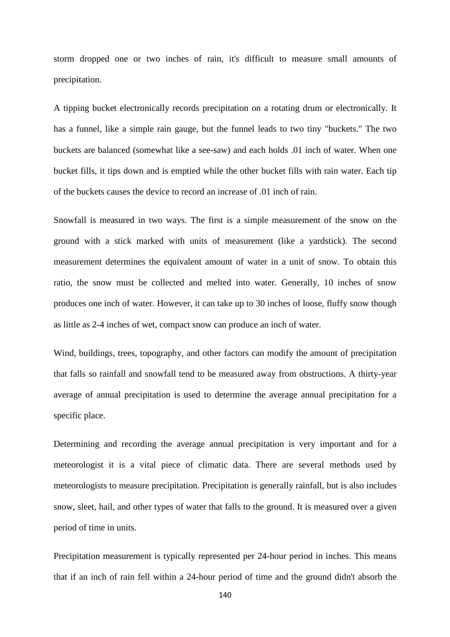storm dropped one or two inches of rain, it's difficult to measure small amounts of precipitation.

A tipping bucket electronically records precipitation on a rotating drum or electronically. It has a funnel, like a simple rain gauge, but the funnel leads to two tiny "buckets." The two buckets are balanced (somewhat like a see-saw) and each holds .01 inch of water. When one bucket fills, it tips down and is emptied while the other bucket fills with rain water. Each tip of the buckets causes the device to record an increase of .01 inch of rain.

Snowfall is measured in two ways. The first is a simple measurement of the snow on the ground with a stick marked with units of measurement (like a yardstick). The second measurement determines the equivalent amount of water in a unit of snow. To obtain this ratio, the snow must be collected and melted into water. Generally, 10 inches of snow produces one inch of water. However, it can take up to 30 inches of loose, fluffy snow though as little as 2-4 inches of wet, compact snow can produce an inch of water.

Wind, buildings, trees, topography, and other factors can modify the amount of precipitation that falls so rainfall and snowfall tend to be measured away from obstructions. A thirty-year average of annual precipitation is used to determine the average annual precipitation for a specific place.

Determining and recording the average annual precipitation is very important and for a meteorologist it is a vital piece of climatic data. There are several methods used by meteorologists to measure precipitation. Precipitation is generally rainfall, but is also includes snow, sleet, hail, and other types of water that falls to the ground. It is measured over a given period of time in units.

Precipitation measurement is typically represented per 24-hour period in inches. This means that if an inch of rain fell within a 24-hour period of time and the ground didn't absorb the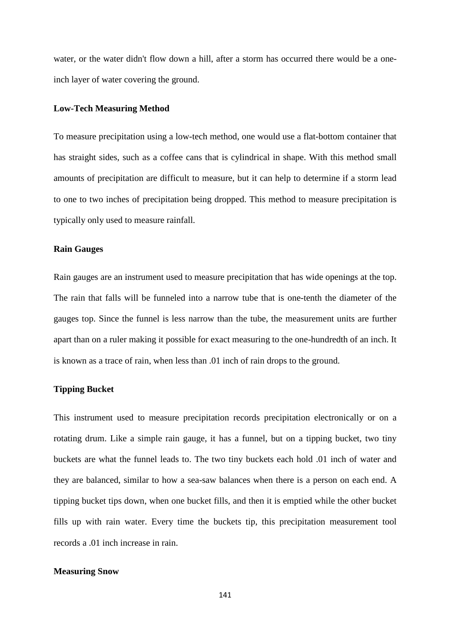water, or the water didn't flow down a hill, after a storm has occurred there would be a oneinch layer of water covering the ground.

#### **Low-Tech Measuring Method**

To measure precipitation using a low-tech method, one would use a flat-bottom container that has straight sides, such as a coffee cans that is cylindrical in shape. With this method small amounts of precipitation are difficult to measure, but it can help to determine if a storm lead to one to two inches of precipitation being dropped. This method to measure precipitation is typically only used to measure rainfall.

#### **Rain Gauges**

Rain gauges are an instrument used to measure precipitation that has wide openings at the top. The rain that falls will be funneled into a narrow tube that is one-tenth the diameter of the gauges top. Since the funnel is less narrow than the tube, the measurement units are further apart than on a ruler making it possible for exact measuring to the one-hundredth of an inch. It is known as a trace of rain, when less than .01 inch of rain drops to the ground.

# **Tipping Bucket**

This instrument used to measure precipitation records precipitation electronically or on a rotating drum. Like a simple rain gauge, it has a funnel, but on a tipping bucket, two tiny buckets are what the funnel leads to. The two tiny buckets each hold .01 inch of water and they are balanced, similar to how a sea-saw balances when there is a person on each end. A tipping bucket tips down, when one bucket fills, and then it is emptied while the other bucket fills up with rain water. Every time the buckets tip, this precipitation measurement tool records a .01 inch increase in rain.

### **Measuring Snow**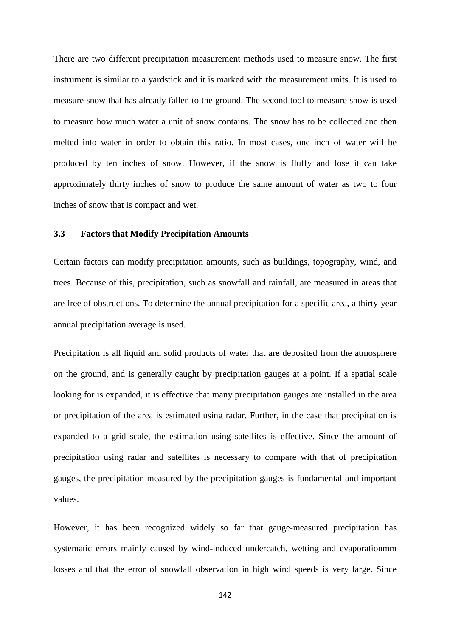There are two different precipitation measurement methods used to measure snow. The first instrument is similar to a yardstick and it is marked with the measurement units. It is used to measure snow that has already fallen to the ground. The second tool to measure snow is used to measure how much water a unit of snow contains. The snow has to be collected and then melted into water in order to obtain this ratio. In most cases, one inch of water will be produced by ten inches of snow. However, if the snow is fluffy and lose it can take approximately thirty inches of snow to produce the same amount of water as two to four inches of snow that is compact and wet.

#### **3.3 Factors that Modify Precipitation Amounts**

Certain factors can modify precipitation amounts, such as buildings, topography, wind, and trees. Because of this, precipitation, such as snowfall and rainfall, are measured in areas that are free of obstructions. To determine the annual precipitation for a specific area, a thirty-year annual precipitation average is used.

Precipitation is all liquid and solid products of water that are deposited from the atmosphere on the ground, and is generally caught by precipitation gauges at a point. If a spatial scale looking for is expanded, it is effective that many precipitation gauges are installed in the area or precipitation of the area is estimated using radar. Further, in the case that precipitation is expanded to a grid scale, the estimation using satellites is effective. Since the amount of precipitation using radar and satellites is necessary to compare with that of precipitation gauges, the precipitation measured by the precipitation gauges is fundamental and important values.

However, it has been recognized widely so far that gauge-measured precipitation has systematic errors mainly caused by wind-induced undercatch, wetting and evaporationmm losses and that the error of snowfall observation in high wind speeds is very large. Since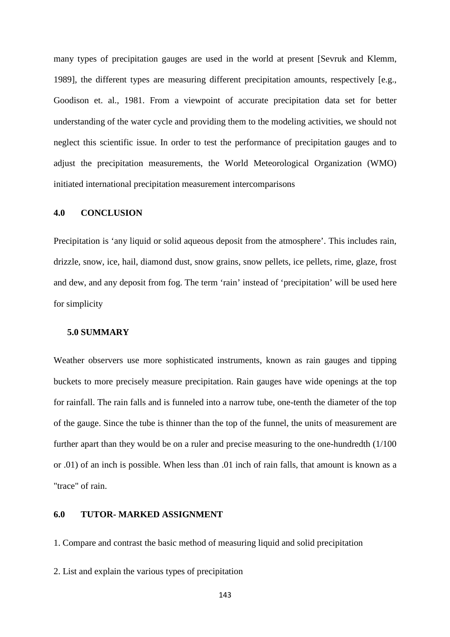many types of precipitation gauges are used in the world at present [Sevruk and Klemm, 1989], the different types are measuring different precipitation amounts, respectively [e.g., Goodison et. al., 1981. From a viewpoint of accurate precipitation data set for better understanding of the water cycle and providing them to the modeling activities, we should not neglect this scientific issue. In order to test the performance of precipitation gauges and to adjust the precipitation measurements, the World Meteorological Organization (WMO) initiated international precipitation measurement intercomparisons

# **4.0 CONCLUSION**

Precipitation is 'any liquid or solid aqueous deposit from the atmosphere'. This includes rain, drizzle, snow, ice, hail, diamond dust, snow grains, snow pellets, ice pellets, rime, glaze, frost and dew, and any deposit from fog. The term 'rain' instead of 'precipitation' will be used here for simplicity

#### **5.0 SUMMARY**

Weather observers use more sophisticated instruments, known as rain gauges and tipping buckets to more precisely measure precipitation. Rain gauges have wide openings at the top for rainfall. The rain falls and is funneled into a narrow tube, one-tenth the diameter of the top of the gauge. Since the tube is thinner than the top of the funnel, the units of measurement are further apart than they would be on a ruler and precise measuring to the one-hundredth (1/100 or .01) of an inch is possible. When less than .01 inch of rain falls, that amount is known as a "trace" of rain.

# **6.0 TUTOR- MARKED ASSIGNMENT**

1. Compare and contrast the basic method of measuring liquid and solid precipitation

2. List and explain the various types of precipitation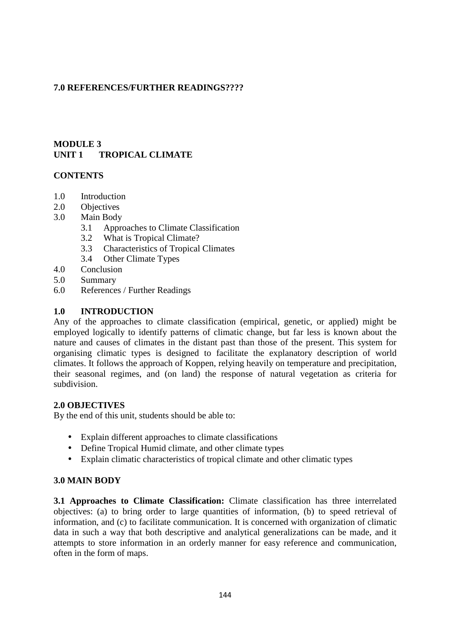# **7.0 REFERENCES/FURTHER READINGS????**

# **MODULE 3 UNIT 1 TROPICAL CLIMATE**

# **CONTENTS**

- 1.0 Introduction
- 2.0 Objectives
- 3.0 Main Body
	- 3.1 Approaches to Climate Classification
	- 3.2 What is Tropical Climate?
	- 3.3 Characteristics of Tropical Climates
	- 3.4 Other Climate Types
- 4.0 Conclusion
- 5.0 Summary
- 6.0 References / Further Readings

# **1.0 INTRODUCTION**

Any of the approaches to climate classification (empirical, genetic, or applied) might be employed logically to identify patterns of climatic change, but far less is known about the nature and causes of climates in the distant past than those of the present. This system for organising climatic types is designed to facilitate the explanatory description of world climates. It follows the approach of Koppen, relying heavily on temperature and precipitation, their seasonal regimes, and (on land) the response of natural vegetation as criteria for subdivision.

# **2.0 OBJECTIVES**

By the end of this unit, students should be able to:

- Explain different approaches to climate classifications
- Define Tropical Humid climate, and other climate types
- Explain climatic characteristics of tropical climate and other climatic types

# **3.0 MAIN BODY**

**3.1 Approaches to Climate Classification:** Climate classification has three interrelated objectives: (a) to bring order to large quantities of information, (b) to speed retrieval of information, and (c) to facilitate communication. It is concerned with organization of climatic data in such a way that both descriptive and analytical generalizations can be made, and it attempts to store information in an orderly manner for easy reference and communication, often in the form of maps.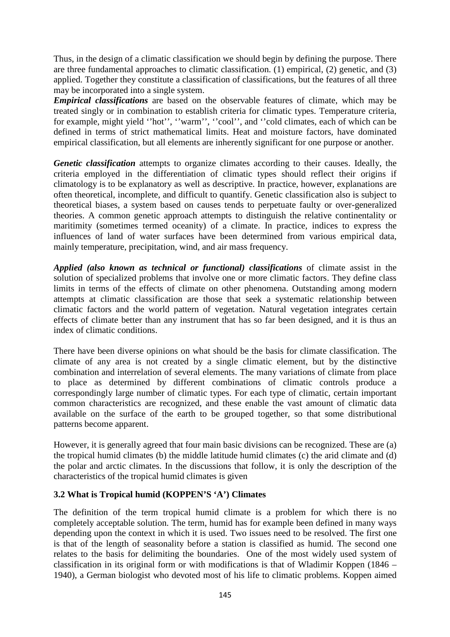Thus, in the design of a climatic classification we should begin by defining the purpose. There are three fundamental approaches to climatic classification. (1) empirical, (2) genetic, and (3) applied. Together they constitute a classification of classifications, but the features of all three may be incorporated into a single system.

*Empirical classifications* are based on the observable features of climate, which may be treated singly or in combination to establish criteria for climatic types. Temperature criteria, for example, might yield ''hot'', ''warm'', ''cool'', and ''cold climates, each of which can be defined in terms of strict mathematical limits. Heat and moisture factors, have dominated empirical classification, but all elements are inherently significant for one purpose or another.

*Genetic classification* attempts to organize climates according to their causes. Ideally, the criteria employed in the differentiation of climatic types should reflect their origins if climatology is to be explanatory as well as descriptive. In practice, however, explanations are often theoretical, incomplete, and difficult to quantify. Genetic classification also is subject to theoretical biases, a system based on causes tends to perpetuate faulty or over-generalized theories. A common genetic approach attempts to distinguish the relative continentality or maritimity (sometimes termed oceanity) of a climate. In practice, indices to express the influences of land of water surfaces have been determined from various empirical data, mainly temperature, precipitation, wind, and air mass frequency.

*Applied (also known as technical or functional) classifications* of climate assist in the solution of specialized problems that involve one or more climatic factors. They define class limits in terms of the effects of climate on other phenomena. Outstanding among modern attempts at climatic classification are those that seek a systematic relationship between climatic factors and the world pattern of vegetation. Natural vegetation integrates certain effects of climate better than any instrument that has so far been designed, and it is thus an index of climatic conditions.

There have been diverse opinions on what should be the basis for climate classification. The climate of any area is not created by a single climatic element, but by the distinctive combination and interrelation of several elements. The many variations of climate from place to place as determined by different combinations of climatic controls produce a correspondingly large number of climatic types. For each type of climatic, certain important common characteristics are recognized, and these enable the vast amount of climatic data available on the surface of the earth to be grouped together, so that some distributional patterns become apparent.

However, it is generally agreed that four main basic divisions can be recognized. These are (a) the tropical humid climates (b) the middle latitude humid climates (c) the arid climate and (d) the polar and arctic climates. In the discussions that follow, it is only the description of the characteristics of the tropical humid climates is given

## **3.2 What is Tropical humid (KOPPEN'S 'A') Climates**

The definition of the term tropical humid climate is a problem for which there is no completely acceptable solution. The term, humid has for example been defined in many ways depending upon the context in which it is used. Two issues need to be resolved. The first one is that of the length of seasonality before a station is classified as humid. The second one relates to the basis for delimiting the boundaries. One of the most widely used system of classification in its original form or with modifications is that of Wladimir Koppen (1846 – 1940), a German biologist who devoted most of his life to climatic problems. Koppen aimed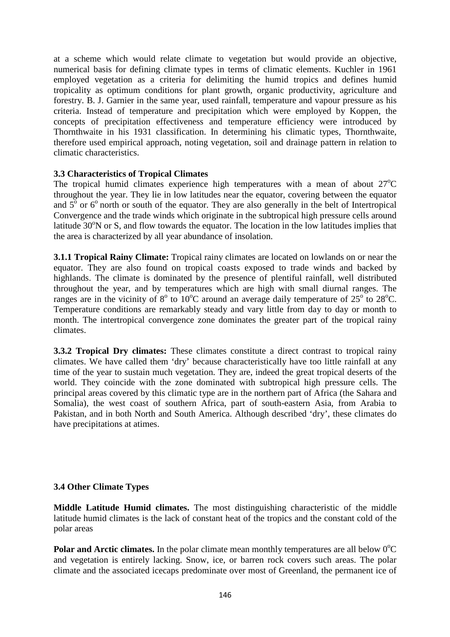at a scheme which would relate climate to vegetation but would provide an objective, numerical basis for defining climate types in terms of climatic elements. Kuchler in 1961 employed vegetation as a criteria for delimiting the humid tropics and defines humid tropicality as optimum conditions for plant growth, organic productivity, agriculture and forestry. B. J. Garnier in the same year, used rainfall, temperature and vapour pressure as his criteria. Instead of temperature and precipitation which were employed by Koppen, the concepts of precipitation effectiveness and temperature efficiency were introduced by Thornthwaite in his 1931 classification. In determining his climatic types, Thornthwaite, therefore used empirical approach, noting vegetation, soil and drainage pattern in relation to climatic characteristics.

### **3.3 Characteristics of Tropical Climates**

The tropical humid climates experience high temperatures with a mean of about  $27^{\circ}$ C throughout the year. They lie in low latitudes near the equator, covering between the equator and  $5^\circ$  or  $6^\circ$  north or south of the equator. They are also generally in the belt of Intertropical Convergence and the trade winds which originate in the subtropical high pressure cells around latitude  $30^{\circ}$ N or S, and flow towards the equator. The location in the low latitudes implies that the area is characterized by all year abundance of insolation.

**3.1.1 Tropical Rainy Climate:** Tropical rainy climates are located on lowlands on or near the equator. They are also found on tropical coasts exposed to trade winds and backed by highlands. The climate is dominated by the presence of plentiful rainfall, well distributed throughout the year, and by temperatures which are high with small diurnal ranges. The ranges are in the vicinity of  $8^{\circ}$  to  $10^{\circ}$ C around an average daily temperature of  $25^{\circ}$  to  $28^{\circ}$ C. Temperature conditions are remarkably steady and vary little from day to day or month to month. The intertropical convergence zone dominates the greater part of the tropical rainy climates.

**3.3.2 Tropical Dry climates:** These climates constitute a direct contrast to tropical rainy climates. We have called them 'dry' because characteristically have too little rainfall at any time of the year to sustain much vegetation. They are, indeed the great tropical deserts of the world. They coincide with the zone dominated with subtropical high pressure cells. The principal areas covered by this climatic type are in the northern part of Africa (the Sahara and Somalia), the west coast of southern Africa, part of south-eastern Asia, from Arabia to Pakistan, and in both North and South America. Although described 'dry', these climates do have precipitations at atimes.

## **3.4 Other Climate Types**

**Middle Latitude Humid climates.** The most distinguishing characteristic of the middle latitude humid climates is the lack of constant heat of the tropics and the constant cold of the polar areas

**Polar and Arctic climates.** In the polar climate mean monthly temperatures are all below  $0^{\circ}C$ and vegetation is entirely lacking. Snow, ice, or barren rock covers such areas. The polar climate and the associated icecaps predominate over most of Greenland, the permanent ice of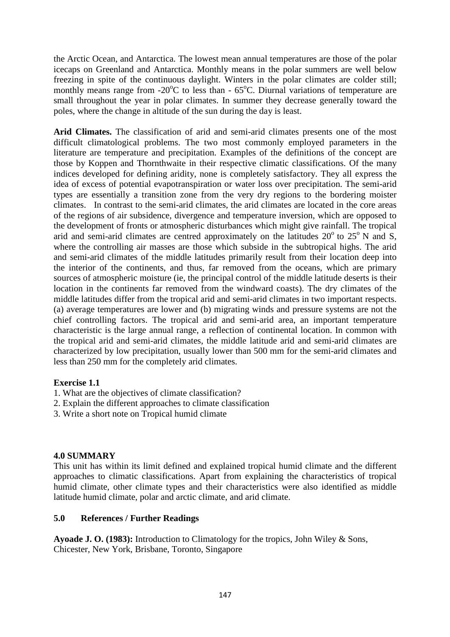the Arctic Ocean, and Antarctica. The lowest mean annual temperatures are those of the polar icecaps on Greenland and Antarctica. Monthly means in the polar summers are well below freezing in spite of the continuous daylight. Winters in the polar climates are colder still; monthly means range from  $-20^{\circ}$ C to less than  $-65^{\circ}$ C. Diurnal variations of temperature are small throughout the year in polar climates. In summer they decrease generally toward the poles, where the change in altitude of the sun during the day is least.

**Arid Climates.** The classification of arid and semi-arid climates presents one of the most difficult climatological problems. The two most commonly employed parameters in the literature are temperature and precipitation. Examples of the definitions of the concept are those by Koppen and Thornthwaite in their respective climatic classifications. Of the many indices developed for defining aridity, none is completely satisfactory. They all express the idea of excess of potential evapotranspiration or water loss over precipitation. The semi-arid types are essentially a transition zone from the very dry regions to the bordering moister climates. In contrast to the semi-arid climates, the arid climates are located in the core areas of the regions of air subsidence, divergence and temperature inversion, which are opposed to the development of fronts or atmospheric disturbances which might give rainfall. The tropical arid and semi-arid climates are centred approximately on the latitudes  $20^{\circ}$  to  $25^{\circ}$  N and S, where the controlling air masses are those which subside in the subtropical highs. The arid and semi-arid climates of the middle latitudes primarily result from their location deep into the interior of the continents, and thus, far removed from the oceans, which are primary sources of atmospheric moisture (ie, the principal control of the middle latitude deserts is their location in the continents far removed from the windward coasts). The dry climates of the middle latitudes differ from the tropical arid and semi-arid climates in two important respects. (a) average temperatures are lower and (b) migrating winds and pressure systems are not the chief controlling factors. The tropical arid and semi-arid area, an important temperature characteristic is the large annual range, a reflection of continental location. In common with the tropical arid and semi-arid climates, the middle latitude arid and semi-arid climates are characterized by low precipitation, usually lower than 500 mm for the semi-arid climates and less than 250 mm for the completely arid climates.

## **Exercise 1.1**

- 1. What are the objectives of climate classification?
- 2. Explain the different approaches to climate classification
- 3. Write a short note on Tropical humid climate

### **4.0 SUMMARY**

This unit has within its limit defined and explained tropical humid climate and the different approaches to climatic classifications. Apart from explaining the characteristics of tropical humid climate, other climate types and their characteristics were also identified as middle latitude humid climate, polar and arctic climate, and arid climate.

## **5.0 References / Further Readings**

**Ayoade J. O. (1983):** Introduction to Climatology for the tropics, John Wiley & Sons, Chicester, New York, Brisbane, Toronto, Singapore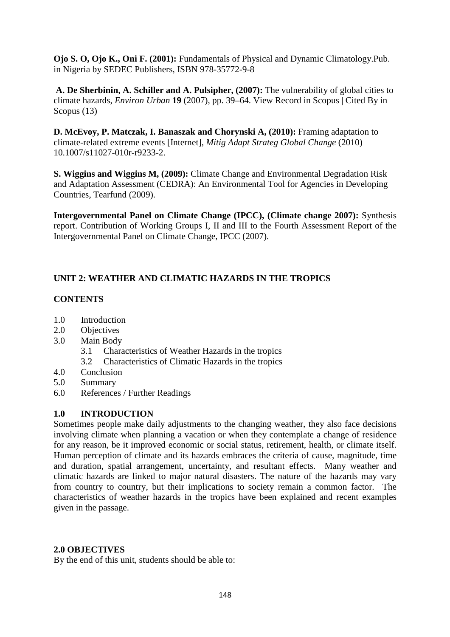**Ojo S. O, Ojo K., Oni F. (2001):** Fundamentals of Physical and Dynamic Climatology.Pub. in Nigeria by SEDEC Publishers, ISBN 978-35772-9-8

**A. De Sherbinin, A. Schiller and A. Pulsipher, (2007):** The vulnerability of global cities to climate hazards, *Environ Urban* **19** (2007), pp. 39–64. View Record in Scopus | Cited By in Scopus (13)

**D. McEvoy, P. Matczak, I. Banaszak and Chorynski A, (2010):** Framing adaptation to climate-related extreme events [Internet], *Mitig Adapt Strateg Global Change* (2010) 10.1007/s11027-010r-r9233-2.

**S. Wiggins and Wiggins M, (2009):** Climate Change and Environmental Degradation Risk and Adaptation Assessment (CEDRA): An Environmental Tool for Agencies in Developing Countries, Tearfund (2009).

**Intergovernmental Panel on Climate Change (IPCC), (Climate change 2007):** Synthesis report. Contribution of Working Groups I, II and III to the Fourth Assessment Report of the Intergovernmental Panel on Climate Change, IPCC (2007).

# **UNIT 2: WEATHER AND CLIMATIC HAZARDS IN THE TROPICS**

## **CONTENTS**

- 1.0 Introduction
- 2.0 Objectives
- 3.0 Main Body
	- 3.1 Characteristics of Weather Hazards in the tropics
	- 3.2 Characteristics of Climatic Hazards in the tropics
- 4.0 Conclusion
- 5.0 Summary
- 6.0 References / Further Readings

### **1.0 INTRODUCTION**

Sometimes people make daily adjustments to the changing weather, they also face decisions involving climate when planning a vacation or when they contemplate a change of residence for any reason, be it improved economic or social status, retirement, health, or climate itself. Human perception of climate and its hazards embraces the criteria of cause, magnitude, time and duration, spatial arrangement, uncertainty, and resultant effects. Many weather and climatic hazards are linked to major natural disasters. The nature of the hazards may vary from country to country, but their implications to society remain a common factor. The characteristics of weather hazards in the tropics have been explained and recent examples given in the passage.

### **2.0 OBJECTIVES**

By the end of this unit, students should be able to: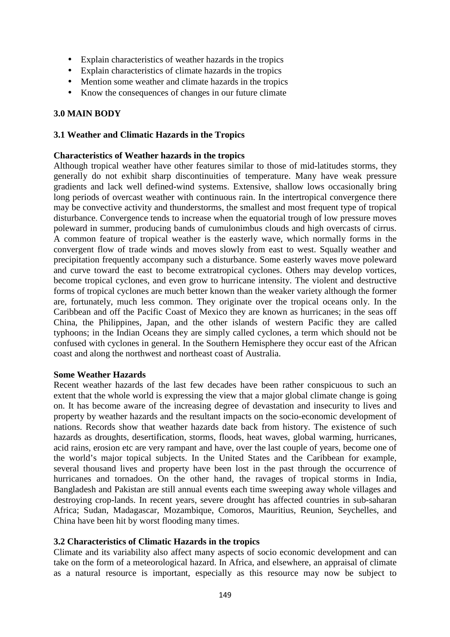- Explain characteristics of weather hazards in the tropics
- Explain characteristics of climate hazards in the tropics
- Mention some weather and climate hazards in the tropics
- Know the consequences of changes in our future climate

### **3.0 MAIN BODY**

#### **3.1 Weather and Climatic Hazards in the Tropics**

### **Characteristics of Weather hazards in the tropics**

Although tropical weather have other features similar to those of mid-latitudes storms, they generally do not exhibit sharp discontinuities of temperature. Many have weak pressure gradients and lack well defined-wind systems. Extensive, shallow lows occasionally bring long periods of overcast weather with continuous rain. In the intertropical convergence there may be convective activity and thunderstorms, the smallest and most frequent type of tropical disturbance. Convergence tends to increase when the equatorial trough of low pressure moves poleward in summer, producing bands of cumulonimbus clouds and high overcasts of cirrus. A common feature of tropical weather is the easterly wave, which normally forms in the convergent flow of trade winds and moves slowly from east to west. Squally weather and precipitation frequently accompany such a disturbance. Some easterly waves move poleward and curve toward the east to become extratropical cyclones. Others may develop vortices, become tropical cyclones, and even grow to hurricane intensity. The violent and destructive forms of tropical cyclones are much better known than the weaker variety although the former are, fortunately, much less common. They originate over the tropical oceans only. In the Caribbean and off the Pacific Coast of Mexico they are known as hurricanes; in the seas off China, the Philippines, Japan, and the other islands of western Pacific they are called typhoons; in the Indian Oceans they are simply called cyclones, a term which should not be confused with cyclones in general. In the Southern Hemisphere they occur east of the African coast and along the northwest and northeast coast of Australia.

#### **Some Weather Hazards**

Recent weather hazards of the last few decades have been rather conspicuous to such an extent that the whole world is expressing the view that a major global climate change is going on. It has become aware of the increasing degree of devastation and insecurity to lives and property by weather hazards and the resultant impacts on the socio-economic development of nations. Records show that weather hazards date back from history. The existence of such hazards as droughts, desertification, storms, floods, heat waves, global warming, hurricanes, acid rains, erosion etc are very rampant and have, over the last couple of years, become one of the world's major topical subjects. In the United States and the Caribbean for example, several thousand lives and property have been lost in the past through the occurrence of hurricanes and tornadoes. On the other hand, the ravages of tropical storms in India, Bangladesh and Pakistan are still annual events each time sweeping away whole villages and destroying crop-lands. In recent years, severe drought has affected countries in sub-saharan Africa; Sudan, Madagascar, Mozambique, Comoros, Mauritius, Reunion, Seychelles, and China have been hit by worst flooding many times.

### **3.2 Characteristics of Climatic Hazards in the tropics**

Climate and its variability also affect many aspects of socio economic development and can take on the form of a meteorological hazard. In Africa, and elsewhere, an appraisal of climate as a natural resource is important, especially as this resource may now be subject to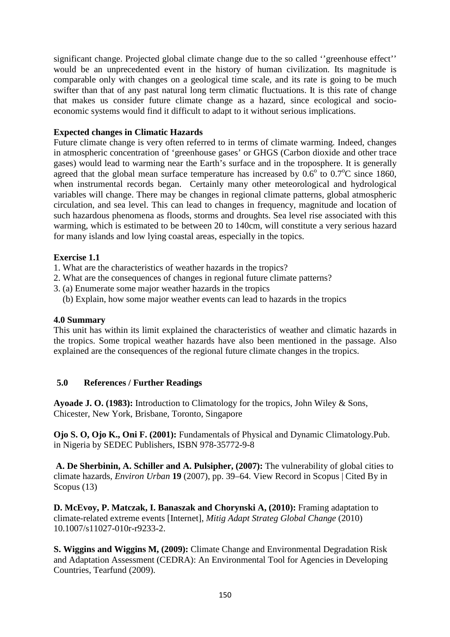significant change. Projected global climate change due to the so called ''greenhouse effect'' would be an unprecedented event in the history of human civilization. Its magnitude is comparable only with changes on a geological time scale, and its rate is going to be much swifter than that of any past natural long term climatic fluctuations. It is this rate of change that makes us consider future climate change as a hazard, since ecological and socioeconomic systems would find it difficult to adapt to it without serious implications.

### **Expected changes in Climatic Hazards**

Future climate change is very often referred to in terms of climate warming. Indeed, changes in atmospheric concentration of 'greenhouse gases' or GHGS (Carbon dioxide and other trace gases) would lead to warming near the Earth's surface and in the troposphere. It is generally agreed that the global mean surface temperature has increased by  $0.6^{\circ}$  to  $0.7^{\circ}$ C since 1860, when instrumental records began. Certainly many other meteorological and hydrological variables will change. There may be changes in regional climate patterns, global atmospheric circulation, and sea level. This can lead to changes in frequency, magnitude and location of such hazardous phenomena as floods, storms and droughts. Sea level rise associated with this warming, which is estimated to be between 20 to 140cm, will constitute a very serious hazard for many islands and low lying coastal areas, especially in the topics.

### **Exercise 1.1**

- 1. What are the characteristics of weather hazards in the tropics?
- 2. What are the consequences of changes in regional future climate patterns?
- 3. (a) Enumerate some major weather hazards in the tropics
- (b) Explain, how some major weather events can lead to hazards in the tropics

### **4.0 Summary**

This unit has within its limit explained the characteristics of weather and climatic hazards in the tropics. Some tropical weather hazards have also been mentioned in the passage. Also explained are the consequences of the regional future climate changes in the tropics.

### **5.0 References / Further Readings**

**Ayoade J. O. (1983):** Introduction to Climatology for the tropics, John Wiley & Sons, Chicester, New York, Brisbane, Toronto, Singapore

**Ojo S. O, Ojo K., Oni F. (2001):** Fundamentals of Physical and Dynamic Climatology.Pub. in Nigeria by SEDEC Publishers, ISBN 978-35772-9-8

**A. De Sherbinin, A. Schiller and A. Pulsipher, (2007):** The vulnerability of global cities to climate hazards, *Environ Urban* **19** (2007), pp. 39–64. View Record in Scopus | Cited By in Scopus (13)

**D. McEvoy, P. Matczak, I. Banaszak and Chorynski A, (2010):** Framing adaptation to climate-related extreme events [Internet], *Mitig Adapt Strateg Global Change* (2010) 10.1007/s11027-010r-r9233-2.

**S. Wiggins and Wiggins M, (2009):** Climate Change and Environmental Degradation Risk and Adaptation Assessment (CEDRA): An Environmental Tool for Agencies in Developing Countries, Tearfund (2009).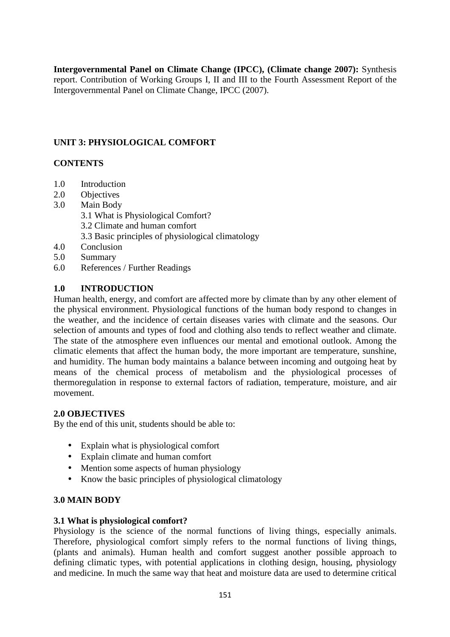**Intergovernmental Panel on Climate Change (IPCC), (Climate change 2007):** Synthesis report. Contribution of Working Groups I, II and III to the Fourth Assessment Report of the Intergovernmental Panel on Climate Change, IPCC (2007).

# **UNIT 3: PHYSIOLOGICAL COMFORT**

# **CONTENTS**

- 1.0 Introduction
- 2.0 Objectives
- 3.0 Main Body
	- 3.1 What is Physiological Comfort?
	- 3.2 Climate and human comfort
	- 3.3 Basic principles of physiological climatology
- 4.0 Conclusion
- 5.0 Summary
- 6.0 References / Further Readings

### **1.0 INTRODUCTION**

Human health, energy, and comfort are affected more by climate than by any other element of the physical environment. Physiological functions of the human body respond to changes in the weather, and the incidence of certain diseases varies with climate and the seasons. Our selection of amounts and types of food and clothing also tends to reflect weather and climate. The state of the atmosphere even influences our mental and emotional outlook. Among the climatic elements that affect the human body, the more important are temperature, sunshine, and humidity. The human body maintains a balance between incoming and outgoing heat by means of the chemical process of metabolism and the physiological processes of thermoregulation in response to external factors of radiation, temperature, moisture, and air movement.

## **2.0 OBJECTIVES**

By the end of this unit, students should be able to:

- Explain what is physiological comfort
- Explain climate and human comfort
- Mention some aspects of human physiology
- Know the basic principles of physiological climatology

## **3.0 MAIN BODY**

### **3.1 What is physiological comfort?**

Physiology is the science of the normal functions of living things, especially animals. Therefore, physiological comfort simply refers to the normal functions of living things, (plants and animals). Human health and comfort suggest another possible approach to defining climatic types, with potential applications in clothing design, housing, physiology and medicine. In much the same way that heat and moisture data are used to determine critical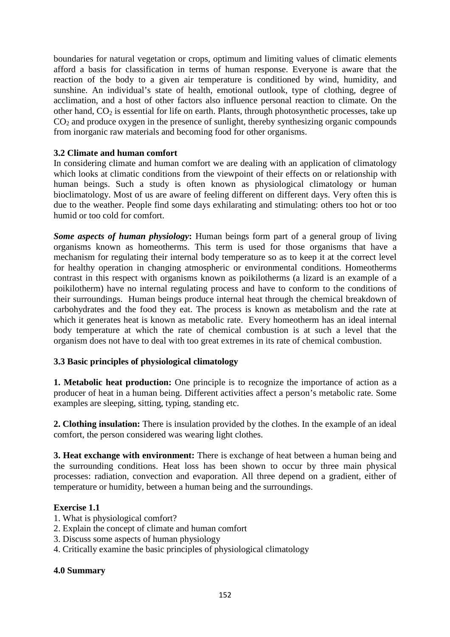boundaries for natural vegetation or crops, optimum and limiting values of climatic elements afford a basis for classification in terms of human response. Everyone is aware that the reaction of the body to a given air temperature is conditioned by wind, humidity, and sunshine. An individual's state of health, emotional outlook, type of clothing, degree of acclimation, and a host of other factors also influence personal reaction to climate. On the other hand,  $CO<sub>2</sub>$  is essential for life on earth. Plants, through photosynthetic processes, take up  $CO<sub>2</sub>$  and produce oxygen in the presence of sunlight, thereby synthesizing organic compounds from inorganic raw materials and becoming food for other organisms.

### **3.2 Climate and human comfort**

In considering climate and human comfort we are dealing with an application of climatology which looks at climatic conditions from the viewpoint of their effects on or relationship with human beings. Such a study is often known as physiological climatology or human bioclimatology. Most of us are aware of feeling different on different days. Very often this is due to the weather. People find some days exhilarating and stimulating: others too hot or too humid or too cold for comfort.

*Some aspects of human physiology***:** Human beings form part of a general group of living organisms known as homeotherms. This term is used for those organisms that have a mechanism for regulating their internal body temperature so as to keep it at the correct level for healthy operation in changing atmospheric or environmental conditions. Homeotherms contrast in this respect with organisms known as poikilotherms (a lizard is an example of a poikilotherm) have no internal regulating process and have to conform to the conditions of their surroundings. Human beings produce internal heat through the chemical breakdown of carbohydrates and the food they eat. The process is known as metabolism and the rate at which it generates heat is known as metabolic rate. Every homeotherm has an ideal internal body temperature at which the rate of chemical combustion is at such a level that the organism does not have to deal with too great extremes in its rate of chemical combustion.

## **3.3 Basic principles of physiological climatology**

**1. Metabolic heat production:** One principle is to recognize the importance of action as a producer of heat in a human being. Different activities affect a person's metabolic rate. Some examples are sleeping, sitting, typing, standing etc.

**2. Clothing insulation:** There is insulation provided by the clothes. In the example of an ideal comfort, the person considered was wearing light clothes.

**3. Heat exchange with environment:** There is exchange of heat between a human being and the surrounding conditions. Heat loss has been shown to occur by three main physical processes: radiation, convection and evaporation. All three depend on a gradient, either of temperature or humidity, between a human being and the surroundings.

### **Exercise 1.1**

- 1. What is physiological comfort?
- 2. Explain the concept of climate and human comfort
- 3. Discuss some aspects of human physiology
- 4. Critically examine the basic principles of physiological climatology

### **4.0 Summary**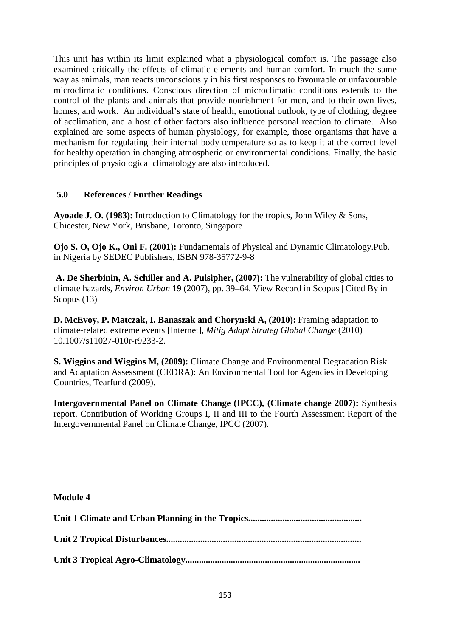This unit has within its limit explained what a physiological comfort is. The passage also examined critically the effects of climatic elements and human comfort. In much the same way as animals, man reacts unconsciously in his first responses to favourable or unfavourable microclimatic conditions. Conscious direction of microclimatic conditions extends to the control of the plants and animals that provide nourishment for men, and to their own lives, homes, and work. An individual's state of health, emotional outlook, type of clothing, degree of acclimation, and a host of other factors also influence personal reaction to climate. Also explained are some aspects of human physiology, for example, those organisms that have a mechanism for regulating their internal body temperature so as to keep it at the correct level for healthy operation in changing atmospheric or environmental conditions. Finally, the basic principles of physiological climatology are also introduced.

# **5.0 References / Further Readings**

**Ayoade J. O. (1983):** Introduction to Climatology for the tropics, John Wiley & Sons, Chicester, New York, Brisbane, Toronto, Singapore

**Ojo S. O, Ojo K., Oni F. (2001):** Fundamentals of Physical and Dynamic Climatology.Pub. in Nigeria by SEDEC Publishers, ISBN 978-35772-9-8

**A. De Sherbinin, A. Schiller and A. Pulsipher, (2007):** The vulnerability of global cities to climate hazards, *Environ Urban* **19** (2007), pp. 39–64. View Record in Scopus | Cited By in Scopus (13)

**D. McEvoy, P. Matczak, I. Banaszak and Chorynski A, (2010):** Framing adaptation to climate-related extreme events [Internet], *Mitig Adapt Strateg Global Change* (2010) 10.1007/s11027-010r-r9233-2.

**S. Wiggins and Wiggins M, (2009):** Climate Change and Environmental Degradation Risk and Adaptation Assessment (CEDRA): An Environmental Tool for Agencies in Developing Countries, Tearfund (2009).

**Intergovernmental Panel on Climate Change (IPCC), (Climate change 2007):** Synthesis report. Contribution of Working Groups I, II and III to the Fourth Assessment Report of the Intergovernmental Panel on Climate Change, IPCC (2007).

### **Module 4**

**Unit 1 Climate and Urban Planning in the Tropics.................................................. Unit 2 Tropical Disturbances...................................................................................... Unit 3 Tropical Agro-Climatology.............................................................................**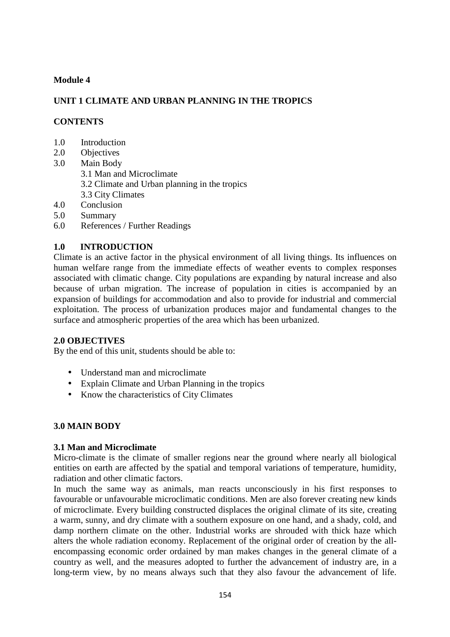## **Module 4**

### **UNIT 1 CLIMATE AND URBAN PLANNING IN THE TROPICS**

### **CONTENTS**

- 1.0 Introduction
- 2.0 Objectives
- 3.0 Main Body
	- 3.1 Man and Microclimate
		- 3.2 Climate and Urban planning in the tropics
	- 3.3 City Climates
- 4.0 Conclusion
- 5.0 Summary
- 6.0 References / Further Readings

## **1.0 INTRODUCTION**

Climate is an active factor in the physical environment of all living things. Its influences on human welfare range from the immediate effects of weather events to complex responses associated with climatic change. City populations are expanding by natural increase and also because of urban migration. The increase of population in cities is accompanied by an expansion of buildings for accommodation and also to provide for industrial and commercial exploitation. The process of urbanization produces major and fundamental changes to the surface and atmospheric properties of the area which has been urbanized.

### **2.0 OBJECTIVES**

By the end of this unit, students should be able to:

- Understand man and microclimate
- Explain Climate and Urban Planning in the tropics
- Know the characteristics of City Climates

## **3.0 MAIN BODY**

### **3.1 Man and Microclimate**

Micro-climate is the climate of smaller regions near the ground where nearly all biological entities on earth are affected by the spatial and temporal variations of temperature, humidity, radiation and other climatic factors.

In much the same way as animals, man reacts unconsciously in his first responses to favourable or unfavourable microclimatic conditions. Men are also forever creating new kinds of microclimate. Every building constructed displaces the original climate of its site, creating a warm, sunny, and dry climate with a southern exposure on one hand, and a shady, cold, and damp northern climate on the other. Industrial works are shrouded with thick haze which alters the whole radiation economy. Replacement of the original order of creation by the allencompassing economic order ordained by man makes changes in the general climate of a country as well, and the measures adopted to further the advancement of industry are, in a long-term view, by no means always such that they also favour the advancement of life.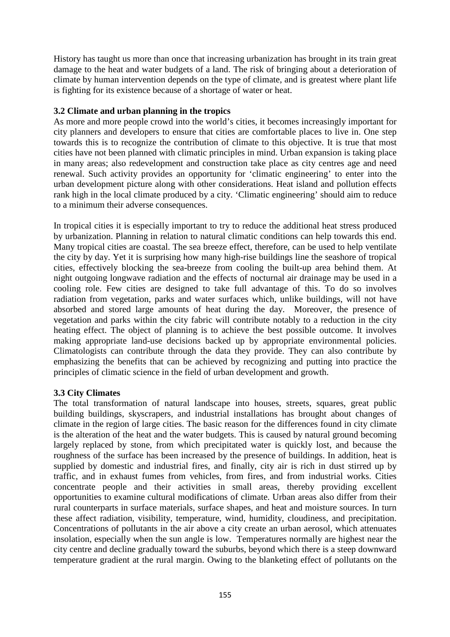History has taught us more than once that increasing urbanization has brought in its train great damage to the heat and water budgets of a land. The risk of bringing about a deterioration of climate by human intervention depends on the type of climate, and is greatest where plant life is fighting for its existence because of a shortage of water or heat.

### **3.2 Climate and urban planning in the tropics**

As more and more people crowd into the world's cities, it becomes increasingly important for city planners and developers to ensure that cities are comfortable places to live in. One step towards this is to recognize the contribution of climate to this objective. It is true that most cities have not been planned with climatic principles in mind. Urban expansion is taking place in many areas; also redevelopment and construction take place as city centres age and need renewal. Such activity provides an opportunity for 'climatic engineering' to enter into the urban development picture along with other considerations. Heat island and pollution effects rank high in the local climate produced by a city. 'Climatic engineering' should aim to reduce to a minimum their adverse consequences.

In tropical cities it is especially important to try to reduce the additional heat stress produced by urbanization. Planning in relation to natural climatic conditions can help towards this end. Many tropical cities are coastal. The sea breeze effect, therefore, can be used to help ventilate the city by day. Yet it is surprising how many high-rise buildings line the seashore of tropical cities, effectively blocking the sea-breeze from cooling the built-up area behind them. At night outgoing longwave radiation and the effects of nocturnal air drainage may be used in a cooling role. Few cities are designed to take full advantage of this. To do so involves radiation from vegetation, parks and water surfaces which, unlike buildings, will not have absorbed and stored large amounts of heat during the day. Moreover, the presence of vegetation and parks within the city fabric will contribute notably to a reduction in the city heating effect. The object of planning is to achieve the best possible outcome. It involves making appropriate land-use decisions backed up by appropriate environmental policies. Climatologists can contribute through the data they provide. They can also contribute by emphasizing the benefits that can be achieved by recognizing and putting into practice the principles of climatic science in the field of urban development and growth.

### **3.3 City Climates**

The total transformation of natural landscape into houses, streets, squares, great public building buildings, skyscrapers, and industrial installations has brought about changes of climate in the region of large cities. The basic reason for the differences found in city climate is the alteration of the heat and the water budgets. This is caused by natural ground becoming largely replaced by stone, from which precipitated water is quickly lost, and because the roughness of the surface has been increased by the presence of buildings. In addition, heat is supplied by domestic and industrial fires, and finally, city air is rich in dust stirred up by traffic, and in exhaust fumes from vehicles, from fires, and from industrial works. Cities concentrate people and their activities in small areas, thereby providing excellent opportunities to examine cultural modifications of climate. Urban areas also differ from their rural counterparts in surface materials, surface shapes, and heat and moisture sources. In turn these affect radiation, visibility, temperature, wind, humidity, cloudiness, and precipitation. Concentrations of pollutants in the air above a city create an urban aerosol, which attenuates insolation, especially when the sun angle is low. Temperatures normally are highest near the city centre and decline gradually toward the suburbs, beyond which there is a steep downward temperature gradient at the rural margin. Owing to the blanketing effect of pollutants on the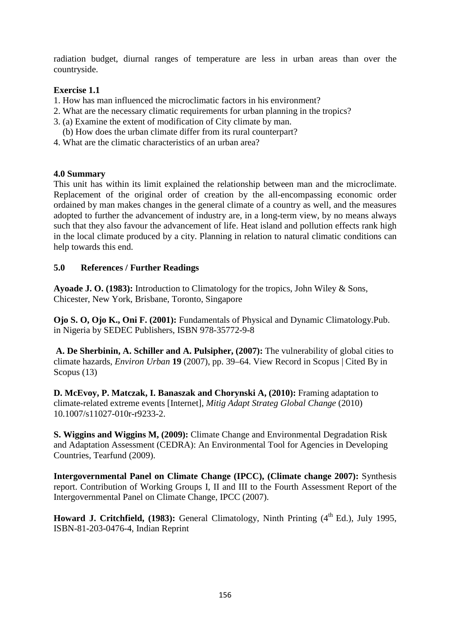radiation budget, diurnal ranges of temperature are less in urban areas than over the countryside.

## **Exercise 1.1**

- 1. How has man influenced the microclimatic factors in his environment?
- 2. What are the necessary climatic requirements for urban planning in the tropics?
- 3. (a) Examine the extent of modification of City climate by man.
- (b) How does the urban climate differ from its rural counterpart?
- 4. What are the climatic characteristics of an urban area?

### **4.0 Summary**

This unit has within its limit explained the relationship between man and the microclimate. Replacement of the original order of creation by the all-encompassing economic order ordained by man makes changes in the general climate of a country as well, and the measures adopted to further the advancement of industry are, in a long-term view, by no means always such that they also favour the advancement of life. Heat island and pollution effects rank high in the local climate produced by a city. Planning in relation to natural climatic conditions can help towards this end.

### **5.0 References / Further Readings**

**Ayoade J. O. (1983):** Introduction to Climatology for the tropics, John Wiley & Sons, Chicester, New York, Brisbane, Toronto, Singapore

**Ojo S. O, Ojo K., Oni F. (2001):** Fundamentals of Physical and Dynamic Climatology.Pub. in Nigeria by SEDEC Publishers, ISBN 978-35772-9-8

**A. De Sherbinin, A. Schiller and A. Pulsipher, (2007):** The vulnerability of global cities to climate hazards, *Environ Urban* **19** (2007), pp. 39–64. View Record in Scopus | Cited By in Scopus (13)

**D. McEvoy, P. Matczak, I. Banaszak and Chorynski A, (2010):** Framing adaptation to climate-related extreme events [Internet], *Mitig Adapt Strateg Global Change* (2010) 10.1007/s11027-010r-r9233-2.

**S. Wiggins and Wiggins M, (2009):** Climate Change and Environmental Degradation Risk and Adaptation Assessment (CEDRA): An Environmental Tool for Agencies in Developing Countries, Tearfund (2009).

**Intergovernmental Panel on Climate Change (IPCC), (Climate change 2007):** Synthesis report. Contribution of Working Groups I, II and III to the Fourth Assessment Report of the Intergovernmental Panel on Climate Change, IPCC (2007).

Howard J. Critchfield, (1983): General Climatology, Ninth Printing (4<sup>th</sup> Ed.), July 1995, ISBN-81-203-0476-4, Indian Reprint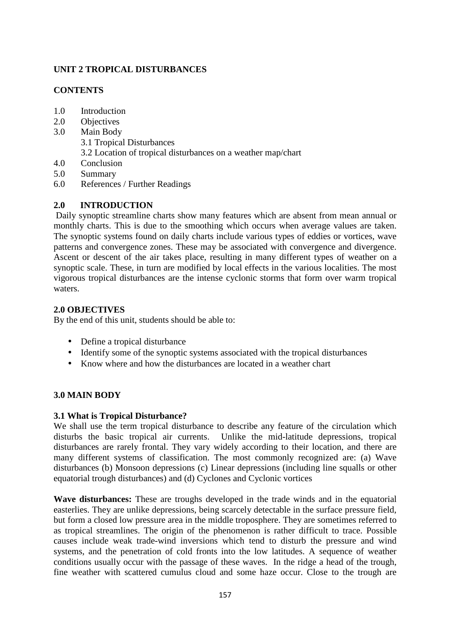# **UNIT 2 TROPICAL DISTURBANCES**

# **CONTENTS**

- 1.0 Introduction
- 2.0 Objectives
- 3.0 Main Body
	- 3.1 Tropical Disturbances
	- 3.2 Location of tropical disturbances on a weather map/chart
- 4.0 Conclusion
- 5.0 Summary
- 6.0 References / Further Readings

## **2.0 INTRODUCTION**

 Daily synoptic streamline charts show many features which are absent from mean annual or monthly charts. This is due to the smoothing which occurs when average values are taken. The synoptic systems found on daily charts include various types of eddies or vortices, wave patterns and convergence zones. These may be associated with convergence and divergence. Ascent or descent of the air takes place, resulting in many different types of weather on a synoptic scale. These, in turn are modified by local effects in the various localities. The most vigorous tropical disturbances are the intense cyclonic storms that form over warm tropical waters.

### **2.0 OBJECTIVES**

By the end of this unit, students should be able to:

- Define a tropical disturbance
- Identify some of the synoptic systems associated with the tropical disturbances
- Know where and how the disturbances are located in a weather chart

### **3.0 MAIN BODY**

## **3.1 What is Tropical Disturbance?**

We shall use the term tropical disturbance to describe any feature of the circulation which disturbs the basic tropical air currents. Unlike the mid-latitude depressions, tropical disturbances are rarely frontal. They vary widely according to their location, and there are many different systems of classification. The most commonly recognized are: (a) Wave disturbances (b) Monsoon depressions (c) Linear depressions (including line squalls or other equatorial trough disturbances) and (d) Cyclones and Cyclonic vortices

**Wave disturbances:** These are troughs developed in the trade winds and in the equatorial easterlies. They are unlike depressions, being scarcely detectable in the surface pressure field, but form a closed low pressure area in the middle troposphere. They are sometimes referred to as tropical streamlines. The origin of the phenomenon is rather difficult to trace. Possible causes include weak trade-wind inversions which tend to disturb the pressure and wind systems, and the penetration of cold fronts into the low latitudes. A sequence of weather conditions usually occur with the passage of these waves. In the ridge a head of the trough, fine weather with scattered cumulus cloud and some haze occur. Close to the trough are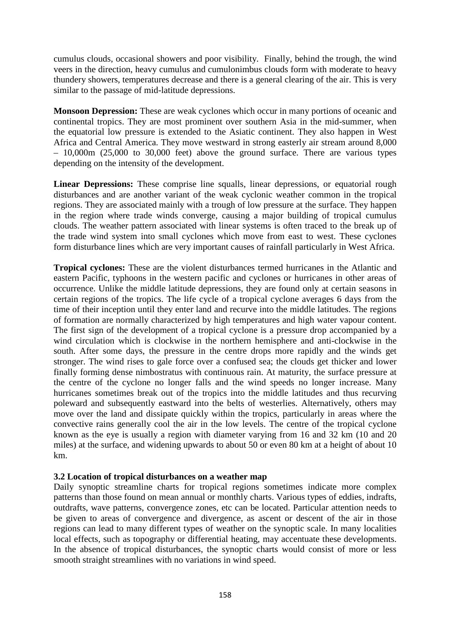cumulus clouds, occasional showers and poor visibility. Finally, behind the trough, the wind veers in the direction, heavy cumulus and cumulonimbus clouds form with moderate to heavy thundery showers, temperatures decrease and there is a general clearing of the air. This is very similar to the passage of mid-latitude depressions.

**Monsoon Depression:** These are weak cyclones which occur in many portions of oceanic and continental tropics. They are most prominent over southern Asia in the mid-summer, when the equatorial low pressure is extended to the Asiatic continent. They also happen in West Africa and Central America. They move westward in strong easterly air stream around 8,000  $-10,000m$  (25,000 to 30,000 feet) above the ground surface. There are various types depending on the intensity of the development.

**Linear Depressions:** These comprise line squalls, linear depressions, or equatorial rough disturbances and are another variant of the weak cyclonic weather common in the tropical regions. They are associated mainly with a trough of low pressure at the surface. They happen in the region where trade winds converge, causing a major building of tropical cumulus clouds. The weather pattern associated with linear systems is often traced to the break up of the trade wind system into small cyclones which move from east to west. These cyclones form disturbance lines which are very important causes of rainfall particularly in West Africa.

**Tropical cyclones:** These are the violent disturbances termed hurricanes in the Atlantic and eastern Pacific, typhoons in the western pacific and cyclones or hurricanes in other areas of occurrence. Unlike the middle latitude depressions, they are found only at certain seasons in certain regions of the tropics. The life cycle of a tropical cyclone averages 6 days from the time of their inception until they enter land and recurve into the middle latitudes. The regions of formation are normally characterized by high temperatures and high water vapour content. The first sign of the development of a tropical cyclone is a pressure drop accompanied by a wind circulation which is clockwise in the northern hemisphere and anti-clockwise in the south. After some days, the pressure in the centre drops more rapidly and the winds get stronger. The wind rises to gale force over a confused sea; the clouds get thicker and lower finally forming dense nimbostratus with continuous rain. At maturity, the surface pressure at the centre of the cyclone no longer falls and the wind speeds no longer increase. Many hurricanes sometimes break out of the tropics into the middle latitudes and thus recurving poleward and subsequently eastward into the belts of westerlies. Alternatively, others may move over the land and dissipate quickly within the tropics, particularly in areas where the convective rains generally cool the air in the low levels. The centre of the tropical cyclone known as the eye is usually a region with diameter varying from 16 and 32 km (10 and 20 miles) at the surface, and widening upwards to about 50 or even 80 km at a height of about 10 km.

## **3.2 Location of tropical disturbances on a weather map**

Daily synoptic streamline charts for tropical regions sometimes indicate more complex patterns than those found on mean annual or monthly charts. Various types of eddies, indrafts, outdrafts, wave patterns, convergence zones, etc can be located. Particular attention needs to be given to areas of convergence and divergence, as ascent or descent of the air in those regions can lead to many different types of weather on the synoptic scale. In many localities local effects, such as topography or differential heating, may accentuate these developments. In the absence of tropical disturbances, the synoptic charts would consist of more or less smooth straight streamlines with no variations in wind speed.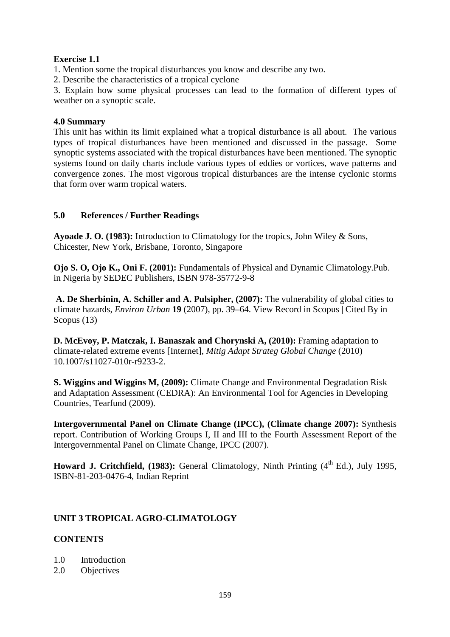### **Exercise 1.1**

1. Mention some the tropical disturbances you know and describe any two.

2. Describe the characteristics of a tropical cyclone

3. Explain how some physical processes can lead to the formation of different types of weather on a synoptic scale.

### **4.0 Summary**

This unit has within its limit explained what a tropical disturbance is all about. The various types of tropical disturbances have been mentioned and discussed in the passage. Some synoptic systems associated with the tropical disturbances have been mentioned. The synoptic systems found on daily charts include various types of eddies or vortices, wave patterns and convergence zones. The most vigorous tropical disturbances are the intense cyclonic storms that form over warm tropical waters.

### **5.0 References / Further Readings**

**Ayoade J. O. (1983):** Introduction to Climatology for the tropics, John Wiley & Sons, Chicester, New York, Brisbane, Toronto, Singapore

**Ojo S. O, Ojo K., Oni F. (2001):** Fundamentals of Physical and Dynamic Climatology.Pub. in Nigeria by SEDEC Publishers, ISBN 978-35772-9-8

**A. De Sherbinin, A. Schiller and A. Pulsipher, (2007):** The vulnerability of global cities to climate hazards, *Environ Urban* **19** (2007), pp. 39–64. View Record in Scopus | Cited By in Scopus (13)

**D. McEvoy, P. Matczak, I. Banaszak and Chorynski A, (2010):** Framing adaptation to climate-related extreme events [Internet], *Mitig Adapt Strateg Global Change* (2010) 10.1007/s11027-010r-r9233-2.

**S. Wiggins and Wiggins M, (2009):** Climate Change and Environmental Degradation Risk and Adaptation Assessment (CEDRA): An Environmental Tool for Agencies in Developing Countries, Tearfund (2009).

**Intergovernmental Panel on Climate Change (IPCC), (Climate change 2007):** Synthesis report. Contribution of Working Groups I, II and III to the Fourth Assessment Report of the Intergovernmental Panel on Climate Change, IPCC (2007).

Howard J. Critchfield, (1983): General Climatology, Ninth Printing (4<sup>th</sup> Ed.), July 1995, ISBN-81-203-0476-4, Indian Reprint

## **UNIT 3 TROPICAL AGRO-CLIMATOLOGY**

## **CONTENTS**

- 1.0 Introduction
- 2.0 Objectives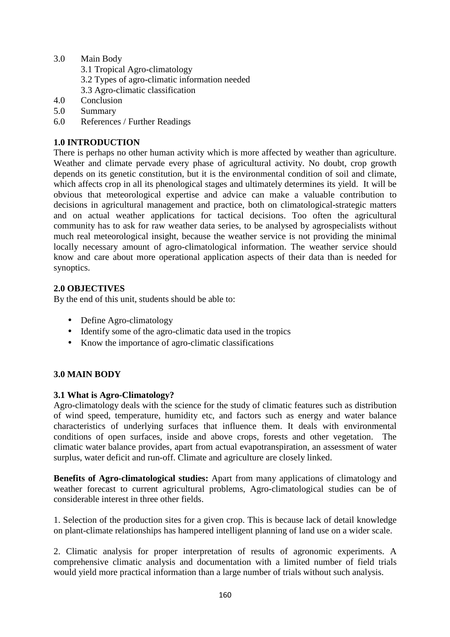- 3.0 Main Body
	- 3.1 Tropical Agro-climatology
	- 3.2 Types of agro-climatic information needed
	- 3.3 Agro-climatic classification
- 4.0 Conclusion
- 5.0 Summary
- 6.0 References / Further Readings

# **1.0 INTRODUCTION**

There is perhaps no other human activity which is more affected by weather than agriculture. Weather and climate pervade every phase of agricultural activity. No doubt, crop growth depends on its genetic constitution, but it is the environmental condition of soil and climate, which affects crop in all its phenological stages and ultimately determines its yield. It will be obvious that meteorological expertise and advice can make a valuable contribution to decisions in agricultural management and practice, both on climatological-strategic matters and on actual weather applications for tactical decisions. Too often the agricultural community has to ask for raw weather data series, to be analysed by agrospecialists without much real meteorological insight, because the weather service is not providing the minimal locally necessary amount of agro-climatological information. The weather service should know and care about more operational application aspects of their data than is needed for synoptics.

## **2.0 OBJECTIVES**

By the end of this unit, students should be able to:

- Define Agro-climatology
- Identify some of the agro-climatic data used in the tropics
- Know the importance of agro-climatic classifications

# **3.0 MAIN BODY**

## **3.1 What is Agro-Climatology?**

Agro-climatology deals with the science for the study of climatic features such as distribution of wind speed, temperature, humidity etc, and factors such as energy and water balance characteristics of underlying surfaces that influence them. It deals with environmental conditions of open surfaces, inside and above crops, forests and other vegetation. The climatic water balance provides, apart from actual evapotranspiration, an assessment of water surplus, water deficit and run-off. Climate and agriculture are closely linked.

**Benefits of Agro-climatological studies:** Apart from many applications of climatology and weather forecast to current agricultural problems, Agro-climatological studies can be of considerable interest in three other fields.

1. Selection of the production sites for a given crop. This is because lack of detail knowledge on plant-climate relationships has hampered intelligent planning of land use on a wider scale.

2. Climatic analysis for proper interpretation of results of agronomic experiments. A comprehensive climatic analysis and documentation with a limited number of field trials would yield more practical information than a large number of trials without such analysis.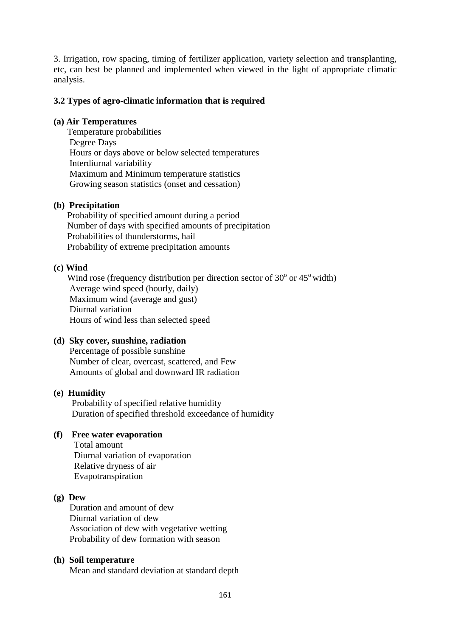3. Irrigation, row spacing, timing of fertilizer application, variety selection and transplanting, etc, can best be planned and implemented when viewed in the light of appropriate climatic analysis.

### **3.2 Types of agro-climatic information that is required**

### **(a) Air Temperatures**

 Temperature probabilities Degree Days Hours or days above or below selected temperatures Interdiurnal variability Maximum and Minimum temperature statistics Growing season statistics (onset and cessation)

### **(b) Precipitation**

 Probability of specified amount during a period Number of days with specified amounts of precipitation Probabilities of thunderstorms, hail Probability of extreme precipitation amounts

### **(c) Wind**

Wind rose (frequency distribution per direction sector of  $30^{\circ}$  or  $45^{\circ}$  width) Average wind speed (hourly, daily) Maximum wind (average and gust) Diurnal variation Hours of wind less than selected speed

## **(d) Sky cover, sunshine, radiation**

Percentage of possible sunshine Number of clear, overcast, scattered, and Few Amounts of global and downward IR radiation

### **(e) Humidity**

 Probability of specified relative humidity Duration of specified threshold exceedance of humidity

# **(f) Free water evaporation**

Total amount Diurnal variation of evaporation Relative dryness of air Evapotranspiration

### **(g) Dew**

Duration and amount of dew Diurnal variation of dew Association of dew with vegetative wetting Probability of dew formation with season

### **(h) Soil temperature**

Mean and standard deviation at standard depth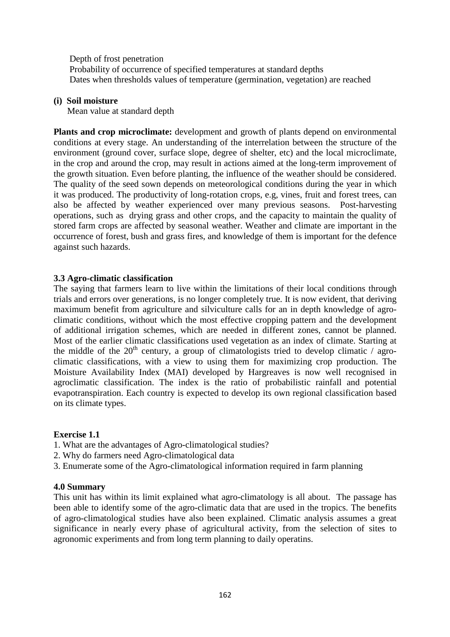Depth of frost penetration Probability of occurrence of specified temperatures at standard depths Dates when thresholds values of temperature (germination, vegetation) are reached

#### **(i) Soil moisture**

Mean value at standard depth

**Plants and crop microclimate:** development and growth of plants depend on environmental conditions at every stage. An understanding of the interrelation between the structure of the environment (ground cover, surface slope, degree of shelter, etc) and the local microclimate, in the crop and around the crop, may result in actions aimed at the long-term improvement of the growth situation. Even before planting, the influence of the weather should be considered. The quality of the seed sown depends on meteorological conditions during the year in which it was produced. The productivity of long-rotation crops, e.g, vines, fruit and forest trees, can also be affected by weather experienced over many previous seasons. Post-harvesting operations, such as drying grass and other crops, and the capacity to maintain the quality of stored farm crops are affected by seasonal weather. Weather and climate are important in the occurrence of forest, bush and grass fires, and knowledge of them is important for the defence against such hazards.

### **3.3 Agro-climatic classification**

The saying that farmers learn to live within the limitations of their local conditions through trials and errors over generations, is no longer completely true. It is now evident, that deriving maximum benefit from agriculture and silviculture calls for an in depth knowledge of agroclimatic conditions, without which the most effective cropping pattern and the development of additional irrigation schemes, which are needed in different zones, cannot be planned. Most of the earlier climatic classifications used vegetation as an index of climate. Starting at the middle of the  $20<sup>th</sup>$  century, a group of climatologists tried to develop climatic / agroclimatic classifications, with a view to using them for maximizing crop production. The Moisture Availability Index (MAI) developed by Hargreaves is now well recognised in agroclimatic classification. The index is the ratio of probabilistic rainfall and potential evapotranspiration. Each country is expected to develop its own regional classification based on its climate types.

### **Exercise 1.1**

- 1. What are the advantages of Agro-climatological studies?
- 2. Why do farmers need Agro-climatological data
- 3. Enumerate some of the Agro-climatological information required in farm planning

### **4.0 Summary**

This unit has within its limit explained what agro-climatology is all about. The passage has been able to identify some of the agro-climatic data that are used in the tropics. The benefits of agro-climatological studies have also been explained. Climatic analysis assumes a great significance in nearly every phase of agricultural activity, from the selection of sites to agronomic experiments and from long term planning to daily operatins.